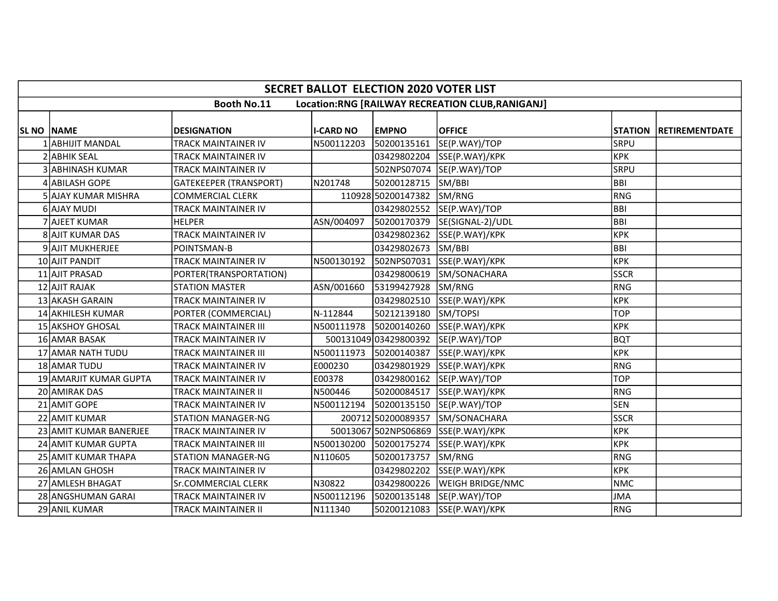|                    | <b>SECRET BALLOT ELECTION 2020 VOTER LIST</b>                         |                               |                  |                       |                                         |             |                               |  |  |  |  |  |  |
|--------------------|-----------------------------------------------------------------------|-------------------------------|------------------|-----------------------|-----------------------------------------|-------------|-------------------------------|--|--|--|--|--|--|
|                    | <b>Booth No.11</b><br>Location:RNG [RAILWAY RECREATION CLUB,RANIGANJ] |                               |                  |                       |                                         |             |                               |  |  |  |  |  |  |
|                    |                                                                       |                               |                  |                       |                                         |             |                               |  |  |  |  |  |  |
| <b>SL NO INAME</b> |                                                                       | <b>DESIGNATION</b>            | <b>I-CARD NO</b> | <b>EMPNO</b>          | <b>OFFICE</b>                           |             | <b>STATION RETIREMENTDATE</b> |  |  |  |  |  |  |
|                    | <b>ABHIJIT MANDAL</b>                                                 | <b>TRACK MAINTAINER IV</b>    | N500112203       | 50200135161           | SE(P.WAY)/TOP                           | <b>SRPU</b> |                               |  |  |  |  |  |  |
|                    | 2 ABHIK SEAL                                                          | TRACK MAINTAINER IV           |                  | 03429802204           | SSE(P.WAY)/KPK                          | <b>KPK</b>  |                               |  |  |  |  |  |  |
|                    | 3 ABHINASH KUMAR                                                      | <b>TRACK MAINTAINER IV</b>    |                  |                       | 502NPS07074 SE(P.WAY)/TOP               | SRPU        |                               |  |  |  |  |  |  |
|                    | 4 ABILASH GOPE                                                        | <b>GATEKEEPER (TRANSPORT)</b> | N201748          | 50200128715           | SM/BBI                                  | BBI         |                               |  |  |  |  |  |  |
|                    | <b>5 AJAY KUMAR MISHRA</b>                                            | COMMERCIAL CLERK              |                  | 110928 50200147382    | SM/RNG                                  | RNG         |                               |  |  |  |  |  |  |
|                    | 6 AJAY MUDI                                                           | <b>TRACK MAINTAINER IV</b>    |                  | 03429802552           | SE(P.WAY)/TOP                           | <b>BBI</b>  |                               |  |  |  |  |  |  |
|                    | 7 AJEET KUMAR                                                         | <b>HELPER</b>                 | ASN/004097       | 50200170379           | SE(SIGNAL-2)/UDL                        | <b>BBI</b>  |                               |  |  |  |  |  |  |
|                    | 8 AJIT KUMAR DAS                                                      | TRACK MAINTAINER IV           |                  | 03429802362           | SSE(P.WAY)/KPK                          | <b>KPK</b>  |                               |  |  |  |  |  |  |
|                    | 9 AJIT MUKHERJEE                                                      | POINTSMAN-B                   |                  | 03429802673           | SM/BBI                                  | BBI         |                               |  |  |  |  |  |  |
|                    | 10 AJIT PANDIT                                                        | <b>TRACK MAINTAINER IV</b>    | N500130192       | 502NPS07031           | SSE(P.WAY)/KPK                          | <b>KPK</b>  |                               |  |  |  |  |  |  |
|                    | 11 AJIT PRASAD                                                        | PORTER(TRANSPORTATION)        |                  | 03429800619           | SM/SONACHARA                            | <b>SSCR</b> |                               |  |  |  |  |  |  |
|                    | 12 AJIT RAJAK                                                         | <b>STATION MASTER</b>         | ASN/001660       | 53199427928           | SM/RNG                                  | RNG         |                               |  |  |  |  |  |  |
|                    | 13 AKASH GARAIN                                                       | <b>TRACK MAINTAINER IV</b>    |                  | 03429802510           | SSE(P.WAY)/KPK                          | <b>KPK</b>  |                               |  |  |  |  |  |  |
|                    | 14 AKHILESH KUMAR                                                     | PORTER (COMMERCIAL)           | N-112844         | 50212139180           | SM/TOPSI                                | <b>TOP</b>  |                               |  |  |  |  |  |  |
|                    | 15 AKSHOY GHOSAL                                                      | <b>TRACK MAINTAINER III</b>   | N500111978       | 50200140260           | SSE(P.WAY)/KPK                          | <b>KPK</b>  |                               |  |  |  |  |  |  |
|                    | 16 AMAR BASAK                                                         | <b>TRACK MAINTAINER IV</b>    |                  | 500131049 03429800392 | SE(P.WAY)/TOP                           | <b>BQT</b>  |                               |  |  |  |  |  |  |
|                    | 17 AMAR NATH TUDU                                                     | <b>TRACK MAINTAINER III</b>   |                  |                       | N500111973  50200140387  SSE(P.WAY)/KPK | <b>KPK</b>  |                               |  |  |  |  |  |  |
|                    | 18 AMAR TUDU                                                          | <b>TRACK MAINTAINER IV</b>    | E000230          | 03429801929           | SSE(P.WAY)/KPK                          | RNG         |                               |  |  |  |  |  |  |
|                    | 19 AMARJIT KUMAR GUPTA                                                | TRACK MAINTAINER IV           | E00378           | 03429800162           | SE(P.WAY)/TOP                           | <b>TOP</b>  |                               |  |  |  |  |  |  |
|                    | 20 AMIRAK DAS                                                         | <b>TRACK MAINTAINER II</b>    | N500446          | 50200084517           | SSE(P.WAY)/KPK                          | RNG         |                               |  |  |  |  |  |  |
|                    | 21 AMIT GOPE                                                          | <b>TRACK MAINTAINER IV</b>    | N500112194       | 50200135150           | SE(P.WAY)/TOP                           | lsen        |                               |  |  |  |  |  |  |
|                    | 22 AMIT KUMAR                                                         | <b>STATION MANAGER-NG</b>     |                  | 200712 50200089357    | SM/SONACHARA                            | <b>SSCR</b> |                               |  |  |  |  |  |  |
|                    | 23 AMIT KUMAR BANERJEE                                                | <b>TRACK MAINTAINER IV</b>    |                  | 50013067 502NPS06869  | SSE(P.WAY)/KPK                          | <b>KPK</b>  |                               |  |  |  |  |  |  |
|                    | 24 AMIT KUMAR GUPTA                                                   | <b>TRACK MAINTAINER III</b>   | N500130200       | 50200175274           | SSE(P.WAY)/KPK                          | <b>KPK</b>  |                               |  |  |  |  |  |  |
|                    | 25 AMIT KUMAR THAPA                                                   | <b>STATION MANAGER-NG</b>     | N110605          | 50200173757           | SM/RNG                                  | RNG         |                               |  |  |  |  |  |  |
|                    | 26 AMLAN GHOSH                                                        | <b>TRACK MAINTAINER IV</b>    |                  | 03429802202           | SSE(P.WAY)/KPK                          | <b>KPK</b>  |                               |  |  |  |  |  |  |
|                    | 27 AMLESH BHAGAT                                                      | Sr.COMMERCIAL CLERK           | N30822           | 03429800226           | WEIGH BRIDGE/NMC                        | <b>NMC</b>  |                               |  |  |  |  |  |  |
|                    | 28 ANGSHUMAN GARAI                                                    | <b>TRACK MAINTAINER IV</b>    | N500112196       | 50200135148           | SE(P.WAY)/TOP                           | <b>JMA</b>  |                               |  |  |  |  |  |  |
|                    | 29 ANIL KUMAR                                                         | <b>TRACK MAINTAINER II</b>    | N111340          | 50200121083           | SSE(P.WAY)/KPK                          | RNG         |                               |  |  |  |  |  |  |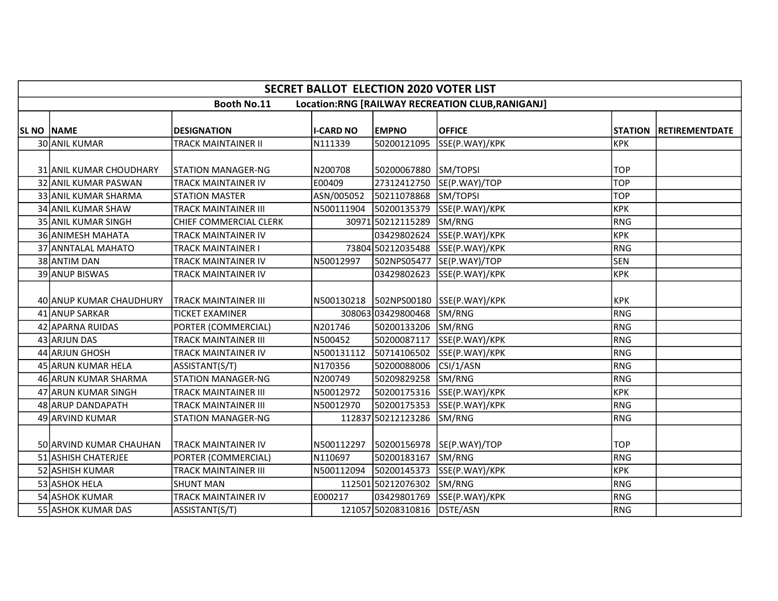|            | <b>SECRET BALLOT ELECTION 2020 VOTER LIST</b> |                             |                  |                             |                                                 |            |                        |  |  |  |  |
|------------|-----------------------------------------------|-----------------------------|------------------|-----------------------------|-------------------------------------------------|------------|------------------------|--|--|--|--|
|            |                                               | <b>Booth No.11</b>          |                  |                             | Location:RNG [RAILWAY RECREATION CLUB,RANIGANJ] |            |                        |  |  |  |  |
| SL NO NAME |                                               | <b>DESIGNATION</b>          | <b>I-CARD NO</b> | <b>EMPNO</b>                | <b>OFFICE</b>                                   |            | STATION RETIREMENTDATE |  |  |  |  |
|            | 30 ANIL KUMAR                                 | TRACK MAINTAINER II         | N111339          | 50200121095                 | SSE(P.WAY)/KPK                                  | KPK        |                        |  |  |  |  |
|            | 31 ANIL KUMAR CHOUDHARY                       | STATION MANAGER-NG          | N200708          | 50200067880                 | SM/TOPSI                                        | <b>TOP</b> |                        |  |  |  |  |
|            | 32 ANIL KUMAR PASWAN                          | <b>TRACK MAINTAINER IV</b>  | E00409           | 27312412750                 | SE(P.WAY)/TOP                                   | <b>TOP</b> |                        |  |  |  |  |
|            | 33 ANIL KUMAR SHARMA                          | <b>STATION MASTER</b>       | ASN/005052       | 50211078868                 | SM/TOPSI                                        | <b>TOP</b> |                        |  |  |  |  |
|            | 34 ANIL KUMAR SHAW                            | TRACK MAINTAINER III        | N500111904       | 50200135379                 | SSE(P.WAY)/KPK                                  | KPK        |                        |  |  |  |  |
|            | 35 ANIL KUMAR SINGH                           | CHIEF COMMERCIAL CLERK      |                  | 30971 50212115289           | SM/RNG                                          | RNG        |                        |  |  |  |  |
|            | 36 ANIMESH MAHATA                             | TRACK MAINTAINER IV         |                  | 03429802624                 | SSE(P.WAY)/KPK                                  | <b>KPK</b> |                        |  |  |  |  |
|            | 37 ANNTALAL MAHATO                            | TRACK MAINTAINER I          |                  |                             | 73804 50212035488 SSE(P.WAY)/KPK                | RNG        |                        |  |  |  |  |
|            | 38 ANTIM DAN                                  | TRACK MAINTAINER IV         | N50012997        | 502NPS05477                 | SE(P.WAY)/TOP                                   | <b>SEN</b> |                        |  |  |  |  |
|            | 39 ANUP BISWAS                                | <b>TRACK MAINTAINER IV</b>  |                  | 03429802623                 | SSE(P.WAY)/KPK                                  | <b>KPK</b> |                        |  |  |  |  |
|            | 40 ANUP KUMAR CHAUDHURY                       | <b>TRACK MAINTAINER III</b> |                  |                             | N500130218  502NPS00180  SSE(P.WAY)/KPK         | <b>KPK</b> |                        |  |  |  |  |
|            | 41 ANUP SARKAR                                | <b>TICKET EXAMINER</b>      |                  | 30806303429800468           | SM/RNG                                          | RNG        |                        |  |  |  |  |
|            | 42 APARNA RUIDAS                              | PORTER (COMMERCIAL)         | N201746          | 50200133206                 | SM/RNG                                          | RNG        |                        |  |  |  |  |
|            | 43 ARJUN DAS                                  | TRACK MAINTAINER III        | N500452          | 50200087117                 | SSE(P.WAY)/KPK                                  | RNG        |                        |  |  |  |  |
|            | 44 ARJUN GHOSH                                | <b>TRACK MAINTAINER IV</b>  | N500131112       |                             | 50714106502 SSE(P.WAY)/KPK                      | RNG        |                        |  |  |  |  |
|            | 45 ARUN KUMAR HELA                            | ASSISTANT(S/T)              | N170356          | 50200088006                 | CSI/1/ASN                                       | RNG        |                        |  |  |  |  |
|            | 46 ARUN KUMAR SHARMA                          | <b>STATION MANAGER-NG</b>   | N200749          | 50209829258                 | SM/RNG                                          | RNG        |                        |  |  |  |  |
|            | 47 ARUN KUMAR SINGH                           | TRACK MAINTAINER III        | N50012972        |                             | 50200175316 SSE(P.WAY)/KPK                      | <b>KPK</b> |                        |  |  |  |  |
|            | 48 ARUP DANDAPATH                             | TRACK MAINTAINER III        | N50012970        | 50200175353                 | SSE(P.WAY)/KPK                                  | RNG        |                        |  |  |  |  |
|            | 49 ARVIND KUMAR                               | <b>STATION MANAGER-NG</b>   |                  | 112837 50212123286          | SM/RNG                                          | RNG        |                        |  |  |  |  |
|            | 50 ARVIND KUMAR CHAUHAN                       | <b>TRACK MAINTAINER IV</b>  |                  |                             | N500112297  50200156978  SE(P.WAY)/TOP          | l TOP      |                        |  |  |  |  |
|            | 51 ASHISH CHATERJEE                           | PORTER (COMMERCIAL)         | N110697          | 50200183167                 | SM/RNG                                          | RNG        |                        |  |  |  |  |
|            | 52 ASHISH KUMAR                               | <b>TRACK MAINTAINER III</b> | N500112094       | 50200145373                 | SSE(P.WAY)/KPK                                  | <b>KPK</b> |                        |  |  |  |  |
|            | 53 ASHOK HELA                                 | <b>SHUNT MAN</b>            |                  | 112501 50212076302          | SM/RNG                                          | RNG        |                        |  |  |  |  |
|            | 54 ASHOK KUMAR                                | TRACK MAINTAINER IV         | E000217          |                             | 03429801769 SSE(P.WAY)/KPK                      | RNG        |                        |  |  |  |  |
|            | 55 ASHOK KUMAR DAS                            | ASSISTANT(S/T)              |                  | 121057 50208310816 DSTE/ASN |                                                 | RNG        |                        |  |  |  |  |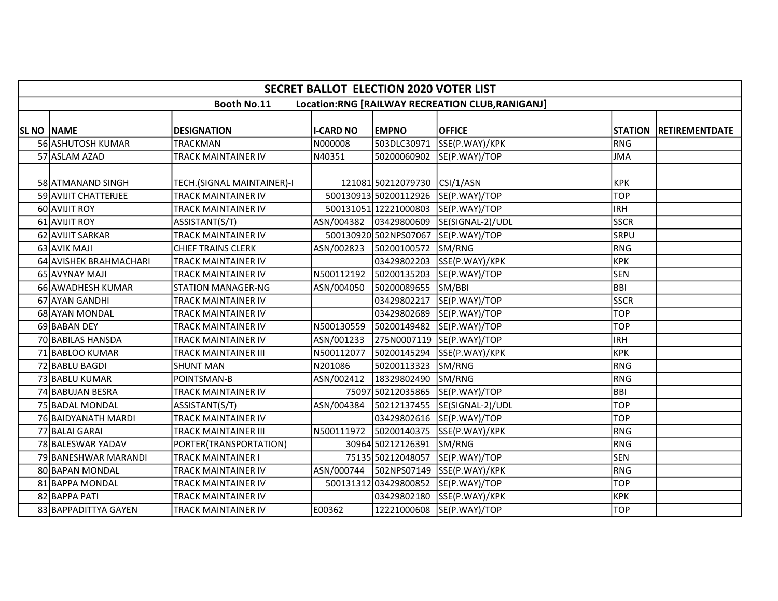|                   | <b>SECRET BALLOT ELECTION 2020 VOTER LIST</b>                         |                             |                  |                       |                                           |             |                        |  |  |  |  |  |
|-------------------|-----------------------------------------------------------------------|-----------------------------|------------------|-----------------------|-------------------------------------------|-------------|------------------------|--|--|--|--|--|
|                   | <b>Booth No.11</b><br>Location:RNG [RAILWAY RECREATION CLUB,RANIGANJ] |                             |                  |                       |                                           |             |                        |  |  |  |  |  |
| <b>SL NO NAME</b> |                                                                       | <b>DESIGNATION</b>          | <b>I-CARD NO</b> | <b>EMPNO</b>          | <b>OFFICE</b>                             |             | STATION RETIREMENTDATE |  |  |  |  |  |
|                   | 56 ASHUTOSH KUMAR                                                     | TRACKMAN                    | N000008          | 503DLC30971           | SSE(P.WAY)/KPK                            | RNG         |                        |  |  |  |  |  |
|                   | 57 ASLAM AZAD                                                         | TRACK MAINTAINER IV         | N40351           | 50200060902           | SE(P.WAY)/TOP                             | JMA         |                        |  |  |  |  |  |
|                   | 58 ATMANAND SINGH                                                     | TECH.(SIGNAL MAINTAINER)-I  |                  | 121081 50212079730    | CSI/1/ASN                                 | <b>KPK</b>  |                        |  |  |  |  |  |
|                   | 59 AVIJIT CHATTERJEE                                                  | TRACK MAINTAINER IV         |                  | 500130913 50200112926 | SE(P.WAY)/TOP                             | <b>TOP</b>  |                        |  |  |  |  |  |
|                   | 60 AVIJIT ROY                                                         | TRACK MAINTAINER IV         |                  | 500131051 12221000803 | SE(P.WAY)/TOP                             | IRH         |                        |  |  |  |  |  |
|                   | 61 AVIJIT ROY                                                         | ASSISTANT(S/T)              | ASN/004382       | 03429800609           | SE(SIGNAL-2)/UDL                          | <b>SSCR</b> |                        |  |  |  |  |  |
|                   | 62 AVIJIT SARKAR                                                      | TRACK MAINTAINER IV         |                  | 500130920502NPS07067  | SE(P.WAY)/TOP                             | <b>SRPU</b> |                        |  |  |  |  |  |
|                   | 63 AVIK MAJI                                                          | <b>CHIEF TRAINS CLERK</b>   | ASN/002823       | 50200100572           | SM/RNG                                    | RNG         |                        |  |  |  |  |  |
|                   | 64 AVISHEK BRAHMACHARI                                                | TRACK MAINTAINER IV         |                  | 03429802203           | SSE(P.WAY)/KPK                            | крк         |                        |  |  |  |  |  |
|                   | 65 AVYNAY MAJI                                                        | TRACK MAINTAINER IV         | N500112192       | 50200135203           | SE(P.WAY)/TOP                             | <b>SEN</b>  |                        |  |  |  |  |  |
|                   | 66 AWADHESH KUMAR                                                     | <b>STATION MANAGER-NG</b>   | ASN/004050       | 50200089655           | SM/BBI                                    | BBI         |                        |  |  |  |  |  |
|                   | 67 AYAN GANDHI                                                        | TRACK MAINTAINER IV         |                  | 03429802217           | SE(P.WAY)/TOP                             | <b>SSCR</b> |                        |  |  |  |  |  |
|                   | 68 AYAN MONDAL                                                        | TRACK MAINTAINER IV         |                  | 03429802689           | SE(P.WAY)/TOP                             | <b>TOP</b>  |                        |  |  |  |  |  |
|                   | 69 BABAN DEY                                                          | TRACK MAINTAINER IV         | N500130559       | 50200149482           | SE(P.WAY)/TOP                             | <b>TOP</b>  |                        |  |  |  |  |  |
|                   | 70 BABILAS HANSDA                                                     | TRACK MAINTAINER IV         | ASN/001233       | 275N0007119           | SE(P.WAY)/TOP                             | IRH         |                        |  |  |  |  |  |
|                   | 71 BABLOO KUMAR                                                       | <b>TRACK MAINTAINER III</b> | N500112077       | 50200145294           | SSE(P.WAY)/KPK                            | KPK         |                        |  |  |  |  |  |
|                   | 72 BABLU BAGDI                                                        | <b>SHUNT MAN</b>            | N201086          | 50200113323           | SM/RNG                                    | RNG         |                        |  |  |  |  |  |
|                   | 73 BABLU KUMAR                                                        | POINTSMAN-B                 | ASN/002412       | 18329802490           | SM/RNG                                    | RNG         |                        |  |  |  |  |  |
|                   | 74 BABUJAN BESRA                                                      | <b>TRACK MAINTAINER IV</b>  |                  | 75097 50212035865     | SE(P.WAY)/TOP                             | BBI         |                        |  |  |  |  |  |
|                   | 75 BADAL MONDAL                                                       | ASSISTANT(S/T)              | ASN/004384       | 50212137455           | SE(SIGNAL-2)/UDL                          | <b>TOP</b>  |                        |  |  |  |  |  |
|                   | 76 BAIDYANATH MARDI                                                   | TRACK MAINTAINER IV         |                  |                       | 03429802616 SE(P.WAY)/TOP                 | Ітор        |                        |  |  |  |  |  |
|                   | 77 BALAI GARAI                                                        | TRACK MAINTAINER III        | N500111972       | 50200140375           | SSE(P.WAY)/KPK                            | RNG         |                        |  |  |  |  |  |
|                   | 78 BALESWAR YADAV                                                     | PORTER(TRANSPORTATION)      |                  | 30964 50212126391     | SM/RNG                                    | RNG         |                        |  |  |  |  |  |
|                   | 79 BANESHWAR MARANDI                                                  | <b>TRACK MAINTAINER I</b>   |                  | 75135 50212048057     | SE(P.WAY)/TOP                             | <b>SEN</b>  |                        |  |  |  |  |  |
|                   | 80 BAPAN MONDAL                                                       | TRACK MAINTAINER IV         |                  |                       | ASN/000744   502NPS07149   SSE(P.WAY)/KPK | RNG         |                        |  |  |  |  |  |
|                   | 81 BAPPA MONDAL                                                       | TRACK MAINTAINER IV         |                  | 50013131203429800852  | SE(P.WAY)/TOP                             | <b>TOP</b>  |                        |  |  |  |  |  |
|                   | 82 BAPPA PATI                                                         | TRACK MAINTAINER IV         |                  | 03429802180           | SSE(P.WAY)/KPK                            | <b>KPK</b>  |                        |  |  |  |  |  |
|                   | 83 BAPPADITTYA GAYEN                                                  | TRACK MAINTAINER IV         | E00362           | 12221000608           | SE(P.WAY)/TOP                             | TOP         |                        |  |  |  |  |  |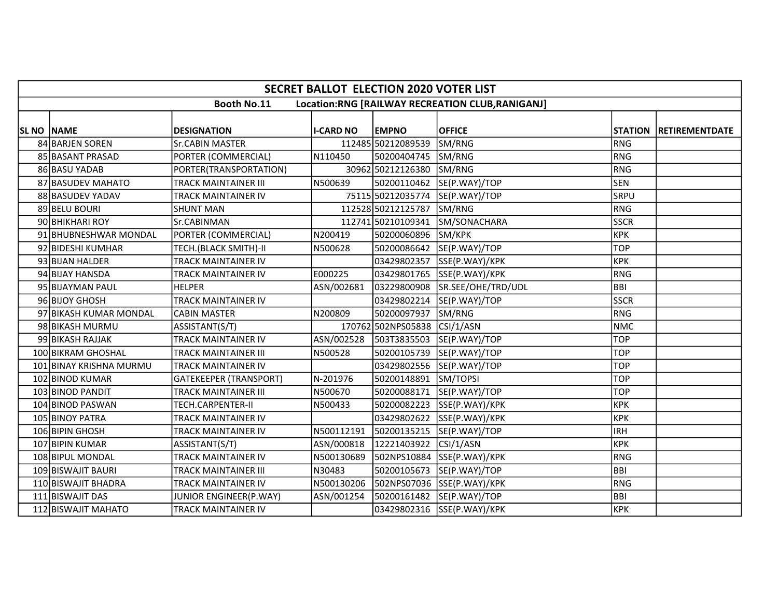|                    | <b>SECRET BALLOT ELECTION 2020 VOTER LIST</b> |                               |                  |                    |                                                 |             |                               |  |  |  |  |  |
|--------------------|-----------------------------------------------|-------------------------------|------------------|--------------------|-------------------------------------------------|-------------|-------------------------------|--|--|--|--|--|
|                    |                                               | <b>Booth No.11</b>            |                  |                    | Location:RNG [RAILWAY RECREATION CLUB,RANIGANJ] |             |                               |  |  |  |  |  |
|                    |                                               |                               |                  |                    |                                                 |             |                               |  |  |  |  |  |
| <b>SL NO INAME</b> |                                               | <b>DESIGNATION</b>            | <b>I-CARD NO</b> | <b>EMPNO</b>       | <b>OFFICE</b>                                   |             | <b>STATION RETIREMENTDATE</b> |  |  |  |  |  |
|                    | 84 BARJEN SOREN                               | <b>Sr.CABIN MASTER</b>        |                  | 112485 50212089539 | SM/RNG                                          | RNG         |                               |  |  |  |  |  |
|                    | 85 BASANT PRASAD                              | PORTER (COMMERCIAL)           | N110450          | 50200404745        | SM/RNG                                          | RNG         |                               |  |  |  |  |  |
|                    | 86 BASU YADAB                                 | PORTER(TRANSPORTATION)        |                  | 30962 50212126380  | SM/RNG                                          | RNG         |                               |  |  |  |  |  |
|                    | 87 BASUDEV MAHATO                             | TRACK MAINTAINER III          | N500639          | 50200110462        | SE(P.WAY)/TOP                                   | <b>SEN</b>  |                               |  |  |  |  |  |
|                    | 88 BASUDEV YADAV                              | <b>TRACK MAINTAINER IV</b>    |                  | 75115 50212035774  | SE(P.WAY)/TOP                                   | <b>SRPU</b> |                               |  |  |  |  |  |
|                    | 89 BELU BOURI                                 | <b>SHUNT MAN</b>              |                  | 112528 50212125787 | SM/RNG                                          | RNG         |                               |  |  |  |  |  |
|                    | 90 BHIKHARI ROY                               | Sr.CABINMAN                   |                  | 112741 50210109341 | SM/SONACHARA                                    | <b>SSCR</b> |                               |  |  |  |  |  |
|                    | 91 BHUBNESHWAR MONDAL                         | PORTER (COMMERCIAL)           | N200419          | 50200060896        | SM/KPK                                          | <b>KPK</b>  |                               |  |  |  |  |  |
|                    | 92 BIDESHI KUMHAR                             | TECH.(BLACK SMITH)-II         | N500628          | 50200086642        | SE(P.WAY)/TOP                                   | <b>TOP</b>  |                               |  |  |  |  |  |
|                    | 93 BIJAN HALDER                               | TRACK MAINTAINER IV           |                  | 03429802357        | SSE(P.WAY)/KPK                                  | <b>KPK</b>  |                               |  |  |  |  |  |
|                    | 94 BIJAY HANSDA                               | <b>TRACK MAINTAINER IV</b>    | E000225          | 03429801765        | SSE(P.WAY)/KPK                                  | RNG         |                               |  |  |  |  |  |
|                    | 95 BIJAYMAN PAUL                              | <b>HELPER</b>                 | ASN/002681       | 03229800908        | SR.SEE/OHE/TRD/UDL                              | <b>BBI</b>  |                               |  |  |  |  |  |
|                    | 96 BIJOY GHOSH                                | <b>TRACK MAINTAINER IV</b>    |                  | 03429802214        | SE(P.WAY)/TOP                                   | <b>SSCR</b> |                               |  |  |  |  |  |
|                    | 97 BIKASH KUMAR MONDAL                        | <b>CABIN MASTER</b>           | N200809          | 50200097937        | SM/RNG                                          | RNG         |                               |  |  |  |  |  |
|                    | 98 BIKASH MURMU                               | ASSISTANT(S/T)                |                  | 170762 502NPS05838 | CSI/1/ASN                                       | <b>NMC</b>  |                               |  |  |  |  |  |
|                    | 99 BIKASH RAJJAK                              | <b>TRACK MAINTAINER IV</b>    | ASN/002528       | 503T3835503        | SE(P.WAY)/TOP                                   | <b>TOP</b>  |                               |  |  |  |  |  |
|                    | <b>100 BIKRAM GHOSHAL</b>                     | <b>TRACK MAINTAINER III</b>   | N500528          |                    | 50200105739 SE(P.WAY)/TOP                       | <b>TOP</b>  |                               |  |  |  |  |  |
|                    | 101 BINAY KRISHNA MURMU                       | TRACK MAINTAINER IV           |                  |                    | 03429802556 SE(P.WAY)/TOP                       | <b>TOP</b>  |                               |  |  |  |  |  |
|                    | 102 BINOD KUMAR                               | <b>GATEKEEPER (TRANSPORT)</b> | N-201976         | 50200148891        | SM/TOPSI                                        | <b>TOP</b>  |                               |  |  |  |  |  |
|                    | 103 BINOD PANDIT                              | <b>TRACK MAINTAINER III</b>   | N500670          | 50200088171        | SE(P.WAY)/TOP                                   | <b>TOP</b>  |                               |  |  |  |  |  |
|                    | 104 BINOD PASWAN                              | TECH.CARPENTER-II             | N500433          | 50200082223        | SSE(P.WAY)/KPK                                  | <b>KPK</b>  |                               |  |  |  |  |  |
|                    | 105 BINOY PATRA                               | <b>TRACK MAINTAINER IV</b>    |                  | 03429802622        | SSE(P.WAY)/KPK                                  | <b>KPK</b>  |                               |  |  |  |  |  |
|                    | 106 BIPIN GHOSH                               | <b>TRACK MAINTAINER IV</b>    | N500112191       | 50200135215        | SE(P.WAY)/TOP                                   | <b>IRH</b>  |                               |  |  |  |  |  |
|                    | 107 BIPIN KUMAR                               | ASSISTANT(S/T)                | ASN/000818       | 12221403922        | CSI/1/ASN                                       | <b>KPK</b>  |                               |  |  |  |  |  |
|                    | 108 BIPUL MONDAL                              | <b>TRACK MAINTAINER IV</b>    | N500130689       |                    | 502NPS10884 SSE(P.WAY)/KPK                      | RNG         |                               |  |  |  |  |  |
|                    | 109 BISWAJIT BAURI                            | <b>TRACK MAINTAINER III</b>   | N30483           |                    | 50200105673 SE(P.WAY)/TOP                       | BBI         |                               |  |  |  |  |  |
|                    | 110 BISWAJIT BHADRA                           | TRACK MAINTAINER IV           | N500130206       | 502NPS07036        | SSE(P.WAY)/KPK                                  | RNG         |                               |  |  |  |  |  |
|                    | 111 BISWAJIT DAS                              | JUNIOR ENGINEER(P.WAY)        | ASN/001254       | 50200161482        | SE(P.WAY)/TOP                                   | <b>BBI</b>  |                               |  |  |  |  |  |
|                    | 112 BISWAJIT MAHATO                           | <b>TRACK MAINTAINER IV</b>    |                  |                    | 03429802316 SSE(P.WAY)/KPK                      | <b>KPK</b>  |                               |  |  |  |  |  |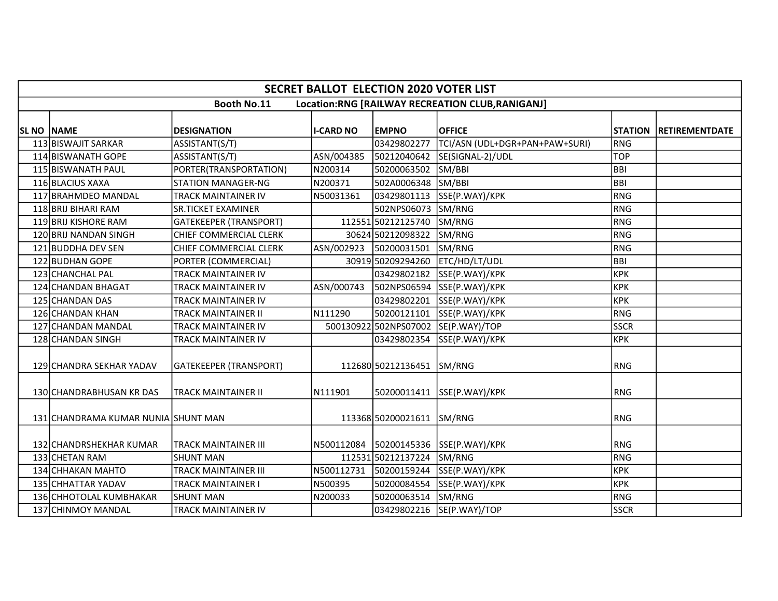|                   | <b>SECRET BALLOT ELECTION 2020 VOTER LIST</b>                         |                               |                  |                           |                                           |             |                        |  |  |  |  |  |
|-------------------|-----------------------------------------------------------------------|-------------------------------|------------------|---------------------------|-------------------------------------------|-------------|------------------------|--|--|--|--|--|
|                   | <b>Booth No.11</b><br>Location:RNG [RAILWAY RECREATION CLUB,RANIGANJ] |                               |                  |                           |                                           |             |                        |  |  |  |  |  |
| <b>SL NO NAME</b> |                                                                       | <b>DESIGNATION</b>            | <b>I-CARD NO</b> | <b>EMPNO</b>              | <b>OFFICE</b>                             |             | STATION RETIREMENTDATE |  |  |  |  |  |
|                   | 113 BISWAJIT SARKAR                                                   | ASSISTANT(S/T)                |                  | 03429802277               | TCI/ASN (UDL+DGR+PAN+PAW+SURI)            | RNG         |                        |  |  |  |  |  |
|                   | 114 BISWANATH GOPE                                                    | ASSISTANT(S/T)                | ASN/004385       | 50212040642               | SE(SIGNAL-2)/UDL                          | <b>TOP</b>  |                        |  |  |  |  |  |
|                   | 115 BISWANATH PAUL                                                    | PORTER(TRANSPORTATION)        | N200314          | 50200063502               | SM/BBI                                    | <b>BBI</b>  |                        |  |  |  |  |  |
|                   | 116 BLACIUS XAXA                                                      | <b>STATION MANAGER-NG</b>     | N200371          | 502A0006348               | SM/BBI                                    | <b>BBI</b>  |                        |  |  |  |  |  |
|                   | 117 BRAHMDEO MANDAL                                                   | <b>TRACK MAINTAINER IV</b>    | N50031361        |                           | 03429801113 SSE(P.WAY)/KPK                | <b>RNG</b>  |                        |  |  |  |  |  |
|                   | 118 BRIJ BIHARI RAM                                                   | <b>SR.TICKET EXAMINER</b>     |                  | 502NPS06073               | SM/RNG                                    | RNG         |                        |  |  |  |  |  |
|                   | <b>119 BRIJ KISHORE RAM</b>                                           | <b>GATEKEEPER (TRANSPORT)</b> |                  | 112551 50212125740        | SM/RNG                                    | RNG         |                        |  |  |  |  |  |
|                   | 120 BRIJ NANDAN SINGH                                                 | CHIEF COMMERCIAL CLERK        |                  | 30624 50212098322         | SM/RNG                                    | RNG         |                        |  |  |  |  |  |
|                   | 121 BUDDHA DEV SEN                                                    | CHIEF COMMERCIAL CLERK        |                  | ASN/002923 50200031501    | SM/RNG                                    | RNG         |                        |  |  |  |  |  |
|                   | 122 BUDHAN GOPE                                                       | PORTER (COMMERCIAL)           |                  | 30919 50209294260         | ETC/HD/LT/UDL                             | <b>BBI</b>  |                        |  |  |  |  |  |
|                   | 123 CHANCHAL PAL                                                      | <b>TRACK MAINTAINER IV</b>    |                  | 03429802182               | SSE(P.WAY)/KPK                            | <b>KPK</b>  |                        |  |  |  |  |  |
|                   | 124 CHANDAN BHAGAT                                                    | <b>TRACK MAINTAINER IV</b>    | ASN/000743       |                           | 502NPS06594 SSE(P.WAY)/KPK                | <b>KPK</b>  |                        |  |  |  |  |  |
|                   | 125 CHANDAN DAS                                                       | <b>TRACK MAINTAINER IV</b>    |                  | 03429802201               | SSE(P.WAY)/KPK                            | <b>KPK</b>  |                        |  |  |  |  |  |
|                   | 126 CHANDAN KHAN                                                      | <b>TRACK MAINTAINER II</b>    | N111290          | 50200121101               | SSE(P.WAY)/KPK                            | RNG         |                        |  |  |  |  |  |
|                   | 127 CHANDAN MANDAL                                                    | TRACK MAINTAINER IV           |                  | 500130922502NPS07002      | SE(P.WAY)/TOP                             | <b>SSCR</b> |                        |  |  |  |  |  |
|                   | 128 CHANDAN SINGH                                                     | <b>TRACK MAINTAINER IV</b>    |                  | 03429802354               | SSE(P.WAY)/KPK                            | <b>KPK</b>  |                        |  |  |  |  |  |
|                   | 129 CHANDRA SEKHAR YADAV                                              | GATEKEEPER (TRANSPORT)        |                  | 112680 50212136451 SM/RNG |                                           | RNG         |                        |  |  |  |  |  |
|                   | <b>130 CHANDRABHUSAN KR DAS</b>                                       | <b>TRACK MAINTAINER II</b>    | N111901          |                           | 50200011411   SSE(P.WAY)/KPK              | <b>RNG</b>  |                        |  |  |  |  |  |
|                   | 131 CHANDRAMA KUMAR NUNIA SHUNT MAN                                   |                               |                  | 113368 50200021611        | SM/RNG                                    | RNG         |                        |  |  |  |  |  |
|                   | 132 CHANDRSHEKHAR KUMAR                                               | <b>TRACK MAINTAINER III</b>   |                  |                           | N500112084   50200145336   SSE(P.WAY)/KPK | RNG         |                        |  |  |  |  |  |
|                   | 133 CHETAN RAM                                                        | <b>SHUNT MAN</b>              |                  | 112531 50212137224        | SM/RNG                                    | RNG         |                        |  |  |  |  |  |
|                   | 134 CHHAKAN MAHTO                                                     | <b>TRACK MAINTAINER III</b>   | N500112731       | 50200159244               | SSE(P.WAY)/KPK                            | <b>KPK</b>  |                        |  |  |  |  |  |
|                   | 135 CHHATTAR YADAV                                                    | <b>TRACK MAINTAINER I</b>     | N500395          | 50200084554               | SSE(P.WAY)/KPK                            | <b>KPK</b>  |                        |  |  |  |  |  |
|                   | 136 CHHOTOLAL KUMBHAKAR                                               | <b>SHUNT MAN</b>              | N200033          | 50200063514               | SM/RNG                                    | RNG         |                        |  |  |  |  |  |
|                   | 137 CHINMOY MANDAL                                                    | <b>TRACK MAINTAINER IV</b>    |                  |                           | 03429802216 SE(P.WAY)/TOP                 | <b>SSCR</b> |                        |  |  |  |  |  |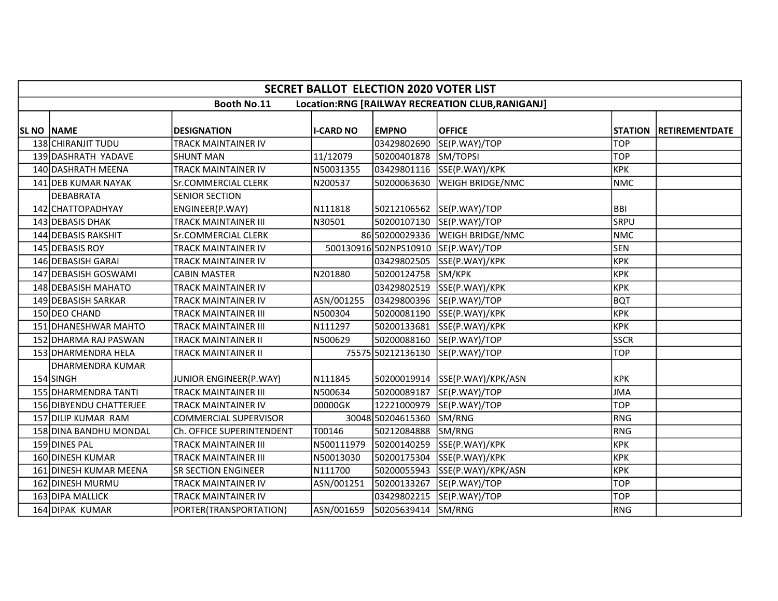|            | <b>SECRET BALLOT ELECTION 2020 VOTER LIST</b> |                              |                  |                      |                                                 |             |                        |  |  |  |  |
|------------|-----------------------------------------------|------------------------------|------------------|----------------------|-------------------------------------------------|-------------|------------------------|--|--|--|--|
|            |                                               | <b>Booth No.11</b>           |                  |                      | Location:RNG [RAILWAY RECREATION CLUB,RANIGANJ] |             |                        |  |  |  |  |
|            |                                               |                              |                  |                      |                                                 |             |                        |  |  |  |  |
| SL NO NAME |                                               | <b>DESIGNATION</b>           | <b>I-CARD NO</b> | <b>EMPNO</b>         | <b>OFFICE</b>                                   |             | STATION RETIREMENTDATE |  |  |  |  |
|            | 138 CHIRANJIT TUDU                            | <b>TRACK MAINTAINER IV</b>   |                  | 03429802690          | SE(P.WAY)/TOP                                   | <b>TOP</b>  |                        |  |  |  |  |
|            | 139 DASHRATH YADAVE                           | <b>SHUNT MAN</b>             | 11/12079         | 50200401878          | SM/TOPSI                                        | <b>TOP</b>  |                        |  |  |  |  |
|            | 140 DASHRATH MEENA                            | TRACK MAINTAINER IV          | N50031355        | 03429801116          | SSE(P.WAY)/KPK                                  | <b>KPK</b>  |                        |  |  |  |  |
|            | 141 DEB KUMAR NAYAK                           | Sr.COMMERCIAL CLERK          | N200537          | 50200063630          | <b>WEIGH BRIDGE/NMC</b>                         | NMC         |                        |  |  |  |  |
|            | <b>DEBABRATA</b>                              | <b>SENIOR SECTION</b>        |                  |                      |                                                 |             |                        |  |  |  |  |
|            | 142 CHATTOPADHYAY                             | ENGINEER(P.WAY)              | N111818          | 50212106562          | SE(P.WAY)/TOP                                   | <b>BBI</b>  |                        |  |  |  |  |
|            | 143 DEBASIS DHAK                              | <b>TRACK MAINTAINER III</b>  | N30501           | 50200107130          | SE(P.WAY)/TOP                                   | <b>SRPU</b> |                        |  |  |  |  |
|            | 144 DEBASIS RAKSHIT                           | Sr.COMMERCIAL CLERK          |                  | 86 50200029336       | <b>WEIGH BRIDGE/NMC</b>                         | NMC         |                        |  |  |  |  |
|            | 145 DEBASIS ROY                               | <b>TRACK MAINTAINER IV</b>   |                  | 500130916502NPS10910 | SE(P.WAY)/TOP                                   | <b>SEN</b>  |                        |  |  |  |  |
|            | 146 DEBASISH GARAI                            | <b>TRACK MAINTAINER IV</b>   |                  | 03429802505          | SSE(P.WAY)/KPK                                  | <b>KPK</b>  |                        |  |  |  |  |
|            | 147 DEBASISH GOSWAMI                          | <b>CABIN MASTER</b>          | N201880          | 50200124758          | SM/KPK                                          | KPK         |                        |  |  |  |  |
|            | 148 DEBASISH MAHATO                           | <b>TRACK MAINTAINER IV</b>   |                  | 03429802519          | SSE(P.WAY)/KPK                                  | KPK         |                        |  |  |  |  |
|            | 149 DEBASISH SARKAR                           | <b>TRACK MAINTAINER IV</b>   | ASN/001255       | 03429800396          | SE(P.WAY)/TOP                                   | bQT         |                        |  |  |  |  |
|            | 150 DEO CHAND                                 | <b>TRACK MAINTAINER III</b>  | N500304          | 50200081190          | SSE(P.WAY)/KPK                                  | крк         |                        |  |  |  |  |
|            | 151 DHANESHWAR MAHTO                          | <b>TRACK MAINTAINER III</b>  | N111297          | 50200133681          | SSE(P.WAY)/KPK                                  | крк         |                        |  |  |  |  |
|            | 152 DHARMA RAJ PASWAN                         | <b>TRACK MAINTAINER II</b>   | N500629          | 50200088160          | SE(P.WAY)/TOP                                   | <b>SSCR</b> |                        |  |  |  |  |
|            | 153 DHARMENDRA HELA                           | <b>TRACK MAINTAINER II</b>   |                  | 75575 50212136130    | SE(P.WAY)/TOP                                   | lTOP.       |                        |  |  |  |  |
|            | <b>DHARMENDRA KUMAR</b>                       |                              |                  |                      |                                                 |             |                        |  |  |  |  |
|            | 154 SINGH                                     | JUNIOR ENGINEER(P.WAY)       | N111845          |                      | 50200019914 SSE(P.WAY)/KPK/ASN                  | <b>KPK</b>  |                        |  |  |  |  |
|            | 155 DHARMENDRA TANTI                          | <b>TRACK MAINTAINER III</b>  | N500634          | 50200089187          | SE(P.WAY)/TOP                                   | <b>JMA</b>  |                        |  |  |  |  |
|            | 156 DIBYENDU CHATTERJEE                       | <b>TRACK MAINTAINER IV</b>   | 00000GK          | 12221000979          | SE(P.WAY)/TOP                                   | <b>TOP</b>  |                        |  |  |  |  |
|            | 157 DILIP KUMAR RAM                           | <b>COMMERCIAL SUPERVISOR</b> |                  | 30048 50204615360    | SM/RNG                                          | RNG         |                        |  |  |  |  |
|            | 158 DINA BANDHU MONDAL                        | Ch. OFFICE SUPERINTENDENT    | T00146           | 50212084888          | SM/RNG                                          | RNG         |                        |  |  |  |  |
|            | 159 DINES PAL                                 | <b>TRACK MAINTAINER III</b>  | N500111979       | 50200140259          | SSE(P.WAY)/KPK                                  | <b>KPK</b>  |                        |  |  |  |  |
|            | 160 DINESH KUMAR                              | <b>TRACK MAINTAINER III</b>  | N50013030        | 50200175304          | SSE(P.WAY)/KPK                                  | <b>KPK</b>  |                        |  |  |  |  |
|            | 161 DINESH KUMAR MEENA                        | SR SECTION ENGINEER          | N111700          | 50200055943          | SSE(P.WAY)/KPK/ASN                              | <b>KPK</b>  |                        |  |  |  |  |
|            | 162 DINESH MURMU                              | TRACK MAINTAINER IV          | ASN/001251       | 50200133267          | SE(P.WAY)/TOP                                   | <b>TOP</b>  |                        |  |  |  |  |
|            | 163 DIPA MALLICK                              | <b>TRACK MAINTAINER IV</b>   |                  | 03429802215          | SE(P.WAY)/TOP                                   | <b>TOP</b>  |                        |  |  |  |  |
|            | 164 DIPAK KUMAR                               | PORTER(TRANSPORTATION)       | ASN/001659       | 50205639414          | SM/RNG                                          | RNG         |                        |  |  |  |  |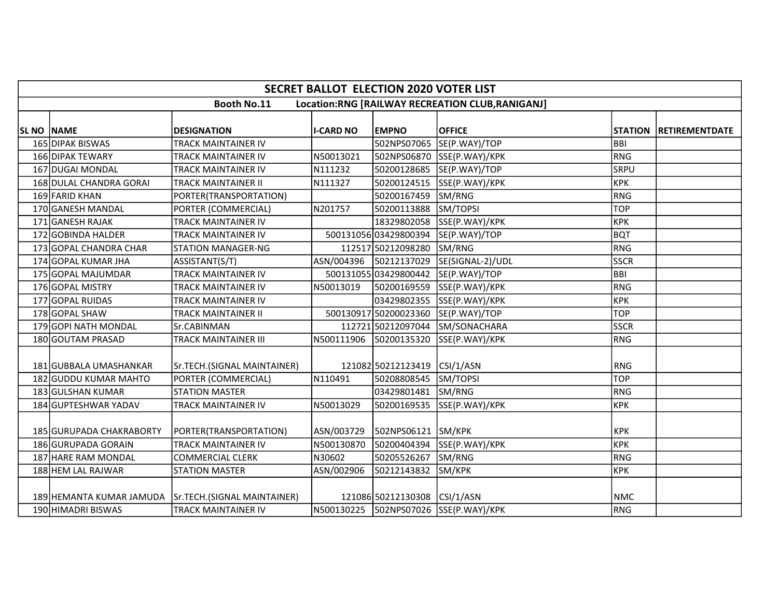|            | <b>SECRET BALLOT ELECTION 2020 VOTER LIST</b> |                                                       |                        |                              |                                                 |             |                        |  |  |  |  |
|------------|-----------------------------------------------|-------------------------------------------------------|------------------------|------------------------------|-------------------------------------------------|-------------|------------------------|--|--|--|--|
|            |                                               | <b>Booth No.11</b>                                    |                        |                              | Location:RNG [RAILWAY RECREATION CLUB,RANIGANJ] |             |                        |  |  |  |  |
|            |                                               |                                                       |                        |                              |                                                 |             |                        |  |  |  |  |
| SL NO NAME |                                               | <b>DESIGNATION</b>                                    | <b>I-CARD NO</b>       | <b>EMPNO</b>                 | <b>OFFICE</b>                                   |             | STATION RETIREMENTDATE |  |  |  |  |
|            | 165 DIPAK BISWAS                              | <b>TRACK MAINTAINER IV</b>                            |                        | 502NPS07065                  | SE(P.WAY)/TOP                                   | <b>BBI</b>  |                        |  |  |  |  |
|            | 166 DIPAK TEWARY                              | <b>TRACK MAINTAINER IV</b>                            | N50013021              |                              | 502NPS06870 SSE(P.WAY)/KPK                      | RNG         |                        |  |  |  |  |
|            | 167 DUGAI MONDAL                              | <b>TRACK MAINTAINER IV</b>                            | N111232                | 50200128685                  | SE(P.WAY)/TOP                                   | <b>SRPU</b> |                        |  |  |  |  |
|            | 168 DULAL CHANDRA GORAI                       | <b>TRACK MAINTAINER II</b>                            | N111327                | 50200124515                  | SSE(P.WAY)/KPK                                  | KPK         |                        |  |  |  |  |
|            | 169 FARID KHAN                                | PORTER(TRANSPORTATION)                                |                        | 50200167459                  | SM/RNG                                          | RNG         |                        |  |  |  |  |
|            | 170 GANESH MANDAL                             | PORTER (COMMERCIAL)                                   | N201757                | 50200113888                  | SM/TOPSI                                        | <b>TOP</b>  |                        |  |  |  |  |
|            | 171 GANESH RAJAK                              | <b>TRACK MAINTAINER IV</b>                            |                        | 18329802058                  | SSE(P.WAY)/KPK                                  | <b>KPK</b>  |                        |  |  |  |  |
|            | 172 GOBINDA HALDER                            | <b>TRACK MAINTAINER IV</b>                            |                        | 50013105603429800394         | SE(P.WAY)/TOP                                   | BQT         |                        |  |  |  |  |
|            | 173 GOPAL CHANDRA CHAR                        | <b>STATION MANAGER-NG</b>                             |                        | 112517 50212098280           | SM/RNG                                          | RNG         |                        |  |  |  |  |
|            | 174 GOPAL KUMAR JHA                           | ASSISTANT(S/T)                                        | ASN/004396 50212137029 |                              | SE(SIGNAL-2)/UDL                                | <b>SSCR</b> |                        |  |  |  |  |
|            | 175 GOPAL MAJUMDAR                            | <b>TRACK MAINTAINER IV</b>                            |                        | 50013105503429800442         | SE(P.WAY)/TOP                                   | BBI         |                        |  |  |  |  |
|            | 176 GOPAL MISTRY                              | <b>TRACK MAINTAINER IV</b>                            | N50013019              | 50200169559                  | SSE(P.WAY)/KPK                                  | RNG         |                        |  |  |  |  |
|            | 177 GOPAL RUIDAS                              | <b>TRACK MAINTAINER IV</b>                            |                        | 03429802355                  | SSE(P.WAY)/KPK                                  | KPK         |                        |  |  |  |  |
|            | 178 GOPAL SHAW                                | <b>TRACK MAINTAINER II</b>                            |                        | 500130917 50200023360        | SE(P.WAY)/TOP                                   | <b>TOP</b>  |                        |  |  |  |  |
|            | 179 GOPI NATH MONDAL                          | Sr.CABINMAN                                           |                        | 112721 50212097044           | SM/SONACHARA                                    | <b>SSCR</b> |                        |  |  |  |  |
|            | 180 GOUTAM PRASAD                             | <b>TRACK MAINTAINER III</b>                           | N500111906 50200135320 |                              | SSE(P.WAY)/KPK                                  | RNG         |                        |  |  |  |  |
|            |                                               |                                                       |                        |                              |                                                 |             |                        |  |  |  |  |
|            | 181 GUBBALA UMASHANKAR                        | Sr.TECH.(SIGNAL MAINTAINER)                           |                        | 121082 50212123419           | CSI/1/ASN                                       | <b>RNG</b>  |                        |  |  |  |  |
|            | 182 GUDDU KUMAR MAHTO                         | PORTER (COMMERCIAL)                                   | N110491                | 50208808545                  | SM/TOPSI                                        | <b>TOP</b>  |                        |  |  |  |  |
|            | 183 GULSHAN KUMAR                             | <b>STATION MASTER</b>                                 |                        | 03429801481                  | SM/RNG                                          | RNG         |                        |  |  |  |  |
|            | 184 GUPTESHWAR YADAV                          | <b>TRACK MAINTAINER IV</b>                            | N50013029              | 50200169535                  | SSE(P.WAY)/KPK                                  | <b>KPK</b>  |                        |  |  |  |  |
|            |                                               |                                                       |                        |                              |                                                 |             |                        |  |  |  |  |
|            | 185 GURUPADA CHAKRABORTY                      | PORTER(TRANSPORTATION)                                | ASN/003729             | 502NPS06121                  | SM/KPK                                          | <b>KPK</b>  |                        |  |  |  |  |
|            | 186 GURUPADA GORAIN                           | <b>TRACK MAINTAINER IV</b>                            | N500130870             | 50200404394                  | SSE(P.WAY)/KPK                                  | KPK         |                        |  |  |  |  |
|            | 187 HARE RAM MONDAL                           | <b>COMMERCIAL CLERK</b>                               | N30602                 | 50205526267                  | SM/RNG                                          | RNG         |                        |  |  |  |  |
|            | 188 HEM LAL RAJWAR                            | <b>STATION MASTER</b>                                 | ASN/002906             | 50212143832                  | SM/KPK                                          | <b>KPK</b>  |                        |  |  |  |  |
|            |                                               |                                                       |                        |                              |                                                 |             |                        |  |  |  |  |
|            |                                               | 189 HEMANTA KUMAR JAMUDA Sr.TECH. (SIGNAL MAINTAINER) |                        | 121086 50212130308 CSI/1/ASN |                                                 | <b>NMC</b>  |                        |  |  |  |  |
|            | 190 HIMADRI BISWAS                            | <b>TRACK MAINTAINER IV</b>                            |                        |                              | N500130225  502NPS07026  SSE(P.WAY)/KPK         | RNG         |                        |  |  |  |  |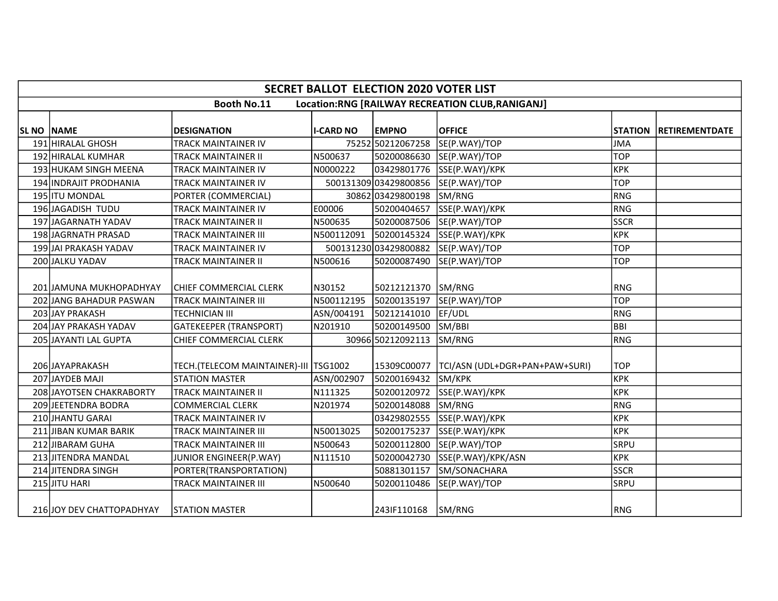|            | <b>SECRET BALLOT ELECTION 2020 VOTER LIST</b>                          |                                         |                  |                      |                                     |             |                        |  |  |  |  |  |  |
|------------|------------------------------------------------------------------------|-----------------------------------------|------------------|----------------------|-------------------------------------|-------------|------------------------|--|--|--|--|--|--|
|            | <b>Booth No.11</b><br>Location:RNG [RAILWAY RECREATION CLUB, RANIGANJ] |                                         |                  |                      |                                     |             |                        |  |  |  |  |  |  |
|            |                                                                        |                                         |                  |                      |                                     |             |                        |  |  |  |  |  |  |
| SL NO NAME |                                                                        | <b>DESIGNATION</b>                      | <b>I-CARD NO</b> | <b>EMPNO</b>         | <b>OFFICE</b>                       |             | STATION RETIREMENTDATE |  |  |  |  |  |  |
|            | 191 HIRALAL GHOSH                                                      | <b>TRACK MAINTAINER IV</b>              |                  | 75252 50212067258    | SE(P.WAY)/TOP                       | <b>JMA</b>  |                        |  |  |  |  |  |  |
|            | 192 HIRALAL KUMHAR                                                     | <b>TRACK MAINTAINER II</b>              | N500637          |                      | 50200086630 SE(P.WAY)/TOP           | <b>TOP</b>  |                        |  |  |  |  |  |  |
|            | 193 HUKAM SINGH MEENA                                                  | <b>TRACK MAINTAINER IV</b>              | N0000222         |                      | 03429801776 SSE(P.WAY)/KPK          | <b>KPK</b>  |                        |  |  |  |  |  |  |
|            | 194 INDRAJIT PRODHANIA                                                 | <b>TRACK MAINTAINER IV</b>              |                  |                      | 500131309 03429800856 SE(P.WAY)/TOP | <b>TOP</b>  |                        |  |  |  |  |  |  |
|            | 195 ITU MONDAL                                                         | PORTER (COMMERCIAL)                     |                  | 30862 03429800198    | SM/RNG                              | RNG         |                        |  |  |  |  |  |  |
|            | 196 JAGADISH TUDU                                                      | <b>TRACK MAINTAINER IV</b>              | E00006           | 50200404657          | SSE(P.WAY)/KPK                      | RNG         |                        |  |  |  |  |  |  |
|            | 197 JAGARNATH YADAV                                                    | <b>TRACK MAINTAINER II</b>              | N500635          | 50200087506          | SE(P.WAY)/TOP                       | <b>SSCR</b> |                        |  |  |  |  |  |  |
|            | 198JAGRNATH PRASAD                                                     | <b>TRACK MAINTAINER III</b>             | N500112091       | 50200145324          | SSE(P.WAY)/KPK                      | <b>KPK</b>  |                        |  |  |  |  |  |  |
|            | 199 JAI PRAKASH YADAV                                                  | <b>TRACK MAINTAINER IV</b>              |                  | 50013123003429800882 | SE(P.WAY)/TOP                       | <b>TOP</b>  |                        |  |  |  |  |  |  |
|            | 200 JALKU YADAV                                                        | TRACK MAINTAINER II                     | N500616          | 50200087490          | SE(P.WAY)/TOP                       | <b>TOP</b>  |                        |  |  |  |  |  |  |
|            | 201 JAMUNA MUKHOPADHYAY                                                | CHIEF COMMERCIAL CLERK                  | N30152           | 50212121370          | SM/RNG                              | <b>RNG</b>  |                        |  |  |  |  |  |  |
|            | <b>202 JIANG BAHADUR PASWAN</b>                                        | <b>TRACK MAINTAINER III</b>             | N500112195       | 50200135197          | SE(P.WAY)/TOP                       | TOP         |                        |  |  |  |  |  |  |
|            | 203 JAY PRAKASH                                                        | <b>TECHNICIAN III</b>                   | ASN/004191       |                      | EF/UDL                              | RNG         |                        |  |  |  |  |  |  |
|            |                                                                        |                                         |                  | 50212141010          |                                     | BBI         |                        |  |  |  |  |  |  |
|            | 204 JAY PRAKASH YADAV                                                  | <b>GATEKEEPER (TRANSPORT)</b>           | N201910          | 50200149500          | SM/BBI                              |             |                        |  |  |  |  |  |  |
|            | 205 JAYANTI LAL GUPTA                                                  | CHIEF COMMERCIAL CLERK                  |                  | 30966 50212092113    | SM/RNG                              | RNG         |                        |  |  |  |  |  |  |
|            | 206 JAYAPRAKASH                                                        | TECH.(TELECOM MAINTAINER)-III   TSG1002 |                  | 15309C00077          | TCI/ASN (UDL+DGR+PAN+PAW+SURI)      | TOP         |                        |  |  |  |  |  |  |
|            | 207 JAYDEB MAJI                                                        | <b>STATION MASTER</b>                   | ASN/002907       | 50200169432          | SM/KPK                              | <b>KPK</b>  |                        |  |  |  |  |  |  |
|            | 208 JAYOTSEN CHAKRABORTY                                               | <b>TRACK MAINTAINER II</b>              | N111325          | 50200120972          | SSE(P.WAY)/KPK                      | <b>KPK</b>  |                        |  |  |  |  |  |  |
|            | 209 JEETENDRA BODRA                                                    | <b>COMMERCIAL CLERK</b>                 | N201974          | 50200148088          | SM/RNG                              | RNG         |                        |  |  |  |  |  |  |
|            | 210 JHANTU GARAI                                                       | <b>TRACK MAINTAINER IV</b>              |                  | 03429802555          | SSE(P.WAY)/KPK                      | <b>KPK</b>  |                        |  |  |  |  |  |  |
|            | <b>211 JIBAN KUMAR BARIK</b>                                           | <b>TRACK MAINTAINER III</b>             | N50013025        | 50200175237          | SSE(P.WAY)/KPK                      | <b>KPK</b>  |                        |  |  |  |  |  |  |
|            | 212 JIBARAM GUHA                                                       | <b>TRACK MAINTAINER III</b>             | N500643          | 50200112800          | SE(P.WAY)/TOP                       | <b>SRPU</b> |                        |  |  |  |  |  |  |
|            | 213 JITENDRA MANDAL                                                    | JUNIOR ENGINEER(P.WAY)                  | N111510          | 50200042730          | SSE(P.WAY)/KPK/ASN                  | <b>KPK</b>  |                        |  |  |  |  |  |  |
|            | 214 JITENDRA SINGH                                                     | PORTER(TRANSPORTATION)                  |                  | 50881301157          | SM/SONACHARA                        | <b>SSCR</b> |                        |  |  |  |  |  |  |
|            | 215 JITU HARI                                                          | <b>TRACK MAINTAINER III</b>             | N500640          | 50200110486          | SE(P.WAY)/TOP                       | SRPU        |                        |  |  |  |  |  |  |
|            | 216 JOY DEV CHATTOPADHYAY                                              | STATION MASTER                          |                  | 2431F110168          | SM/RNG                              | RNG         |                        |  |  |  |  |  |  |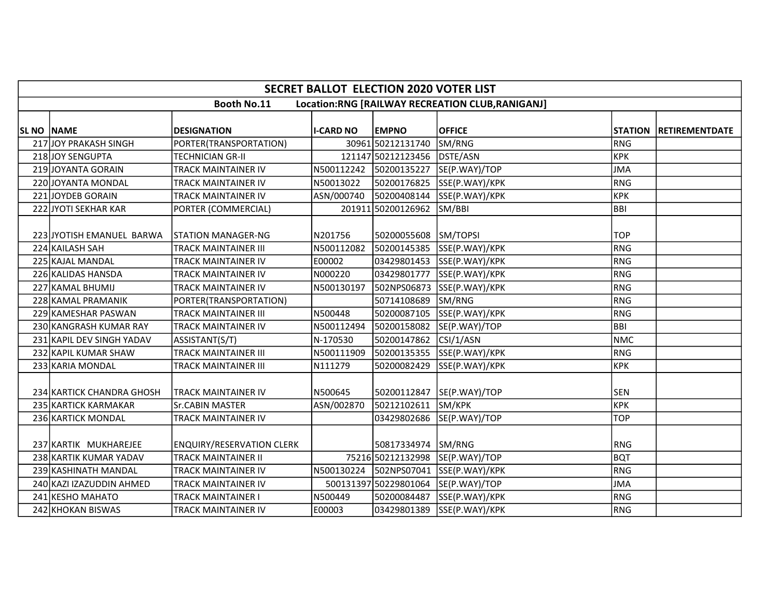|                   | <b>SECRET BALLOT ELECTION 2020 VOTER LIST</b>                         |                                  |                        |                       |                                           |            |                        |  |  |  |  |  |
|-------------------|-----------------------------------------------------------------------|----------------------------------|------------------------|-----------------------|-------------------------------------------|------------|------------------------|--|--|--|--|--|
|                   | <b>Booth No.11</b><br>Location:RNG [RAILWAY RECREATION CLUB,RANIGANJ] |                                  |                        |                       |                                           |            |                        |  |  |  |  |  |
|                   |                                                                       |                                  |                        |                       |                                           |            |                        |  |  |  |  |  |
| <b>SL NO NAME</b> |                                                                       | <b>DESIGNATION</b>               | <b>I-CARD NO</b>       | <b>EMPNO</b>          | <b>OFFICE</b>                             |            | STATION RETIREMENTDATE |  |  |  |  |  |
|                   | 217 JOY PRAKASH SINGH                                                 | PORTER(TRANSPORTATION)           |                        | 30961 50212131740     | SM/RNG                                    | RNG        |                        |  |  |  |  |  |
|                   | 218 JOY SENGUPTA                                                      | <b>TECHNICIAN GR-II</b>          |                        | 121147 50212123456    | DSTE/ASN                                  | KPK        |                        |  |  |  |  |  |
|                   | 219 JOYANTA GORAIN                                                    | <b>TRACK MAINTAINER IV</b>       | N500112242 50200135227 |                       | SE(P.WAY)/TOP                             | JMA        |                        |  |  |  |  |  |
|                   | 220 JOYANTA MONDAL                                                    | TRACK MAINTAINER IV              | N50013022              | 50200176825           | SSE(P.WAY)/KPK                            | RNG        |                        |  |  |  |  |  |
|                   | 221 JOYDEB GORAIN                                                     | <b>TRACK MAINTAINER IV</b>       | ASN/000740             | 50200408144           | SSE(P.WAY)/KPK                            | KPK        |                        |  |  |  |  |  |
|                   | 222 JYOTI SEKHAR KAR                                                  | PORTER (COMMERCIAL)              |                        | 201911 50200126962    | SM/BBI                                    | BBI        |                        |  |  |  |  |  |
|                   |                                                                       |                                  |                        |                       |                                           |            |                        |  |  |  |  |  |
|                   | 223 JYOTISH EMANUEL BARWA                                             | <b>STATION MANAGER-NG</b>        | N201756                | 50200055608           | SM/TOPSI                                  | <b>TOP</b> |                        |  |  |  |  |  |
|                   | 224 KAILASH SAH                                                       | <b>TRACK MAINTAINER III</b>      | N500112082             | 50200145385           | SSE(P.WAY)/KPK                            | <b>RNG</b> |                        |  |  |  |  |  |
|                   | 225 KAJAL MANDAL                                                      | <b>TRACK MAINTAINER IV</b>       | E00002                 | 03429801453           | SSE(P.WAY)/KPK                            | RNG        |                        |  |  |  |  |  |
|                   | 226 KALIDAS HANSDA                                                    | <b>TRACK MAINTAINER IV</b>       | N000220                | 03429801777           | SSE(P.WAY)/KPK                            | RNG        |                        |  |  |  |  |  |
|                   | 227 KAMAL BHUMIJ                                                      | <b>TRACK MAINTAINER IV</b>       | N500130197             | 502NPS06873           | SSE(P.WAY)/KPK                            | RNG        |                        |  |  |  |  |  |
|                   | 228 KAMAL PRAMANIK                                                    | PORTER(TRANSPORTATION)           |                        | 50714108689           | SM/RNG                                    | RNG        |                        |  |  |  |  |  |
|                   | 229 KAMESHAR PASWAN                                                   | <b>TRACK MAINTAINER III</b>      | N500448                | 50200087105           | SSE(P.WAY)/KPK                            | RNG        |                        |  |  |  |  |  |
|                   | 230 KANGRASH KUMAR RAY                                                | <b>TRACK MAINTAINER IV</b>       | N500112494             | 50200158082           | SE(P.WAY)/TOP                             | BBI        |                        |  |  |  |  |  |
|                   | 231 KAPIL DEV SINGH YADAV                                             | ASSISTANT(S/T)                   | N-170530               | 50200147862           | CSI/1/ASN                                 | NMC        |                        |  |  |  |  |  |
|                   | 232 KAPIL KUMAR SHAW                                                  | <b>TRACK MAINTAINER III</b>      | N500111909             | 50200135355           | SSE(P.WAY)/KPK                            | RNG        |                        |  |  |  |  |  |
|                   | 233 KARIA MONDAL                                                      | <b>TRACK MAINTAINER III</b>      | N111279                | 50200082429           | SSE(P.WAY)/KPK                            | крк        |                        |  |  |  |  |  |
|                   |                                                                       |                                  |                        |                       |                                           |            |                        |  |  |  |  |  |
|                   | 234 KARTICK CHANDRA GHOSH                                             | ITRACK MAINTAINER IV             | N500645                | 50200112847           | SE(P.WAY)/TOP                             | <b>SEN</b> |                        |  |  |  |  |  |
|                   | 235 KARTICK KARMAKAR                                                  | Sr.CABIN MASTER                  | ASN/002870             | 50212102611           | SM/KPK                                    | KPK        |                        |  |  |  |  |  |
|                   | 236 KARTICK MONDAL                                                    | TRACK MAINTAINER IV              |                        | 03429802686           | SE(P.WAY)/TOP                             | <b>TOP</b> |                        |  |  |  |  |  |
|                   |                                                                       |                                  |                        |                       |                                           |            |                        |  |  |  |  |  |
|                   | 237 KARTIK MUKHAREJEE                                                 | <b>ENQUIRY/RESERVATION CLERK</b> |                        | 50817334974           | SM/RNG                                    | <b>RNG</b> |                        |  |  |  |  |  |
|                   | 238 KARTIK KUMAR YADAV                                                | <b>TRACK MAINTAINER II</b>       |                        | 75216 50212132998     | SE(P.WAY)/TOP                             | bQT        |                        |  |  |  |  |  |
|                   | 239 KASHINATH MANDAL                                                  | TRACK MAINTAINER IV              |                        |                       | N500130224   502NPS07041   SSE(P.WAY)/KPK | RNG        |                        |  |  |  |  |  |
|                   | 240 KAZI IZAZUDDIN AHMED                                              | <b>TRACK MAINTAINER IV</b>       |                        | 500131397 50229801064 | SE(P.WAY)/TOP                             | JMA        |                        |  |  |  |  |  |
|                   | 241 KESHO MAHATO                                                      | <b>TRACK MAINTAINER I</b>        | N500449                | 50200084487           | SSE(P.WAY)/KPK                            | RNG        |                        |  |  |  |  |  |
|                   | 242 KHOKAN BISWAS                                                     | <b>TRACK MAINTAINER IV</b>       | E00003                 | 03429801389           | SSE(P.WAY)/KPK                            | RNG        |                        |  |  |  |  |  |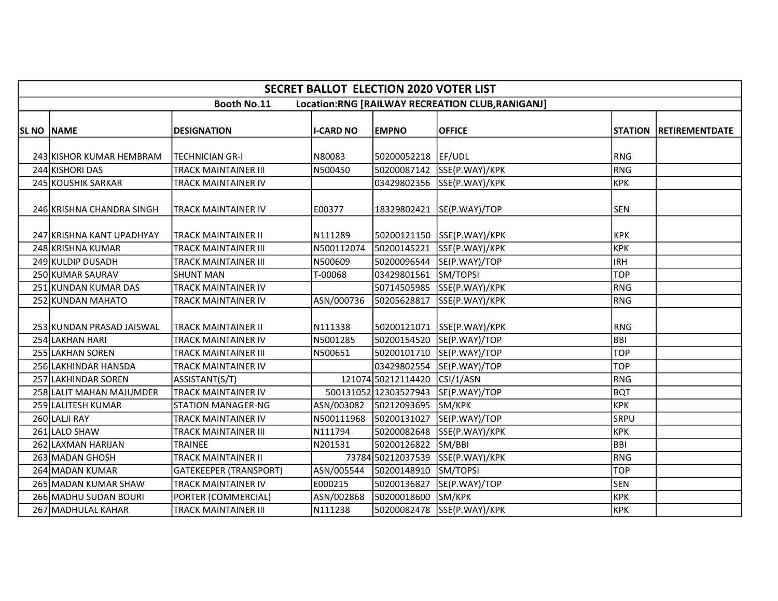|                   | <b>SECRET BALLOT ELECTION 2020 VOTER LIST</b> |                               |                  |                       |                                                 |            |                          |  |  |  |  |
|-------------------|-----------------------------------------------|-------------------------------|------------------|-----------------------|-------------------------------------------------|------------|--------------------------|--|--|--|--|
|                   |                                               | <b>Booth No.11</b>            |                  |                       | Location:RNG [RAILWAY RECREATION CLUB,RANIGANJ] |            |                          |  |  |  |  |
| <b>SL NO NAME</b> |                                               | <b>DESIGNATION</b>            | <b>I-CARD NO</b> | <b>EMPNO</b>          | <b>OFFICE</b>                                   |            | STATION   RETIREMENTDATE |  |  |  |  |
|                   |                                               |                               |                  |                       |                                                 |            |                          |  |  |  |  |
|                   | 243 KISHOR KUMAR HEMBRAM                      | <b>TECHNICIAN GR-I</b>        | N80083           | 50200052218 EF/UDL    |                                                 | <b>RNG</b> |                          |  |  |  |  |
|                   | 244 KISHORI DAS                               | <b>TRACK MAINTAINER III</b>   | N500450          | 50200087142           | SSE(P.WAY)/KPK                                  | <b>RNG</b> |                          |  |  |  |  |
|                   | 245 KOUSHIK SARKAR                            | TRACK MAINTAINER IV           |                  | 03429802356           | SSE(P.WAY)/KPK                                  | <b>KPK</b> |                          |  |  |  |  |
|                   | 246 KRISHNA CHANDRA SINGH                     | <b>TRACK MAINTAINER IV</b>    | E00377           | 18329802421           | SE(P.WAY)/TOP                                   | <b>SEN</b> |                          |  |  |  |  |
|                   | 247 KRISHNA KANT UPADHYAY                     | <b>TRACK MAINTAINER II</b>    | N111289          | 50200121150           | SSE(P.WAY)/KPK                                  | <b>KPK</b> |                          |  |  |  |  |
|                   | 248 KRISHNA KUMAR                             | <b>TRACK MAINTAINER III</b>   | N500112074       | 50200145221           | SSE(P.WAY)/KPK                                  | <b>KPK</b> |                          |  |  |  |  |
|                   | 249 KULDIP DUSADH                             | TRACK MAINTAINER III          | N500609          | 50200096544           | SE(P.WAY)/TOP                                   | <b>IRH</b> |                          |  |  |  |  |
|                   | 250 KUMAR SAURAV                              | <b>SHUNT MAN</b>              | T-00068          | 03429801561           | SM/TOPSI                                        | <b>TOP</b> |                          |  |  |  |  |
|                   | 251 KUNDAN KUMAR DAS                          | <b>TRACK MAINTAINER IV</b>    |                  | 50714505985           | SSE(P.WAY)/KPK                                  | <b>RNG</b> |                          |  |  |  |  |
|                   | 252 KUNDAN MAHATO                             | TRACK MAINTAINER IV           | ASN/000736       | 50205628817           | SSE(P.WAY)/KPK                                  | <b>RNG</b> |                          |  |  |  |  |
|                   | 253 KUNDAN PRASAD JAISWAL                     | <b>TRACK MAINTAINER II</b>    | N111338          | 50200121071           | SSE(P.WAY)/KPK                                  | <b>RNG</b> |                          |  |  |  |  |
|                   | 254 LAKHAN HARI                               | <b>TRACK MAINTAINER IV</b>    | N5001285         | 50200154520           | SE(P.WAY)/TOP                                   | <b>BBI</b> |                          |  |  |  |  |
|                   | 255 LAKHAN SOREN                              | <b>TRACK MAINTAINER III</b>   | N500651          | 50200101710           | SE(P.WAY)/TOP                                   | <b>TOP</b> |                          |  |  |  |  |
|                   | 256 LAKHINDAR HANSDA                          | TRACK MAINTAINER IV           |                  | 03429802554           | SE(P.WAY)/TOP                                   | <b>TOP</b> |                          |  |  |  |  |
|                   | 257 LAKHINDAR SOREN                           | ASSISTANT(S/T)                |                  | 121074 50212114420    | CSI/1/ASN                                       | <b>RNG</b> |                          |  |  |  |  |
|                   | 258 LALIT MAHAN MAJUMDER                      | <b>TRACK MAINTAINER IV</b>    |                  | 500131052 12303527943 | SE(P.WAY)/TOP                                   | <b>BQT</b> |                          |  |  |  |  |
|                   | 259 LALITESH KUMAR                            | <b>STATION MANAGER-NG</b>     | ASN/003082       | 50212093695           | SM/KPK                                          | <b>KPK</b> |                          |  |  |  |  |
|                   | 260 LALJI RAY                                 | <b>TRACK MAINTAINER IV</b>    | N500111968       | 50200131027           | SE(P.WAY)/TOP                                   | SRPU       |                          |  |  |  |  |
|                   | 261 LALO SHAW                                 | <b>TRACK MAINTAINER III</b>   | N111794          | 50200082648           | SSE(P.WAY)/KPK                                  | <b>KPK</b> |                          |  |  |  |  |
|                   | 262 LAXMAN HARIJAN                            | <b>TRAINEE</b>                | N201531          | 50200126822           | SM/BBI                                          | <b>BBI</b> |                          |  |  |  |  |
|                   | 263 MADAN GHOSH                               | <b>TRACK MAINTAINER II</b>    |                  | 73784 50212037539     | SSE(P.WAY)/KPK                                  | <b>RNG</b> |                          |  |  |  |  |
|                   | 264 MADAN KUMAR                               | <b>GATEKEEPER (TRANSPORT)</b> | ASN/005544       | 50200148910           | SM/TOPSI                                        | <b>TOP</b> |                          |  |  |  |  |
|                   | 265 MADAN KUMAR SHAW                          | <b>TRACK MAINTAINER IV</b>    | E000215          | 50200136827           | SE(P.WAY)/TOP                                   | <b>SEN</b> |                          |  |  |  |  |
|                   | 266 MADHU SUDAN BOURI                         | PORTER (COMMERCIAL)           | ASN/002868       | 50200018600           | SM/KPK                                          | <b>KPK</b> |                          |  |  |  |  |
|                   | 267 MADHULAL KAHAR                            | <b>TRACK MAINTAINER III</b>   | N111238          | 50200082478           | SSE(P.WAY)/KPK                                  | <b>KPK</b> |                          |  |  |  |  |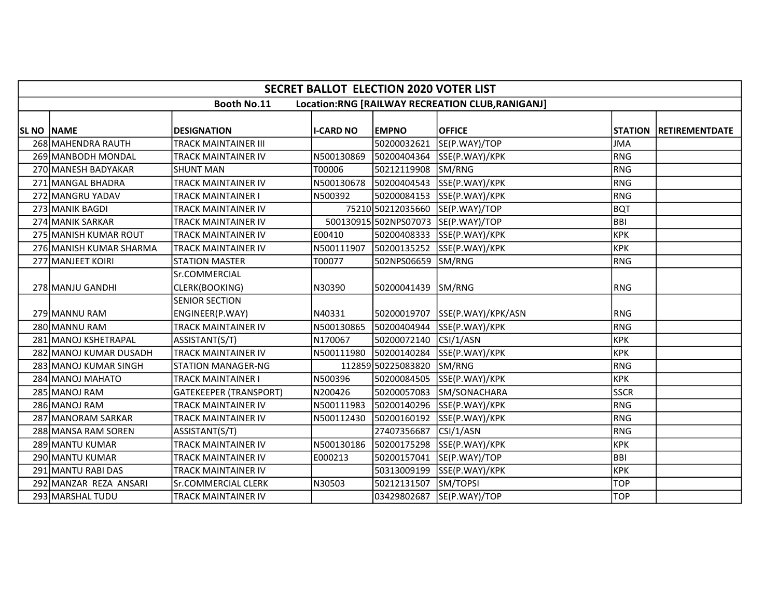|                   | <b>SECRET BALLOT ELECTION 2020 VOTER LIST</b> |                                          |                  |                      |                                                  |             |                        |  |  |  |  |  |
|-------------------|-----------------------------------------------|------------------------------------------|------------------|----------------------|--------------------------------------------------|-------------|------------------------|--|--|--|--|--|
|                   |                                               | Booth No.11                              |                  |                      | Location:RNG [RAILWAY RECREATION CLUB, RANIGANJ] |             |                        |  |  |  |  |  |
| <b>SL NO NAME</b> |                                               | <b>DESIGNATION</b>                       | <b>I-CARD NO</b> | <b>EMPNO</b>         | <b>OFFICE</b>                                    |             | STATION RETIREMENTDATE |  |  |  |  |  |
|                   | 268 MAHENDRA RAUTH                            | TRACK MAINTAINER III                     |                  | 50200032621          | SE(P.WAY)/TOP                                    | <b>JMA</b>  |                        |  |  |  |  |  |
|                   | 269 MANBODH MONDAL                            | TRACK MAINTAINER IV                      | N500130869       | 50200404364          | SSE(P.WAY)/KPK                                   | <b>RNG</b>  |                        |  |  |  |  |  |
|                   | 270 MANESH BADYAKAR                           | <b>SHUNT MAN</b>                         | T00006           | 50212119908          | SM/RNG                                           | <b>RNG</b>  |                        |  |  |  |  |  |
|                   | 271 MANGAL BHADRA                             | TRACK MAINTAINER IV                      | N500130678       | 50200404543          | SSE(P.WAY)/KPK                                   | <b>RNG</b>  |                        |  |  |  |  |  |
|                   | 272 MANGRU YADAV                              | TRACK MAINTAINER I                       | N500392          | 50200084153          | SSE(P.WAY)/KPK                                   | <b>RNG</b>  |                        |  |  |  |  |  |
|                   | 273 MANIK BAGDI                               | TRACK MAINTAINER IV                      |                  | 75210 50212035660    | SE(P.WAY)/TOP                                    | <b>BQT</b>  |                        |  |  |  |  |  |
|                   | 274 MANIK SARKAR                              | TRACK MAINTAINER IV                      |                  | 500130915502NPS07073 | SE(P.WAY)/TOP                                    | <b>BBI</b>  |                        |  |  |  |  |  |
|                   | 275 MANISH KUMAR ROUT                         | TRACK MAINTAINER IV                      | E00410           | 50200408333          | SSE(P.WAY)/KPK                                   | <b>KPK</b>  |                        |  |  |  |  |  |
|                   | 276 MANISH KUMAR SHARMA                       | TRACK MAINTAINER IV                      | N500111907       | 50200135252          | SSE(P.WAY)/KPK                                   | <b>KPK</b>  |                        |  |  |  |  |  |
|                   | 277 MANJEET KOIRI                             | <b>STATION MASTER</b>                    | T00077           | 502NPS06659          | SM/RNG                                           | <b>RNG</b>  |                        |  |  |  |  |  |
|                   | 278 MANJU GANDHI                              | Sr.COMMERCIAL<br>CLERK(BOOKING)          | N30390           | 50200041439          | SM/RNG                                           | <b>RNG</b>  |                        |  |  |  |  |  |
|                   | 279 MANNU RAM                                 | <b>SENIOR SECTION</b><br>ENGINEER(P.WAY) | N40331           | 50200019707          | SSE(P.WAY)/KPK/ASN                               | <b>RNG</b>  |                        |  |  |  |  |  |
|                   | 280 MANNU RAM                                 | <b>TRACK MAINTAINER IV</b>               | N500130865       | 50200404944          | SSE(P.WAY)/KPK                                   | <b>RNG</b>  |                        |  |  |  |  |  |
|                   | 281 MANOJ KSHETRAPAL                          | ASSISTANT(S/T)                           | N170067          | 50200072140          | CSI/1/ASN                                        | <b>KPK</b>  |                        |  |  |  |  |  |
|                   | 282 MANOJ KUMAR DUSADH                        | TRACK MAINTAINER IV                      | N500111980       | 50200140284          | SSE(P.WAY)/KPK                                   | <b>KPK</b>  |                        |  |  |  |  |  |
|                   | 283 MANOJ KUMAR SINGH                         | <b>STATION MANAGER-NG</b>                |                  | 112859 50225083820   | SM/RNG                                           | <b>RNG</b>  |                        |  |  |  |  |  |
|                   | 284 MANOJ MAHATO                              | TRACK MAINTAINER I                       | N500396          | 50200084505          | SSE(P.WAY)/KPK                                   | <b>KPK</b>  |                        |  |  |  |  |  |
|                   | 285 MANOJ RAM                                 | <b>GATEKEEPER (TRANSPORT)</b>            | N200426          | 50200057083          | SM/SONACHARA                                     | <b>SSCR</b> |                        |  |  |  |  |  |
|                   | 286 MANOJ RAM                                 | TRACK MAINTAINER IV                      | N500111983       | 50200140296          | SSE(P.WAY)/KPK                                   | <b>RNG</b>  |                        |  |  |  |  |  |
|                   | 287 MANORAM SARKAR                            | TRACK MAINTAINER IV                      | N500112430       | 50200160192          | SSE(P.WAY)/KPK                                   | <b>RNG</b>  |                        |  |  |  |  |  |
|                   | 288 MANSA RAM SOREN                           | ASSISTANT(S/T)                           |                  | 27407356687          | CSI/1/ASN                                        | <b>RNG</b>  |                        |  |  |  |  |  |
|                   | 289 MANTU KUMAR                               | TRACK MAINTAINER IV                      | N500130186       | 50200175298          | SSE(P.WAY)/KPK                                   | <b>KPK</b>  |                        |  |  |  |  |  |
|                   | 290 MANTU KUMAR                               | TRACK MAINTAINER IV                      | E000213          | 50200157041          | SE(P.WAY)/TOP                                    | BBI         |                        |  |  |  |  |  |
|                   | 291 MANTU RABI DAS                            | TRACK MAINTAINER IV                      |                  | 50313009199          | SSE(P.WAY)/KPK                                   | <b>KPK</b>  |                        |  |  |  |  |  |
|                   | 292 MANZAR REZA ANSARI                        | <b>Sr.COMMERCIAL CLERK</b>               | N30503           | 50212131507          | SM/TOPSI                                         | <b>TOP</b>  |                        |  |  |  |  |  |
|                   | 293 MARSHAL TUDU                              | TRACK MAINTAINER IV                      |                  | 03429802687          | SE(P.WAY)/TOP                                    | <b>TOP</b>  |                        |  |  |  |  |  |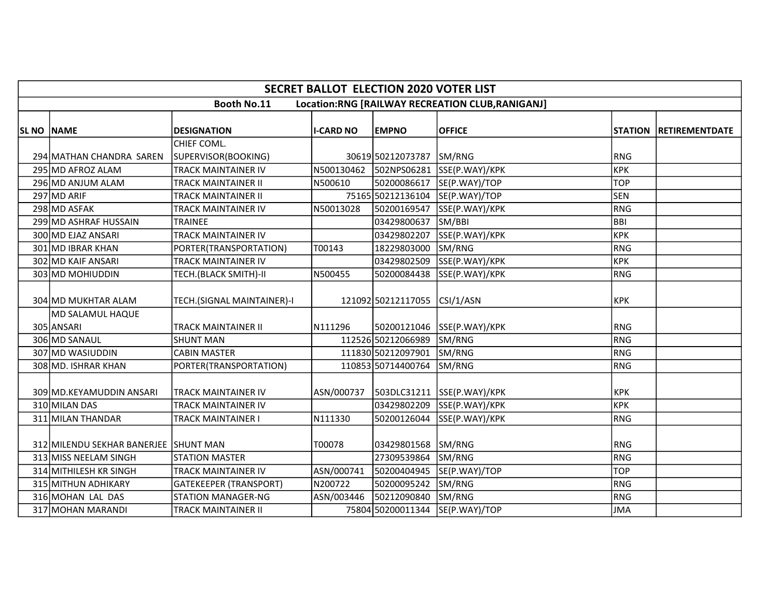|            | <b>SECRET BALLOT ELECTION 2020 VOTER LIST</b> |                               |                  |                    |                                                 |            |                        |  |  |  |  |
|------------|-----------------------------------------------|-------------------------------|------------------|--------------------|-------------------------------------------------|------------|------------------------|--|--|--|--|
|            |                                               | <b>Booth No.11</b>            |                  |                    | Location:RNG [RAILWAY RECREATION CLUB,RANIGANJ] |            |                        |  |  |  |  |
| SL NO NAME |                                               | <b>DESIGNATION</b>            | <b>I-CARD NO</b> | <b>EMPNO</b>       | <b>OFFICE</b>                                   |            | STATION RETIREMENTDATE |  |  |  |  |
|            |                                               | CHIEF COML.                   |                  |                    |                                                 |            |                        |  |  |  |  |
|            | 294 MATHAN CHANDRA SAREN                      | SUPERVISOR(BOOKING)           |                  | 30619 50212073787  | SM/RNG                                          | RNG        |                        |  |  |  |  |
|            | 295 MD AFROZ ALAM                             | <b>TRACK MAINTAINER IV</b>    | N500130462       | 502NPS06281        | SSE(P.WAY)/KPK                                  | крк        |                        |  |  |  |  |
|            | 296 MD ANJUM ALAM                             | TRACK MAINTAINER II           | N500610          | 50200086617        | SE(P.WAY)/TOP                                   | <b>TOP</b> |                        |  |  |  |  |
|            | 297 MD ARIF                                   | TRACK MAINTAINER II           |                  |                    | 75165 50212136104 SE(P.WAY)/TOP                 | <b>SEN</b> |                        |  |  |  |  |
|            | 298 MD ASFAK                                  | TRACK MAINTAINER IV           | N50013028        | 50200169547        | SSE(P.WAY)/KPK                                  | <b>RNG</b> |                        |  |  |  |  |
|            | 299 MD ASHRAF HUSSAIN                         | <b>TRAINEE</b>                |                  | 03429800637        | SM/BBI                                          | BBI        |                        |  |  |  |  |
|            | 300 MD EJAZ ANSARI                            | TRACK MAINTAINER IV           |                  | 03429802207        | SSE(P.WAY)/KPK                                  | <b>KPK</b> |                        |  |  |  |  |
|            | 301 MD IBRAR KHAN                             | PORTER(TRANSPORTATION)        | T00143           | 18229803000        | SM/RNG                                          | RNG        |                        |  |  |  |  |
|            | 302 MD KAIF ANSARI                            | TRACK MAINTAINER IV           |                  | 03429802509        | SSE(P.WAY)/KPK                                  | крк        |                        |  |  |  |  |
|            | 303 MD MOHIUDDIN                              | TECH.(BLACK SMITH)-II         | N500455          | 50200084438        | SSE(P.WAY)/KPK                                  | RNG        |                        |  |  |  |  |
|            | 304 MD MUKHTAR ALAM                           | TECH.(SIGNAL MAINTAINER)-I    |                  | 121092 50212117055 | CSI/1/ASN                                       | <b>KPK</b> |                        |  |  |  |  |
|            | MD SALAMUL HAQUE                              |                               |                  |                    |                                                 |            |                        |  |  |  |  |
|            | 305 ANSARI                                    | TRACK MAINTAINER II           | N111296          | 50200121046        | SSE(P.WAY)/KPK                                  | RNG        |                        |  |  |  |  |
|            | 306 MD SANAUL                                 | <b>SHUNT MAN</b>              |                  | 112526 50212066989 | SM/RNG                                          | RNG        |                        |  |  |  |  |
|            | 307 MD WASIUDDIN                              | <b>CABIN MASTER</b>           |                  | 111830 50212097901 | SM/RNG                                          | RNG        |                        |  |  |  |  |
|            | 308 MD. ISHRAR KHAN                           | PORTER(TRANSPORTATION)        |                  | 110853 50714400764 | SM/RNG                                          | RNG        |                        |  |  |  |  |
|            | 309 MD. KEYAMUDDIN ANSARI                     | <b>TRACK MAINTAINER IV</b>    | ASN/000737       | 503DLC31211        | SSE(P.WAY)/KPK                                  | <b>KPK</b> |                        |  |  |  |  |
|            | 310 MILAN DAS                                 | TRACK MAINTAINER IV           |                  | 03429802209        | SSE(P.WAY)/KPK                                  | <b>KPK</b> |                        |  |  |  |  |
|            | 311 MILAN THANDAR                             | TRACK MAINTAINER I            | N111330          | 50200126044        | SSE(P.WAY)/KPK                                  | RNG        |                        |  |  |  |  |
|            | 312 MILENDU SEKHAR BANERJEE SHUNT MAN         |                               | T00078           | 03429801568        | SM/RNG                                          | RNG        |                        |  |  |  |  |
|            | 313 MISS NEELAM SINGH                         | <b>STATION MASTER</b>         |                  | 27309539864        | SM/RNG                                          | RNG        |                        |  |  |  |  |
|            | 314 MITHILESH KR SINGH                        | TRACK MAINTAINER IV           | ASN/000741       | 50200404945        | SE(P.WAY)/TOP                                   | <b>TOP</b> |                        |  |  |  |  |
|            | 315 MITHUN ADHIKARY                           | <b>GATEKEEPER (TRANSPORT)</b> | N200722          | 50200095242        | SM/RNG                                          | RNG        |                        |  |  |  |  |
|            | 316 MOHAN LAL DAS                             | <b>STATION MANAGER-NG</b>     | ASN/003446       | 50212090840        | SM/RNG                                          | RNG        |                        |  |  |  |  |
|            | 317 MOHAN MARANDI                             | TRACK MAINTAINER II           |                  | 75804 50200011344  | SE(P.WAY)/TOP                                   | JMA        |                        |  |  |  |  |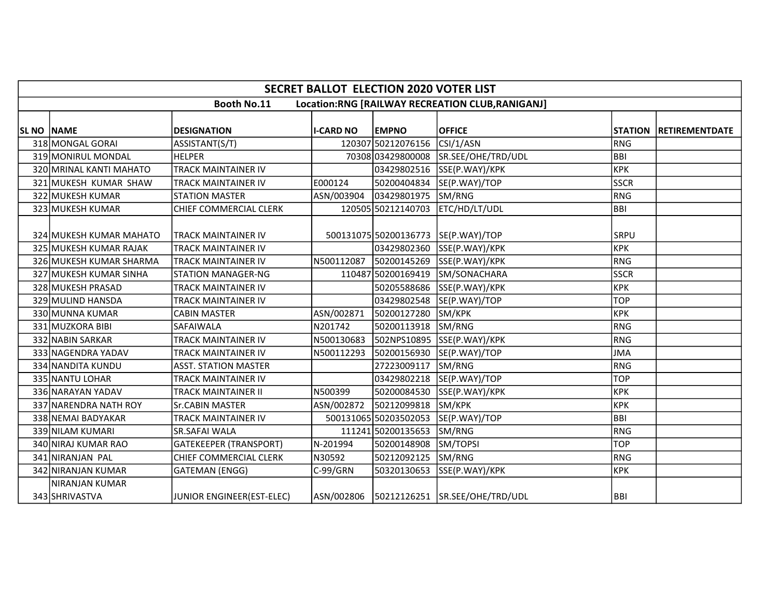|            | <b>SECRET BALLOT ELECTION 2020 VOTER LIST</b> |                               |                  |                       |                                                  |             |                               |  |  |  |  |  |
|------------|-----------------------------------------------|-------------------------------|------------------|-----------------------|--------------------------------------------------|-------------|-------------------------------|--|--|--|--|--|
|            |                                               | <b>Booth No.11</b>            |                  |                       | Location:RNG [RAILWAY RECREATION CLUB, RANIGANJ] |             |                               |  |  |  |  |  |
| SL NO NAME |                                               | <b>DESIGNATION</b>            | <b>I-CARD NO</b> | <b>EMPNO</b>          | <b>OFFICE</b>                                    |             | <b>STATION RETIREMENTDATE</b> |  |  |  |  |  |
|            | 318 MONGAL GORAI                              | ASSISTANT(S/T)                |                  | 120307 50212076156    | CSI/1/ASN                                        | RNG         |                               |  |  |  |  |  |
|            | 319 MONIRUL MONDAL                            | <b>HELPER</b>                 |                  | 7030803429800008      | SR.SEE/OHE/TRD/UDL                               | <b>BBI</b>  |                               |  |  |  |  |  |
|            | 320 MRINAL KANTI MAHATO                       | <b>TRACK MAINTAINER IV</b>    |                  | 03429802516           | SSE(P.WAY)/KPK                                   | <b>KPK</b>  |                               |  |  |  |  |  |
|            | 321 MUKESH KUMAR SHAW                         | <b>TRACK MAINTAINER IV</b>    | E000124          | 50200404834           | SE(P.WAY)/TOP                                    | <b>SSCR</b> |                               |  |  |  |  |  |
|            | 322 MUKESH KUMAR                              | <b>STATION MASTER</b>         | ASN/003904       | 03429801975           | SM/RNG                                           | RNG         |                               |  |  |  |  |  |
|            | 323 MUKESH KUMAR                              | <b>CHIEF COMMERCIAL CLERK</b> |                  |                       | 120505 50212140703 ETC/HD/LT/UDL                 | BBI         |                               |  |  |  |  |  |
|            | 324 MUKESH KUMAR MAHATO                       | <b>TRACK MAINTAINER IV</b>    |                  |                       | 500131075 50200136773 SE(P.WAY) / TOP            | SRPU        |                               |  |  |  |  |  |
|            | 325 MUKESH KUMAR RAJAK                        | <b>TRACK MAINTAINER IV</b>    |                  | 03429802360           | SSE(P.WAY)/KPK                                   | <b>KPK</b>  |                               |  |  |  |  |  |
|            | 326 MUKESH KUMAR SHARMA                       | <b>TRACK MAINTAINER IV</b>    | N500112087       | 50200145269           | SSE(P.WAY)/KPK                                   | RNG         |                               |  |  |  |  |  |
|            | 327 MUKESH KUMAR SINHA                        | <b>STATION MANAGER-NG</b>     |                  | 110487 50200169419    | SM/SONACHARA                                     | <b>SSCR</b> |                               |  |  |  |  |  |
|            | 328 MUKESH PRASAD                             | <b>TRACK MAINTAINER IV</b>    |                  | 50205588686           | SSE(P.WAY)/KPK                                   | <b>KPK</b>  |                               |  |  |  |  |  |
|            | 329 MULIND HANSDA                             | <b>TRACK MAINTAINER IV</b>    |                  | 03429802548           | SE(P.WAY)/TOP                                    | <b>TOP</b>  |                               |  |  |  |  |  |
|            | 330 MUNNA KUMAR                               | <b>CABIN MASTER</b>           | ASN/002871       | 50200127280           | SM/KPK                                           | <b>KPK</b>  |                               |  |  |  |  |  |
|            | 331 MUZKORA BIBI                              | SAFAIWALA                     | N201742          | 50200113918           | SM/RNG                                           | RNG         |                               |  |  |  |  |  |
|            | 332 NABIN SARKAR                              | <b>TRACK MAINTAINER IV</b>    | N500130683       |                       | 502NPS10895 SSE(P.WAY)/KPK                       | RNG         |                               |  |  |  |  |  |
|            | 333 NAGENDRA YADAV                            | <b>TRACK MAINTAINER IV</b>    | N500112293       | 50200156930           | SE(P.WAY)/TOP                                    | <b>JMA</b>  |                               |  |  |  |  |  |
|            | 334 NANDITA KUNDU                             | <b>ASST. STATION MASTER</b>   |                  | 27223009117           | SM/RNG                                           | RNG         |                               |  |  |  |  |  |
|            | 335 NANTU LOHAR                               | <b>TRACK MAINTAINER IV</b>    |                  |                       | 03429802218 SE(P.WAY)/TOP                        | <b>TOP</b>  |                               |  |  |  |  |  |
|            | 336 NARAYAN YADAV                             | <b>TRACK MAINTAINER II</b>    | N500399          | 50200084530           | SSE(P.WAY)/KPK                                   | <b>KPK</b>  |                               |  |  |  |  |  |
|            | 337 NARENDRA NATH ROY                         | <b>Sr.CABIN MASTER</b>        | ASN/002872       | 50212099818           | SM/KPK                                           | <b>KPK</b>  |                               |  |  |  |  |  |
|            | 338 NEMAI BADYAKAR                            | <b>TRACK MAINTAINER IV</b>    |                  | 500131065 50203502053 | SE(P.WAY)/TOP                                    | BBI         |                               |  |  |  |  |  |
|            | 339 NILAM KUMARI                              | <b>SR.SAFAI WALA</b>          |                  | 111241 50200135653    | SM/RNG                                           | RNG         |                               |  |  |  |  |  |
|            | 340 NIRAJ KUMAR RAO                           | <b>GATEKEEPER (TRANSPORT)</b> | N-201994         | 50200148908           | SM/TOPSI                                         | <b>TOP</b>  |                               |  |  |  |  |  |
|            | 341 NIRANJAN PAL                              | CHIEF COMMERCIAL CLERK        | N30592           | 50212092125           | SM/RNG                                           | RNG         |                               |  |  |  |  |  |
|            | 342 NIRANJAN KUMAR                            | <b>GATEMAN (ENGG)</b>         | C-99/GRN         | 50320130653           | SSE(P.WAY)/KPK                                   | <b>KPK</b>  |                               |  |  |  |  |  |
|            | INIRANJAN KUMAR<br>343 SHRIVASTVA             | JUNIOR ENGINEER(EST-ELEC)     |                  |                       | ASN/002806  50212126251  SR.SEE/OHE/TRD/UDL      | <b>BBI</b>  |                               |  |  |  |  |  |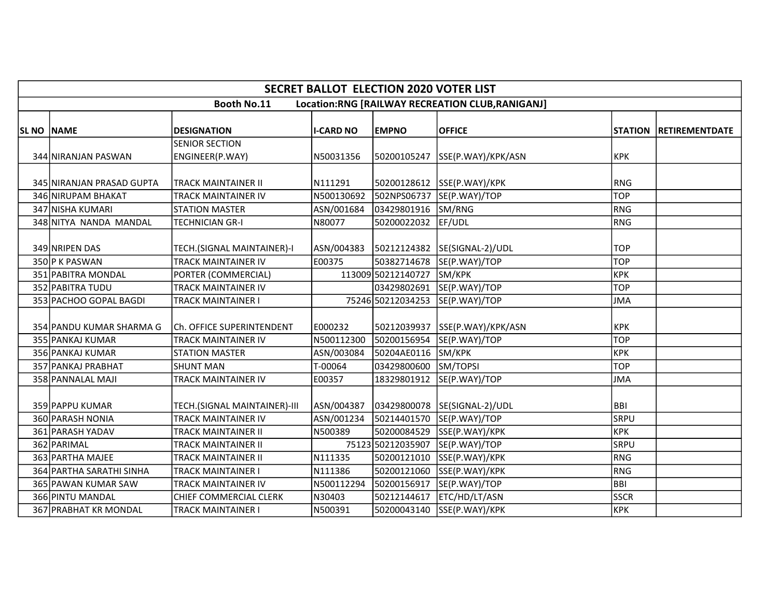|              | <b>SECRET BALLOT ELECTION 2020 VOTER LIST</b> |                                          |                  |                        |                                                  |             |                        |  |  |  |  |  |
|--------------|-----------------------------------------------|------------------------------------------|------------------|------------------------|--------------------------------------------------|-------------|------------------------|--|--|--|--|--|
|              |                                               | <b>Booth No.11</b>                       |                  |                        | Location:RNG [RAILWAY RECREATION CLUB, RANIGANJ] |             |                        |  |  |  |  |  |
| SL NO   NAME |                                               | <b>DESIGNATION</b>                       | <b>I-CARD NO</b> | <b>EMPNO</b>           | <b>OFFICE</b>                                    |             | STATION RETIREMENTDATE |  |  |  |  |  |
|              | 344 NIRANJAN PASWAN                           | <b>SENIOR SECTION</b><br>ENGINEER(P.WAY) | N50031356        | 50200105247            | SSE(P.WAY)/KPK/ASN                               | <b>KPK</b>  |                        |  |  |  |  |  |
|              | 345 NIRANJAN PRASAD GUPTA                     | <b>TRACK MAINTAINER II</b>               | N111291          |                        | 50200128612 SSE(P.WAY)/KPK                       | RNG         |                        |  |  |  |  |  |
|              | 346 NIRUPAM BHAKAT                            | <b>TRACK MAINTAINER IV</b>               | N500130692       | 502NPS06737            | SE(P.WAY)/TOP                                    | <b>TOP</b>  |                        |  |  |  |  |  |
|              | 347 NISHA KUMARI                              | <b>STATION MASTER</b>                    | ASN/001684       | 03429801916            | SM/RNG                                           | RNG         |                        |  |  |  |  |  |
|              | 348 NITYA NANDA MANDAL                        | <b>TECHNICIAN GR-I</b>                   | N80077           | 50200022032            | EF/UDL                                           | RNG         |                        |  |  |  |  |  |
|              | 349 NRIPEN DAS                                | TECH.(SIGNAL MAINTAINER)-I               |                  | ASN/004383 50212124382 | SE(SIGNAL-2)/UDL                                 | <b>TOP</b>  |                        |  |  |  |  |  |
|              | 350 P K PASWAN                                | <b>TRACK MAINTAINER IV</b>               | E00375           | 50382714678            | SE(P.WAY)/TOP                                    | <b>TOP</b>  |                        |  |  |  |  |  |
|              | 351 PABITRA MONDAL                            | PORTER (COMMERCIAL)                      |                  | 113009 50212140727     | SM/KPK                                           | KPK         |                        |  |  |  |  |  |
|              | 352 PABITRA TUDU                              | <b>TRACK MAINTAINER IV</b>               |                  | 03429802691            | SE(P.WAY)/TOP                                    | <b>TOP</b>  |                        |  |  |  |  |  |
|              | 353 PACHOO GOPAL BAGDI                        | <b>TRACK MAINTAINER I</b>                |                  | 75246 50212034253      | SE(P.WAY)/TOP                                    | <b>JMA</b>  |                        |  |  |  |  |  |
|              | 354 PANDU KUMAR SHARMA G                      | Ch. OFFICE SUPERINTENDENT                | E000232          | 50212039937            | SSE(P.WAY)/KPK/ASN                               | <b>KPK</b>  |                        |  |  |  |  |  |
|              | 355 PANKAJ KUMAR                              | <b>TRACK MAINTAINER IV</b>               | N500112300       | 50200156954            | SE(P.WAY)/TOP                                    | <b>TOP</b>  |                        |  |  |  |  |  |
|              | 356 PANKAJ KUMAR                              | <b>STATION MASTER</b>                    | ASN/003084       | 50204AE0116            | SM/KPK                                           | крк         |                        |  |  |  |  |  |
|              | 357 PANKAJ PRABHAT                            | <b>SHUNT MAN</b>                         | T-00064          | 03429800600            | SM/TOPSI                                         | <b>TOP</b>  |                        |  |  |  |  |  |
|              | 358 PANNALAL MAJI                             | <b>TRACK MAINTAINER IV</b>               | E00357           | 18329801912            | SE(P.WAY)/TOP                                    | <b>JMA</b>  |                        |  |  |  |  |  |
|              | 359 PAPPU KUMAR                               | TECH.(SIGNAL MAINTAINER)-III             |                  |                        | SE(SIGNAL-2)/UDL                                 | <b>BBI</b>  |                        |  |  |  |  |  |
|              | 360 PARASH NONIA                              | <b>TRACK MAINTAINER IV</b>               | ASN/001234       | 50214401570            | SE(P.WAY)/TOP                                    | <b>SRPU</b> |                        |  |  |  |  |  |
|              | 361 PARASH YADAV                              | <b>TRACK MAINTAINER II</b>               | N500389          | 50200084529            | SSE(P.WAY)/KPK                                   | <b>KPK</b>  |                        |  |  |  |  |  |
|              | 362 PARIMAL                                   | <b>TRACK MAINTAINER II</b>               |                  | 75123 50212035907      | SE(P.WAY)/TOP                                    | <b>SRPU</b> |                        |  |  |  |  |  |
|              | 363 PARTHA MAJEE                              | <b>TRACK MAINTAINER II</b>               | N111335          | 50200121010            | SSE(P.WAY)/KPK                                   | RNG         |                        |  |  |  |  |  |
|              | 364 PARTHA SARATHI SINHA                      | <b>TRACK MAINTAINER I</b>                | N111386          | 50200121060            | SSE(P.WAY)/KPK                                   | RNG         |                        |  |  |  |  |  |
|              | 365 PAWAN KUMAR SAW                           | TRACK MAINTAINER IV                      | N500112294       | 50200156917            | SE(P.WAY)/TOP                                    | BBI         |                        |  |  |  |  |  |
|              | 366 PINTU MANDAL                              | CHIEF COMMERCIAL CLERK                   | N30403           | 50212144617            | ETC/HD/LT/ASN                                    | <b>SSCR</b> |                        |  |  |  |  |  |
|              | 367 PRABHAT KR MONDAL                         | <b>TRACK MAINTAINER I</b>                | N500391          | 50200043140            | SSE(P.WAY)/KPK                                   | KPK         |                        |  |  |  |  |  |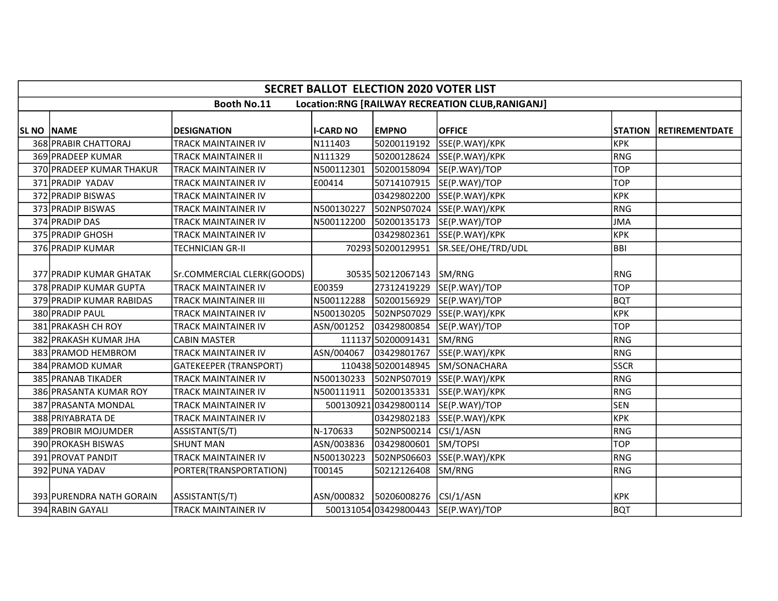|                   | <b>SECRET BALLOT ELECTION 2020 VOTER LIST</b>                  |                               |                        |                                  |                                 |             |                        |  |  |  |  |  |
|-------------------|----------------------------------------------------------------|-------------------------------|------------------------|----------------------------------|---------------------------------|-------------|------------------------|--|--|--|--|--|
|                   | Booth No.11<br>Location:RNG [RAILWAY RECREATION CLUB,RANIGANJ] |                               |                        |                                  |                                 |             |                        |  |  |  |  |  |
|                   |                                                                |                               |                        |                                  |                                 |             |                        |  |  |  |  |  |
| <b>SL NO NAME</b> |                                                                | <b>DESIGNATION</b>            | <b>I-CARD NO</b>       | <b>EMPNO</b>                     | <b>OFFICE</b>                   |             | STATION RETIREMENTDATE |  |  |  |  |  |
|                   | 368 PRABIR CHATTORAJ                                           | TRACK MAINTAINER IV           | N111403                | 50200119192                      | SSE(P.WAY)/KPK                  | <b>KPK</b>  |                        |  |  |  |  |  |
|                   | 369 PRADEEP KUMAR                                              | TRACK MAINTAINER II           | N111329                | 50200128624                      | SSE(P.WAY)/KPK                  | RNG         |                        |  |  |  |  |  |
|                   | 370 PRADEEP KUMAR THAKUR                                       | <b>TRACK MAINTAINER IV</b>    | N500112301             | 50200158094                      | SE(P.WAY)/TOP                   | <b>TOP</b>  |                        |  |  |  |  |  |
|                   | 371 PRADIP YADAV                                               | TRACK MAINTAINER IV           | E00414                 |                                  | 50714107915 SE(P.WAY)/TOP       | <b>TOP</b>  |                        |  |  |  |  |  |
|                   | 372 PRADIP BISWAS                                              | TRACK MAINTAINER IV           |                        | 03429802200                      | SSE(P.WAY)/KPK                  | <b>KPK</b>  |                        |  |  |  |  |  |
|                   | 373 PRADIP BISWAS                                              | TRACK MAINTAINER IV           | N500130227             | 502NPS07024                      | SSE(P.WAY)/KPK                  | RNG         |                        |  |  |  |  |  |
|                   | 374 PRADIP DAS                                                 | <b>TRACK MAINTAINER IV</b>    | N500112200             | 50200135173                      | SE(P.WAY)/TOP                   | JMA         |                        |  |  |  |  |  |
|                   | 375 PRADIP GHOSH                                               | TRACK MAINTAINER IV           |                        | 03429802361                      | SSE(P.WAY)/KPK                  | <b>KPK</b>  |                        |  |  |  |  |  |
|                   | 376 PRADIP KUMAR                                               | <b>TECHNICIAN GR-II</b>       |                        | 70293 50200129951                | SR.SEE/OHE/TRD/UDL              | BBI         |                        |  |  |  |  |  |
|                   |                                                                |                               |                        |                                  |                                 |             |                        |  |  |  |  |  |
|                   | 377 PRADIP KUMAR GHATAK                                        | Sr.COMMERCIAL CLERK(GOODS)    |                        | 30535 50212067143 SM/RNG         |                                 | <b>RNG</b>  |                        |  |  |  |  |  |
|                   | 378 PRADIP KUMAR GUPTA                                         | <b>TRACK MAINTAINER IV</b>    | E00359                 | 27312419229                      | SE(P.WAY)/TOP                   | <b>TOP</b>  |                        |  |  |  |  |  |
|                   | 379 PRADIP KUMAR RABIDAS                                       | <b>TRACK MAINTAINER III</b>   | N500112288             | 50200156929                      | SE(P.WAY)/TOP                   | <b>BQT</b>  |                        |  |  |  |  |  |
|                   | 380 PRADIP PAUL                                                | TRACK MAINTAINER IV           | N500130205             | 502NPS07029                      | SSE(P.WAY)/KPK                  | KPK         |                        |  |  |  |  |  |
|                   | 381 PRAKASH CH ROY                                             | <b>TRACK MAINTAINER IV</b>    | ASN/001252             | 03429800854                      | SE(P.WAY)/TOP                   | <b>TOP</b>  |                        |  |  |  |  |  |
|                   | 382 PRAKASH KUMAR JHA                                          | <b>CABIN MASTER</b>           |                        | 111137 50200091431               | SM/RNG                          | RNG         |                        |  |  |  |  |  |
|                   | 383 PRAMOD HEMBROM                                             | <b>TRACK MAINTAINER IV</b>    | ASN/004067             | 03429801767                      | SSE(P.WAY)/KPK                  | RNG         |                        |  |  |  |  |  |
|                   | 384 PRAMOD KUMAR                                               | <b>GATEKEEPER (TRANSPORT)</b> |                        |                                  | 110438 50200148945 SM/SONACHARA | <b>SSCR</b> |                        |  |  |  |  |  |
|                   | 385 PRANAB TIKADER                                             | TRACK MAINTAINER IV           | N500130233             | 502NPS07019                      | SSE(P.WAY)/KPK                  | RNG         |                        |  |  |  |  |  |
|                   | 386 PRASANTA KUMAR ROY                                         | <b>TRACK MAINTAINER IV</b>    | N500111911 50200135331 |                                  | SSE(P.WAY)/KPK                  | RNG         |                        |  |  |  |  |  |
|                   | 387 PRASANTA MONDAL                                            | TRACK MAINTAINER IV           |                        | 50013092103429800114             | SE(P.WAY)/TOP                   | <b>SEN</b>  |                        |  |  |  |  |  |
|                   | 388 PRIYABRATA DE                                              | <b>TRACK MAINTAINER IV</b>    |                        | 03429802183                      | SSE(P.WAY)/KPK                  | <b>KPK</b>  |                        |  |  |  |  |  |
|                   | 389 PROBIR MOJUMDER                                            | ASSISTANT(S/T)                | N-170633               | 502NPS00214                      | CSI/1/ASN                       | RNG         |                        |  |  |  |  |  |
|                   | 390 PROKASH BISWAS                                             | <b>SHUNT MAN</b>              | ASN/003836             | 03429800601                      | <b>SM/TOPSI</b>                 | <b>TOP</b>  |                        |  |  |  |  |  |
|                   | 391 PROVAT PANDIT                                              | <b>TRACK MAINTAINER IV</b>    | N500130223             | 502NPS06603                      | SSE(P.WAY)/KPK                  | RNG         |                        |  |  |  |  |  |
|                   | 392 PUNA YADAV                                                 | PORTER(TRANSPORTATION)        | T00145                 | 50212126408                      | SM/RNG                          | RNG         |                        |  |  |  |  |  |
|                   |                                                                |                               |                        |                                  |                                 |             |                        |  |  |  |  |  |
|                   | 393 PURENDRA NATH GORAIN                                       | ASSISTANT(S/T)                |                        | ASN/000832 50206008276 CSI/1/ASN |                                 | <b>KPK</b>  |                        |  |  |  |  |  |
|                   | 394 RABIN GAYALI                                               | <b>TRACK MAINTAINER IV</b>    |                        | 500131054 03429800443            | SE(P.WAY)/TOP                   | bQT         |                        |  |  |  |  |  |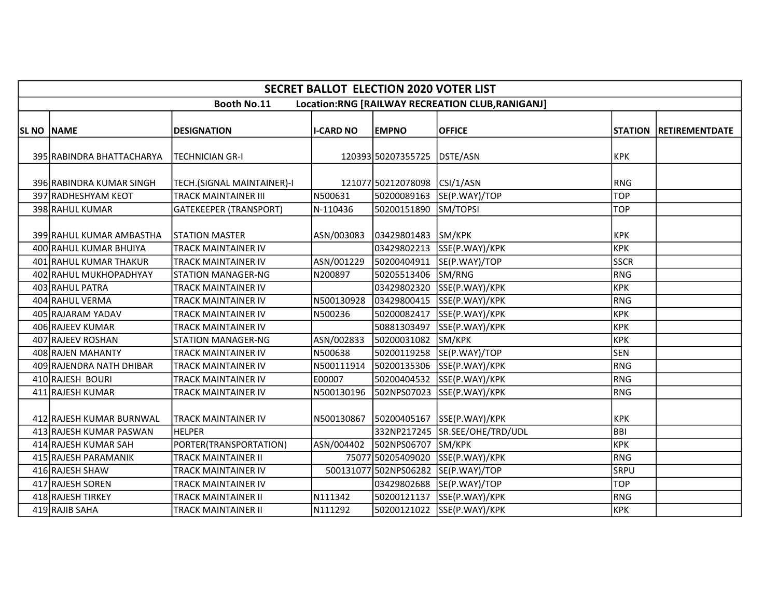|            | <b>SECRET BALLOT ELECTION 2020 VOTER LIST</b>      |                                                              |                     |                            |                                                  |                          |                        |  |  |  |  |
|------------|----------------------------------------------------|--------------------------------------------------------------|---------------------|----------------------------|--------------------------------------------------|--------------------------|------------------------|--|--|--|--|
|            |                                                    | <b>Booth No.11</b>                                           |                     |                            | Location:RNG [RAILWAY RECREATION CLUB, RANIGANJ] |                          |                        |  |  |  |  |
| SL NO NAME |                                                    | <b>DESIGNATION</b>                                           | <b>I-CARD NO</b>    | <b>EMPNO</b>               | <b>OFFICE</b>                                    |                          | STATION RETIREMENTDATE |  |  |  |  |
|            | 395 RABINDRA BHATTACHARYA                          | ITECHNICIAN GR-I                                             |                     | 120393 50207355725         | DSTE/ASN                                         | <b>KPK</b>               |                        |  |  |  |  |
|            | 396 RABINDRA KUMAR SINGH                           | TECH.(SIGNAL MAINTAINER)-I                                   |                     | 121077 50212078098         | CSI/1/ASN                                        | RNG                      |                        |  |  |  |  |
|            | 397 RADHESHYAM KEOT<br>398 RAHUL KUMAR             | <b>TRACK MAINTAINER III</b><br><b>GATEKEEPER (TRANSPORT)</b> | N500631<br>N-110436 | 50200089163<br>50200151890 | SE(P.WAY)/TOP<br>SM/TOPSI                        | <b>TOP</b><br><b>TOP</b> |                        |  |  |  |  |
|            | 399 RAHUL KUMAR AMBASTHA<br>400 RAHUL KUMAR BHUIYA | <b>STATION MASTER</b><br><b>TRACK MAINTAINER IV</b>          | ASN/003083          | 03429801483<br>03429802213 | SM/KPK<br>SSE(P.WAY)/KPK                         | <b>KPK</b><br> крк       |                        |  |  |  |  |
|            | 401 RAHUL KUMAR THAKUR                             | <b>TRACK MAINTAINER IV</b>                                   | ASN/001229          | 50200404911                | SE(P.WAY)/TOP                                    | <b>SSCR</b>              |                        |  |  |  |  |
|            | 402 RAHUL MUKHOPADHYAY                             | <b>STATION MANAGER-NG</b>                                    | N200897             | 50205513406                | SM/RNG                                           | RNG                      |                        |  |  |  |  |
|            | 403 RAHUL PATRA                                    | TRACK MAINTAINER IV                                          |                     | 03429802320                | SSE(P.WAY)/KPK                                   | KPK                      |                        |  |  |  |  |
|            | 404 RAHUL VERMA                                    | <b>TRACK MAINTAINER IV</b>                                   | N500130928          | 03429800415                | SSE(P.WAY)/KPK                                   | RNG                      |                        |  |  |  |  |
|            | 405 RAJARAM YADAV                                  | <b>TRACK MAINTAINER IV</b>                                   | N500236             | 50200082417                | SSE(P.WAY)/KPK                                   | крк                      |                        |  |  |  |  |
|            | 406 RAJEEV KUMAR                                   | TRACK MAINTAINER IV                                          |                     | 50881303497                | SSE(P.WAY)/KPK                                   | KPK                      |                        |  |  |  |  |
|            | 407 RAJEEV ROSHAN                                  | <b>STATION MANAGER-NG</b>                                    | ASN/002833          | 50200031082                | SM/KPK                                           | KPK                      |                        |  |  |  |  |
|            | 408 RAJEN MAHANTY                                  | TRACK MAINTAINER IV                                          | N500638             | 50200119258                | SE(P.WAY)/TOP                                    | <b>SEN</b>               |                        |  |  |  |  |
|            | 409 RAJENDRA NATH DHIBAR                           | TRACK MAINTAINER IV                                          | N500111914          | 50200135306                | SSE(P.WAY)/KPK                                   | RNG                      |                        |  |  |  |  |
|            | 410 RAJESH BOURI                                   | <b>TRACK MAINTAINER IV</b>                                   | E00007              | 50200404532                | SSE(P.WAY)/KPK                                   | RNG                      |                        |  |  |  |  |
|            | 411 RAJESH KUMAR                                   | <b>TRACK MAINTAINER IV</b>                                   | N500130196          | 502NPS07023                | SSE(P.WAY)/KPK                                   | RNG                      |                        |  |  |  |  |
|            | 412 RAJESH KUMAR BURNWAL                           | <b>TRACK MAINTAINER IV</b>                                   | N500130867          | 50200405167                | SSE(P.WAY)/KPK                                   | <b>KPK</b>               |                        |  |  |  |  |
|            | 413 RAJESH KUMAR PASWAN                            | <b>HELPER</b>                                                |                     | 332NP217245                | SR.SEE/OHE/TRD/UDL                               | BBI                      |                        |  |  |  |  |
|            | 414 RAJESH KUMAR SAH                               | PORTER(TRANSPORTATION)                                       | ASN/004402          | 502NPS06707                | SM/KPK                                           | крк                      |                        |  |  |  |  |
|            | 415 RAJESH PARAMANIK                               | <b>TRACK MAINTAINER II</b>                                   |                     | 75077 50205409020          | SSE(P.WAY)/KPK                                   | RNG                      |                        |  |  |  |  |
|            | 416 RAJESH SHAW                                    | <b>TRACK MAINTAINER IV</b>                                   |                     |                            | 500131077 502NPS06282 SE(P.WAY)/TOP              | <b>SRPU</b>              |                        |  |  |  |  |
|            | 417 RAJESH SOREN                                   | <b>TRACK MAINTAINER IV</b>                                   |                     | 03429802688                | SE(P.WAY)/TOP                                    | <b>TOP</b>               |                        |  |  |  |  |
|            | 418 RAJESH TIRKEY                                  | <b>TRACK MAINTAINER II</b>                                   | N111342             | 50200121137                | SSE(P.WAY)/KPK                                   | RNG                      |                        |  |  |  |  |
|            | 419 RAJIB SAHA                                     | <b>TRACK MAINTAINER II</b>                                   | N111292             | 50200121022                | SSE(P.WAY)/KPK                                   | KPK                      |                        |  |  |  |  |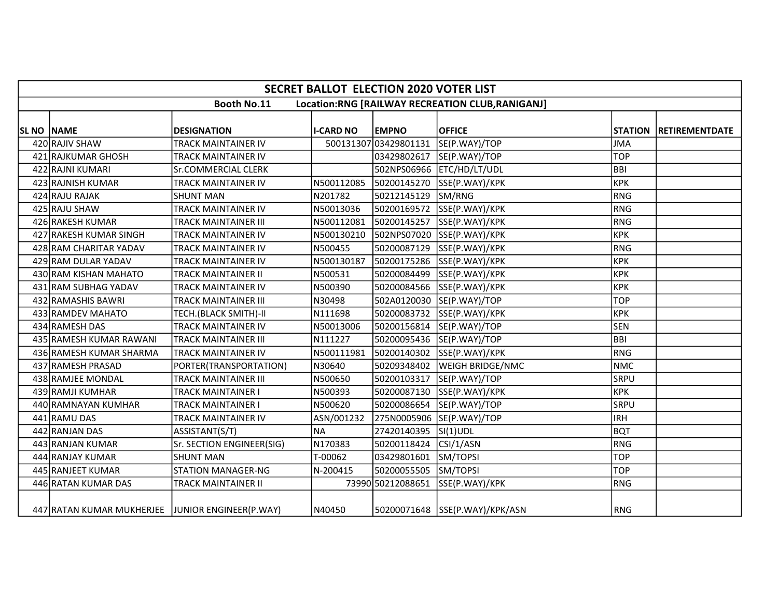|            | <b>SECRET BALLOT ELECTION 2020 VOTER LIST</b>                          |                             |                  |                       |                                |             |                        |  |  |  |  |  |
|------------|------------------------------------------------------------------------|-----------------------------|------------------|-----------------------|--------------------------------|-------------|------------------------|--|--|--|--|--|
|            | <b>Booth No.11</b><br>Location:RNG [RAILWAY RECREATION CLUB, RANIGANJ] |                             |                  |                       |                                |             |                        |  |  |  |  |  |
|            |                                                                        |                             |                  |                       |                                |             |                        |  |  |  |  |  |
| SL NO NAME |                                                                        | <b>DESIGNATION</b>          | <b>I-CARD NO</b> | <b>EMPNO</b>          | <b>OFFICE</b>                  |             | STATION RETIREMENTDATE |  |  |  |  |  |
|            | 420 RAJIV SHAW                                                         | <b>TRACK MAINTAINER IV</b>  |                  | 500131307 03429801131 | SE(P.WAY)/TOP                  | <b>JMA</b>  |                        |  |  |  |  |  |
|            | 421 RAJKUMAR GHOSH                                                     | TRACK MAINTAINER IV         |                  | 03429802617           | SE(P.WAY)/TOP                  | <b>TOP</b>  |                        |  |  |  |  |  |
|            | 422 RAJNI KUMARI                                                       | Sr.COMMERCIAL CLERK         |                  |                       | 502NPS06966 ETC/HD/LT/UDL      | <b>BBI</b>  |                        |  |  |  |  |  |
|            | 423 RAJNISH KUMAR                                                      | <b>TRACK MAINTAINER IV</b>  | N500112085       | 50200145270           | SSE(P.WAY)/KPK                 | KPK         |                        |  |  |  |  |  |
|            | 424 RAJU RAJAK                                                         | <b>SHUNT MAN</b>            | N201782          | 50212145129           | SM/RNG                         | RNG         |                        |  |  |  |  |  |
|            | 425 RAJU SHAW                                                          | <b>TRACK MAINTAINER IV</b>  | N50013036        | 50200169572           | SSE(P.WAY)/KPK                 | RNG         |                        |  |  |  |  |  |
|            | 426 RAKESH KUMAR                                                       | <b>TRACK MAINTAINER III</b> | N500112081       | 50200145257           | SSE(P.WAY)/KPK                 | RNG         |                        |  |  |  |  |  |
|            | 427 RAKESH KUMAR SINGH                                                 | TRACK MAINTAINER IV         | N500130210       | 502NPS07020           | SSE(P.WAY)/KPK                 | KPK         |                        |  |  |  |  |  |
|            | 428 RAM CHARITAR YADAV                                                 | TRACK MAINTAINER IV         | N500455          | 50200087129           | SSE(P.WAY)/KPK                 | RNG         |                        |  |  |  |  |  |
|            | 429 RAM DULAR YADAV                                                    | TRACK MAINTAINER IV         | N500130187       | 50200175286           | SSE(P.WAY)/KPK                 | <b>KPK</b>  |                        |  |  |  |  |  |
|            | 430 RAM KISHAN MAHATO                                                  | <b>TRACK MAINTAINER II</b>  | N500531          | 50200084499           | SSE(P.WAY)/KPK                 | крк         |                        |  |  |  |  |  |
|            | 431 RAM SUBHAG YADAV                                                   | <b>TRACK MAINTAINER IV</b>  | N500390          | 50200084566           | SSE(P.WAY)/KPK                 | KPK         |                        |  |  |  |  |  |
|            | 432 RAMASHIS BAWRI                                                     | <b>TRACK MAINTAINER III</b> | N30498           | 502A0120030           | SE(P.WAY)/TOP                  | <b>TOP</b>  |                        |  |  |  |  |  |
|            | 433 RAMDEV MAHATO                                                      | TECH.(BLACK SMITH)-II       | N111698          | 50200083732           | SSE(P.WAY)/KPK                 | KPK         |                        |  |  |  |  |  |
|            | 434 RAMESH DAS                                                         | TRACK MAINTAINER IV         | N50013006        | 50200156814           | SE(P.WAY)/TOP                  | <b>SEN</b>  |                        |  |  |  |  |  |
|            | 435 RAMESH KUMAR RAWANI                                                | <b>TRACK MAINTAINER III</b> | N111227          | 50200095436           | SE(P.WAY)/TOP                  | BBI         |                        |  |  |  |  |  |
|            | 436 RAMESH KUMAR SHARMA                                                | <b>TRACK MAINTAINER IV</b>  | N500111981       | 50200140302           | SSE(P.WAY)/KPK                 | RNG         |                        |  |  |  |  |  |
|            | 437 RAMESH PRASAD                                                      | PORTER(TRANSPORTATION)      | N30640           | 50209348402           | <b>WEIGH BRIDGE/NMC</b>        | NMC         |                        |  |  |  |  |  |
|            | 438 RAMJEE MONDAL                                                      | <b>TRACK MAINTAINER III</b> | N500650          | 50200103317           | SE(P.WAY)/TOP                  | <b>SRPU</b> |                        |  |  |  |  |  |
|            | 439 RAMJI KUMHAR                                                       | <b>TRACK MAINTAINER I</b>   | N500393          | 50200087130           | SSE(P.WAY)/KPK                 | <b>KPK</b>  |                        |  |  |  |  |  |
|            | 440 RAMNAYAN KUMHAR                                                    | <b>TRACK MAINTAINER I</b>   | N500620          | 50200086654           | SE(P.WAY)/TOP                  | <b>SRPU</b> |                        |  |  |  |  |  |
|            | 441 RAMU DAS                                                           | <b>TRACK MAINTAINER IV</b>  | ASN/001232       | 275N0005906           | SE(P.WAY)/TOP                  | lirh        |                        |  |  |  |  |  |
|            | 442 RANJAN DAS                                                         | ASSISTANT(S/T)              | <b>NA</b>        | 27420140395           | $SI(1)$ UDL                    | <b>BQT</b>  |                        |  |  |  |  |  |
|            | 443 RANJAN KUMAR                                                       | Sr. SECTION ENGINEER(SIG)   | N170383          | 50200118424           | CSI/1/ASN                      | RNG         |                        |  |  |  |  |  |
|            | 444 RANJAY KUMAR                                                       | <b>SHUNT MAN</b>            | T-00062          | 03429801601           | SM/TOPSI                       | <b>TOP</b>  |                        |  |  |  |  |  |
|            | 445 RANJEET KUMAR                                                      | <b>STATION MANAGER-NG</b>   | N-200415         | 50200055505           | SM/TOPSI                       | <b>TOP</b>  |                        |  |  |  |  |  |
|            | 446 RATAN KUMAR DAS                                                    | <b>TRACK MAINTAINER II</b>  |                  | 73990 50212088651     | SSE(P.WAY)/KPK                 | RNG         |                        |  |  |  |  |  |
|            | 447 RATAN KUMAR MUKHERJEE JUNIOR ENGINEER(P.WAY)                       |                             | N40450           |                       | 50200071648 SSE(P.WAY)/KPK/ASN | RNG         |                        |  |  |  |  |  |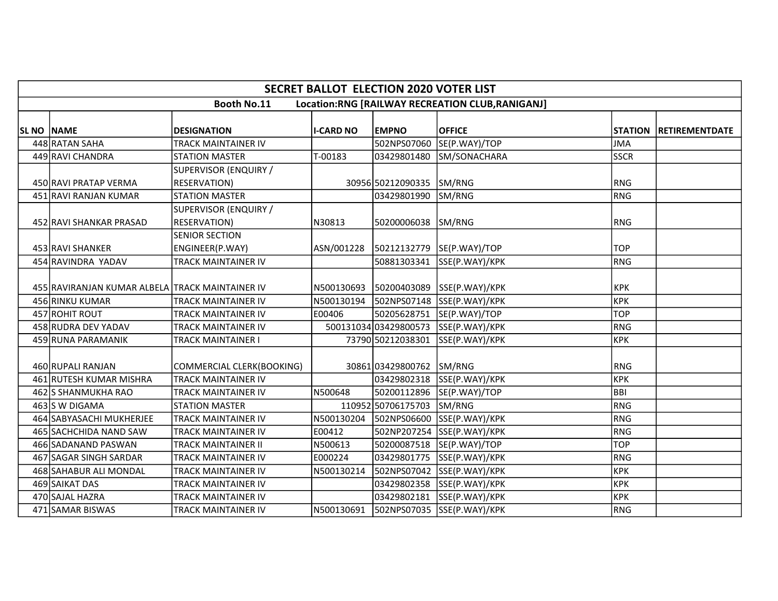|                   | <b>SECRET BALLOT ELECTION 2020 VOTER LIST</b>   |                                              |                  |                        |                                                  |             |                        |  |  |  |  |  |
|-------------------|-------------------------------------------------|----------------------------------------------|------------------|------------------------|--------------------------------------------------|-------------|------------------------|--|--|--|--|--|
|                   |                                                 | <b>Booth No.11</b>                           |                  |                        | Location:RNG [RAILWAY RECREATION CLUB, RANIGANJ] |             |                        |  |  |  |  |  |
| <b>SL NO NAME</b> |                                                 | <b>DESIGNATION</b>                           | <b>I-CARD NO</b> | <b>EMPNO</b>           | <b>OFFICE</b>                                    |             | STATION RETIREMENTDATE |  |  |  |  |  |
|                   | 448 RATAN SAHA                                  | <b>TRACK MAINTAINER IV</b>                   |                  | 502NPS07060            | SE(P.WAY)/TOP                                    | <b>JMA</b>  |                        |  |  |  |  |  |
|                   | 449 RAVI CHANDRA                                | <b>STATION MASTER</b>                        | T-00183          | 03429801480            | SM/SONACHARA                                     | <b>SSCR</b> |                        |  |  |  |  |  |
|                   |                                                 | SUPERVISOR (ENQUIRY /                        |                  |                        |                                                  |             |                        |  |  |  |  |  |
|                   | 450 RAVI PRATAP VERMA                           | <b>RESERVATION)</b>                          |                  | 30956 50212090335      | SM/RNG                                           | <b>RNG</b>  |                        |  |  |  |  |  |
|                   | 451 RAVI RANJAN KUMAR                           | <b>STATION MASTER</b>                        |                  | 03429801990            | SM/RNG                                           | RNG         |                        |  |  |  |  |  |
|                   | 452 RAVI SHANKAR PRASAD                         | SUPERVISOR (ENQUIRY /<br><b>RESERVATION)</b> | N30813           | 50200006038            | SM/RNG                                           | RNG         |                        |  |  |  |  |  |
|                   | 453 RAVI SHANKER                                | <b>SENIOR SECTION</b><br>ENGINEER(P.WAY)     | ASN/001228       |                        | 50212132779  SE(P.WAY)/TOP                       | <b>TOP</b>  |                        |  |  |  |  |  |
|                   | 454 RAVINDRA YADAV                              | TRACK MAINTAINER IV                          |                  | 50881303341            | SSE(P.WAY)/KPK                                   | RNG         |                        |  |  |  |  |  |
|                   | 455 RAVIRANJAN KUMAR ALBELA TRACK MAINTAINER IV |                                              |                  | N500130693 50200403089 | SSE(P.WAY)/KPK                                   | <b>KPK</b>  |                        |  |  |  |  |  |
|                   | 456 RINKU KUMAR                                 | <b>TRACK MAINTAINER IV</b>                   | N500130194       | 502NPS07148            | SSE(P.WAY)/KPK                                   | <b>KPK</b>  |                        |  |  |  |  |  |
|                   | 457 ROHIT ROUT                                  | TRACK MAINTAINER IV                          | E00406           | 50205628751            | SE(P.WAY)/TOP                                    | <b>TOP</b>  |                        |  |  |  |  |  |
|                   | 458 RUDRA DEV YADAV                             | <b>TRACK MAINTAINER IV</b>                   |                  | 50013103403429800573   | SSE(P.WAY)/KPK                                   | <b>RNG</b>  |                        |  |  |  |  |  |
|                   | 459 RUNA PARAMANIK                              | <b>TRACK MAINTAINER I</b>                    |                  | 73790 50212038301      | SSE(P.WAY)/KPK                                   | <b>KPK</b>  |                        |  |  |  |  |  |
|                   | 460 RUPALI RANJAN                               | COMMERCIAL CLERK(BOOKING)                    |                  | 30861 03429800762      | SM/RNG                                           | RNG         |                        |  |  |  |  |  |
|                   | 461 RUTESH KUMAR MISHRA                         | <b>TRACK MAINTAINER IV</b>                   |                  | 03429802318            | SSE(P.WAY)/KPK                                   | KPK         |                        |  |  |  |  |  |
|                   | 462 SHANMUKHA RAO                               | <b>TRACK MAINTAINER IV</b>                   | N500648          | 50200112896            | SE(P.WAY)/TOP                                    | <b>BBI</b>  |                        |  |  |  |  |  |
|                   | 463 S W DIGAMA                                  | <b>STATION MASTER</b>                        |                  | 110952 50706175703     | SM/RNG                                           | RNG         |                        |  |  |  |  |  |
|                   | 464 SABYASACHI MUKHERJEE                        | <b>TRACK MAINTAINER IV</b>                   | N500130204       | 502NPS06600            | SSE(P.WAY)/KPK                                   | RNG         |                        |  |  |  |  |  |
|                   | 465 SACHCHIDA NAND SAW                          | TRACK MAINTAINER IV                          | E00412           | 502NP207254            | SSE(P.WAY)/KPK                                   | RNG         |                        |  |  |  |  |  |
|                   | 466 SADANAND PASWAN                             | <b>TRACK MAINTAINER II</b>                   | N500613          | 50200087518            | SE(P.WAY)/TOP                                    | <b>TOP</b>  |                        |  |  |  |  |  |
|                   | 467 SAGAR SINGH SARDAR                          | <b>TRACK MAINTAINER IV</b>                   | E000224          |                        | 03429801775 SSE(P.WAY)/KPK                       | RNG         |                        |  |  |  |  |  |
|                   | 468 SAHABUR ALI MONDAL                          | <b>TRACK MAINTAINER IV</b>                   | N500130214       |                        | 502NPS07042 SSE(P.WAY)/KPK                       | <b>KPK</b>  |                        |  |  |  |  |  |
|                   | 469 SAIKAT DAS                                  | TRACK MAINTAINER IV                          |                  | 03429802358            | SSE(P.WAY)/KPK                                   | <b>KPK</b>  |                        |  |  |  |  |  |
|                   | 470 SAJAL HAZRA                                 | <b>TRACK MAINTAINER IV</b>                   |                  | 03429802181            | SSE(P.WAY)/KPK                                   | <b>KPK</b>  |                        |  |  |  |  |  |
|                   | 471 SAMAR BISWAS                                | <b>TRACK MAINTAINER IV</b>                   | N500130691       |                        | 502NPS07035 SSE(P.WAY)/KPK                       | RNG         |                        |  |  |  |  |  |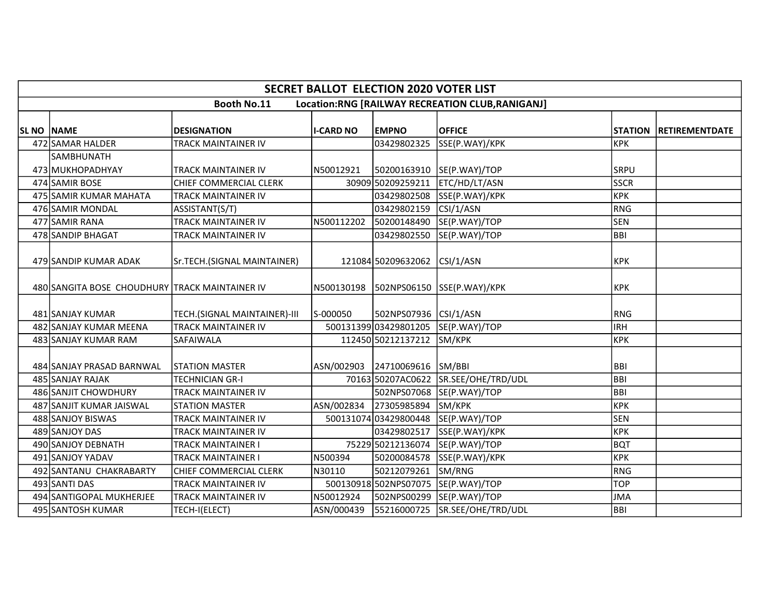|                   | <b>SECRET BALLOT ELECTION 2020 VOTER LIST</b>                         |                              |                  |                       |                    |             |                        |  |  |  |  |  |  |
|-------------------|-----------------------------------------------------------------------|------------------------------|------------------|-----------------------|--------------------|-------------|------------------------|--|--|--|--|--|--|
|                   | Location:RNG [RAILWAY RECREATION CLUB,RANIGANJ]<br><b>Booth No.11</b> |                              |                  |                       |                    |             |                        |  |  |  |  |  |  |
| <b>SL NO NAME</b> |                                                                       | <b>DESIGNATION</b>           | <b>I-CARD NO</b> | <b>EMPNO</b>          | <b>OFFICE</b>      |             | STATION RETIREMENTDATE |  |  |  |  |  |  |
|                   | 472 SAMAR HALDER                                                      | TRACK MAINTAINER IV          |                  | 03429802325           | SSE(P.WAY)/KPK     | <b>KPK</b>  |                        |  |  |  |  |  |  |
|                   | SAMBHUNATH<br>473 MUKHOPADHYAY                                        | <b>TRACK MAINTAINER IV</b>   | N50012921        | 50200163910           | SE(P.WAY)/TOP      | SRPU        |                        |  |  |  |  |  |  |
|                   | 474 SAMIR BOSE                                                        | CHIEF COMMERCIAL CLERK       |                  | 30909 50209259211     | ETC/HD/LT/ASN      | <b>SSCR</b> |                        |  |  |  |  |  |  |
|                   | 475 SAMIR KUMAR MAHATA                                                | <b>TRACK MAINTAINER IV</b>   |                  | 03429802508           | SSE(P.WAY)/KPK     | <b>KPK</b>  |                        |  |  |  |  |  |  |
|                   | 476 SAMIR MONDAL                                                      | ASSISTANT(S/T)               |                  | 03429802159           | CSI/1/ASN          | <b>RNG</b>  |                        |  |  |  |  |  |  |
|                   | 477 SAMIR RANA                                                        | <b>TRACK MAINTAINER IV</b>   | N500112202       | 50200148490           | SE(P.WAY)/TOP      | <b>SEN</b>  |                        |  |  |  |  |  |  |
|                   | 478 SANDIP BHAGAT                                                     | TRACK MAINTAINER IV          |                  | 03429802550           | SE(P.WAY)/TOP      | <b>BBI</b>  |                        |  |  |  |  |  |  |
|                   | 479 SANDIP KUMAR ADAK                                                 | Sr.TECH.(SIGNAL MAINTAINER)  |                  | 121084 50209632062    | CSI/1/ASN          | <b>KPK</b>  |                        |  |  |  |  |  |  |
|                   | 480 SANGITA BOSE CHOUDHURY TRACK MAINTAINER IV                        |                              | N500130198       | 502NPS06150           | SSE(P.WAY)/KPK     | KPK         |                        |  |  |  |  |  |  |
|                   | 481 SANJAY KUMAR                                                      | TECH.(SIGNAL MAINTAINER)-III | S-000050         | 502NPS07936 CSI/1/ASN |                    | <b>RNG</b>  |                        |  |  |  |  |  |  |
|                   | 482 SANJAY KUMAR MEENA                                                | <b>TRACK MAINTAINER IV</b>   |                  | 500131399 03429801205 | SE(P.WAY)/TOP      | <b>IRH</b>  |                        |  |  |  |  |  |  |
|                   | 483 SANJAY KUMAR RAM                                                  | SAFAIWALA                    |                  | 112450 50212137212    | SM/KPK             | <b>KPK</b>  |                        |  |  |  |  |  |  |
|                   | 484 SANJAY PRASAD BARNWAL                                             | <b>STATION MASTER</b>        | ASN/002903       | 24710069616           | SM/BBI             | <b>BBI</b>  |                        |  |  |  |  |  |  |
|                   | 485 SANJAY RAJAK                                                      | <b>TECHNICIAN GR-I</b>       |                  | 70163 50207AC0622     | SR.SEE/OHE/TRD/UDL | <b>BBI</b>  |                        |  |  |  |  |  |  |
|                   | 486 SANJIT CHOWDHURY                                                  | <b>TRACK MAINTAINER IV</b>   |                  | 502NPS07068           | SE(P.WAY)/TOP      | <b>BBI</b>  |                        |  |  |  |  |  |  |
|                   | 487 SANJIT KUMAR JAISWAL                                              | <b>STATION MASTER</b>        | ASN/002834       | 27305985894           | SM/KPK             | <b>KPK</b>  |                        |  |  |  |  |  |  |
|                   | 488 SANJOY BISWAS                                                     | TRACK MAINTAINER IV          |                  | 500131074 03429800448 | SE(P.WAY)/TOP      | <b>SEN</b>  |                        |  |  |  |  |  |  |
|                   | 489 SANJOY DAS                                                        | TRACK MAINTAINER IV          |                  | 03429802517           | SSE(P.WAY)/KPK     | <b>KPK</b>  |                        |  |  |  |  |  |  |
|                   | 490 SANJOY DEBNATH                                                    | TRACK MAINTAINER I           |                  | 75229 50212136074     | SE(P.WAY)/TOP      | <b>BQT</b>  |                        |  |  |  |  |  |  |
|                   | 491 SANJOY YADAV                                                      | TRACK MAINTAINER I           | N500394          | 50200084578           | SSE(P.WAY)/KPK     | <b>KPK</b>  |                        |  |  |  |  |  |  |
|                   | 492 SANTANU CHAKRABARTY                                               | CHIEF COMMERCIAL CLERK       | N30110           | 50212079261           | SM/RNG             | RNG         |                        |  |  |  |  |  |  |
|                   | 493 SANTI DAS                                                         | <b>TRACK MAINTAINER IV</b>   |                  | 500130918502NPS07075  | SE(P.WAY)/TOP      | <b>TOP</b>  |                        |  |  |  |  |  |  |
|                   | 494 SANTIGOPAL MUKHERJEE                                              | TRACK MAINTAINER IV          | N50012924        | 502NPS00299           | SE(P.WAY)/TOP      | <b>JMA</b>  |                        |  |  |  |  |  |  |
|                   | 495 SANTOSH KUMAR                                                     | TECH-I(ELECT)                | ASN/000439       | 55216000725           | SR.SEE/OHE/TRD/UDL | <b>BBI</b>  |                        |  |  |  |  |  |  |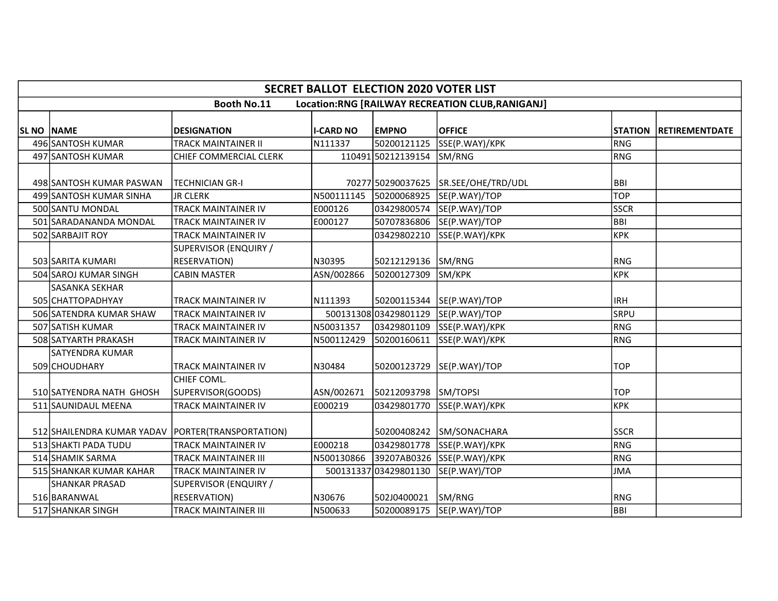|                   | <b>SECRET BALLOT ELECTION 2020 VOTER LIST</b>        |                                              |                  |                       |                                                 |                |                       |  |  |  |  |
|-------------------|------------------------------------------------------|----------------------------------------------|------------------|-----------------------|-------------------------------------------------|----------------|-----------------------|--|--|--|--|
|                   |                                                      | <b>Booth No.11</b>                           |                  |                       | Location:RNG [RAILWAY RECREATION CLUB,RANIGANJ] |                |                       |  |  |  |  |
| <b>SL NO NAME</b> |                                                      | <b>DESIGNATION</b>                           | <b>I-CARD NO</b> | <b>EMPNO</b>          | <b>OFFICE</b>                                   | <b>STATION</b> | <b>RETIREMENTDATE</b> |  |  |  |  |
|                   | 496 SANTOSH KUMAR                                    | <b>TRACK MAINTAINER II</b>                   | N111337          | 50200121125           | SSE(P.WAY)/KPK                                  | RNG            |                       |  |  |  |  |
|                   | 497 SANTOSH KUMAR                                    | CHIEF COMMERCIAL CLERK                       |                  | 110491 50212139154    | SM/RNG                                          | RNG            |                       |  |  |  |  |
|                   | 498 SANTOSH KUMAR PASWAN                             | TECHNICIAN GR-I                              |                  | 70277 50290037625     | SR.SEE/OHE/TRD/UDL                              | <b>BBI</b>     |                       |  |  |  |  |
|                   | 499 SANTOSH KUMAR SINHA                              | <b>JR CLERK</b>                              |                  |                       | SE(P.WAY)/TOP                                   | <b>TOP</b>     |                       |  |  |  |  |
|                   | 500 SANTU MONDAL                                     | <b>TRACK MAINTAINER IV</b>                   | E000126          | 03429800574           | SE(P.WAY)/TOP                                   | <b>SSCR</b>    |                       |  |  |  |  |
|                   | 501 SARADANANDA MONDAL                               | <b>TRACK MAINTAINER IV</b>                   | E000127          | 50707836806           | SE(P.WAY)/TOP                                   | BBI            |                       |  |  |  |  |
|                   | 502 SARBAJIT ROY                                     | <b>TRACK MAINTAINER IV</b>                   |                  | 03429802210           | SSE(P.WAY)/KPK                                  | крк            |                       |  |  |  |  |
|                   | 503 SARITA KUMARI                                    | SUPERVISOR (ENQUIRY /<br><b>RESERVATION)</b> | N30395           | 50212129136           | SM/RNG                                          | <b>RNG</b>     |                       |  |  |  |  |
|                   | 504 SAROJ KUMAR SINGH                                | <b>CABIN MASTER</b>                          | ASN/002866       | 50200127309           | SM/KPK                                          | KPK            |                       |  |  |  |  |
|                   | <b>SASANKA SEKHAR</b>                                |                                              |                  |                       |                                                 |                |                       |  |  |  |  |
|                   | 505 CHATTOPADHYAY                                    | <b>TRACK MAINTAINER IV</b>                   | N111393          |                       | 50200115344 SE(P.WAY)/TOP                       | <b>IRH</b>     |                       |  |  |  |  |
|                   | 506 SATENDRA KUMAR SHAW                              | <b>TRACK MAINTAINER IV</b>                   |                  | 500131308 03429801129 | SE(P.WAY)/TOP                                   | <b>SRPU</b>    |                       |  |  |  |  |
|                   | 507 SATISH KUMAR                                     | TRACK MAINTAINER IV                          | N50031357        | 03429801109           | SSE(P.WAY)/KPK                                  | RNG            |                       |  |  |  |  |
|                   | 508 SATYARTH PRAKASH                                 | <b>TRACK MAINTAINER IV</b>                   | N500112429       | 50200160611           | SSE(P.WAY)/KPK                                  | RNG            |                       |  |  |  |  |
|                   | <b>SATYENDRA KUMAR</b><br>509 CHOUDHARY              | <b>TRACK MAINTAINER IV</b>                   | N30484           | 50200123729           | SE(P.WAY)/TOP                                   | <b>TOP</b>     |                       |  |  |  |  |
|                   | 510 SATYENDRA NATH GHOSH                             | CHIEF COML.<br>SUPERVISOR(GOODS)             | ASN/002671       | 50212093798           | SM/TOPSI                                        | <b>TOP</b>     |                       |  |  |  |  |
|                   | 511 SAUNIDAUL MEENA                                  | <b>TRACK MAINTAINER IV</b>                   | E000219          | 03429801770           | SSE(P.WAY)/KPK                                  | KPK            |                       |  |  |  |  |
|                   | 512 SHAILENDRA KUMAR YADAV   PORTER (TRANSPORTATION) |                                              |                  | 50200408242           | SM/SONACHARA                                    | <b>SSCR</b>    |                       |  |  |  |  |
|                   | 513 SHAKTI PADA TUDU                                 | <b>TRACK MAINTAINER IV</b>                   | E000218          | 03429801778           | SSE(P.WAY)/KPK                                  | <b>RNG</b>     |                       |  |  |  |  |
|                   | 514 SHAMIK SARMA                                     | <b>TRACK MAINTAINER III</b>                  | N500130866       | 39207AB0326           | SSE(P.WAY)/KPK                                  | RNG            |                       |  |  |  |  |
|                   | 515 SHANKAR KUMAR KAHAR                              | <b>TRACK MAINTAINER IV</b>                   |                  | 500131337 03429801130 | SE(P.WAY)/TOP                                   | JMA            |                       |  |  |  |  |
|                   | <b>SHANKAR PRASAD</b><br>516 BARANWAL                | SUPERVISOR (ENQUIRY /<br><b>RESERVATION)</b> | N30676           | 502J0400021           | SM/RNG                                          | <b>RNG</b>     |                       |  |  |  |  |
|                   | 517 SHANKAR SINGH                                    | <b>TRACK MAINTAINER III</b>                  | N500633          | 50200089175           | SE(P.WAY)/TOP                                   | BBI            |                       |  |  |  |  |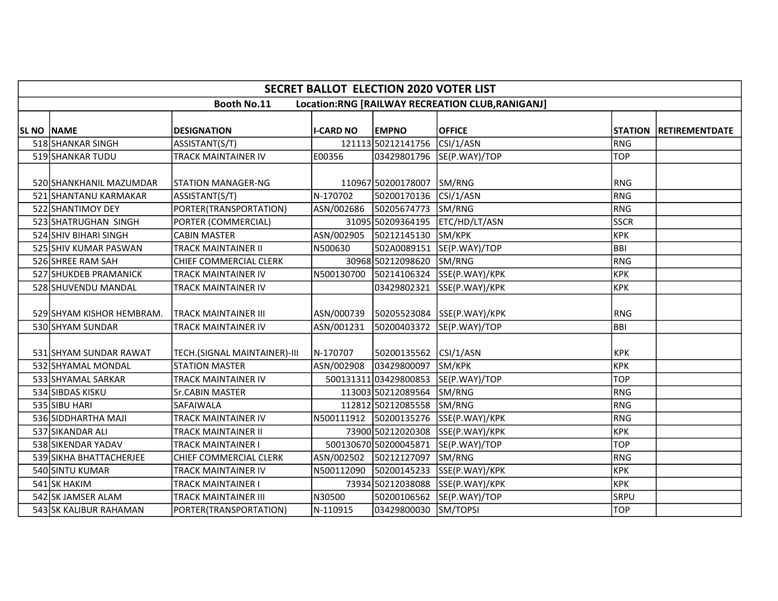|                   | <b>SECRET BALLOT ELECTION 2020 VOTER LIST</b>                         |                              |                        |                       |                |             |                        |  |  |  |  |  |
|-------------------|-----------------------------------------------------------------------|------------------------------|------------------------|-----------------------|----------------|-------------|------------------------|--|--|--|--|--|
|                   | <b>Booth No.11</b><br>Location:RNG [RAILWAY RECREATION CLUB,RANIGANJ] |                              |                        |                       |                |             |                        |  |  |  |  |  |
| <b>SL NO NAME</b> |                                                                       | <b>DESIGNATION</b>           | <b>I-CARD NO</b>       | <b>EMPNO</b>          | <b>OFFICE</b>  |             | STATION RETIREMENTDATE |  |  |  |  |  |
|                   | 518 SHANKAR SINGH                                                     | ASSISTANT(S/T)               |                        | 121113 50212141756    | CSI/1/ASN      | RNG         |                        |  |  |  |  |  |
|                   | 519 SHANKAR TUDU                                                      | TRACK MAINTAINER IV          | E00356                 | 03429801796           | SE(P.WAY)/TOP  | <b>TOP</b>  |                        |  |  |  |  |  |
|                   | 520 SHANKHANIL MAZUMDAR                                               | ISTATION MANAGER-NG          |                        | 110967 50200178007    | SM/RNG         | <b>RNG</b>  |                        |  |  |  |  |  |
|                   | 521 SHANTANU KARMAKAR                                                 | ASSISTANT(S/T)               | N-170702               | 50200170136           | CSI/1/ASN      | RNG         |                        |  |  |  |  |  |
|                   | 522 SHANTIMOY DEY                                                     | PORTER(TRANSPORTATION)       | ASN/002686             | 50205674773           | SM/RNG         | RNG         |                        |  |  |  |  |  |
|                   | 523 SHATRUGHAN SINGH                                                  | PORTER (COMMERCIAL)          |                        | 31095 50209364195     | ETC/HD/LT/ASN  | <b>SSCR</b> |                        |  |  |  |  |  |
|                   | 524 SHIV BIHARI SINGH                                                 | <b>CABIN MASTER</b>          | ASN/002905             | 50212145130           | SM/KPK         | <b>KPK</b>  |                        |  |  |  |  |  |
|                   | 525 SHIV KUMAR PASWAN                                                 | <b>TRACK MAINTAINER II</b>   | N500630                | 502A0089151           | SE(P.WAY)/TOP  | Івві        |                        |  |  |  |  |  |
|                   | 526 SHREE RAM SAH                                                     | CHIEF COMMERCIAL CLERK       |                        | 30968 50212098620     | SM/RNG         | RNG         |                        |  |  |  |  |  |
|                   | 527 SHUKDEB PRAMANICK                                                 | <b>TRACK MAINTAINER IV</b>   | N500130700             | 50214106324           | SSE(P.WAY)/KPK | <b>KPK</b>  |                        |  |  |  |  |  |
|                   | 528 SHUVENDU MANDAL                                                   | TRACK MAINTAINER IV          |                        | 03429802321           | SSE(P.WAY)/KPK | <b>KPK</b>  |                        |  |  |  |  |  |
|                   | 529 SHYAM KISHOR HEMBRAM.                                             | <b>TRACK MAINTAINER III</b>  | ASN/000739             | 50205523084           | SSE(P.WAY)/KPK | <b>RNG</b>  |                        |  |  |  |  |  |
|                   | 530 SHYAM SUNDAR                                                      | TRACK MAINTAINER IV          | ASN/001231             | 50200403372           | SE(P.WAY)/TOP  | BBI         |                        |  |  |  |  |  |
|                   | 531 SHYAM SUNDAR RAWAT                                                | TECH.(SIGNAL MAINTAINER)-III | N-170707               | 50200135562           | CSI/1/ASN      | <b>KPK</b>  |                        |  |  |  |  |  |
|                   | 532 SHYAMAL MONDAL                                                    | <b>STATION MASTER</b>        | ASN/002908             | 03429800097           | SM/KPK         | KPK         |                        |  |  |  |  |  |
|                   | 533 SHYAMAL SARKAR                                                    | TRACK MAINTAINER IV          |                        | 50013131103429800853  | SE(P.WAY)/TOP  | <b>TOP</b>  |                        |  |  |  |  |  |
|                   | 534 SIBDAS KISKU                                                      | <b>Sr.CABIN MASTER</b>       |                        | 113003 50212089564    | SM/RNG         | RNG         |                        |  |  |  |  |  |
|                   | 535 SIBU HARI                                                         | <b>SAFAIWALA</b>             |                        | 112812 50212085558    | SM/RNG         | RNG         |                        |  |  |  |  |  |
|                   | 536 SIDDHARTHA MAJI                                                   | TRACK MAINTAINER IV          | N500111912 50200135276 |                       | SSE(P.WAY)/KPK | RNG         |                        |  |  |  |  |  |
|                   | 537 SIKANDAR ALI                                                      | TRACK MAINTAINER II          |                        | 73900 50212020308     | SSE(P.WAY)/KPK | KPK         |                        |  |  |  |  |  |
|                   | 538 SIKENDAR YADAV                                                    | <b>TRACK MAINTAINER I</b>    |                        | 500130670 50200045871 | SE(P.WAY)/TOP  | <b>TOP</b>  |                        |  |  |  |  |  |
|                   | 539 SIKHA BHATTACHERJEE                                               | CHIEF COMMERCIAL CLERK       | ASN/002502             | 50212127097           | SM/RNG         | RNG         |                        |  |  |  |  |  |
|                   | 540 SINTU KUMAR                                                       | <b>TRACK MAINTAINER IV</b>   | N500112090             | 50200145233           | SSE(P.WAY)/KPK | <b>KPK</b>  |                        |  |  |  |  |  |
|                   | 541 SK HAKIM                                                          | TRACK MAINTAINER I           |                        | 73934 50212038088     | SSE(P.WAY)/KPK | крк         |                        |  |  |  |  |  |
|                   | 542 SK JAMSER ALAM                                                    | <b>TRACK MAINTAINER III</b>  | N30500                 | 50200106562           | SE(P.WAY)/TOP  | <b>SRPU</b> |                        |  |  |  |  |  |
|                   | 543 SK KALIBUR RAHAMAN                                                | PORTER(TRANSPORTATION)       | N-110915               | 03429800030           | SM/TOPSI       | TOP         |                        |  |  |  |  |  |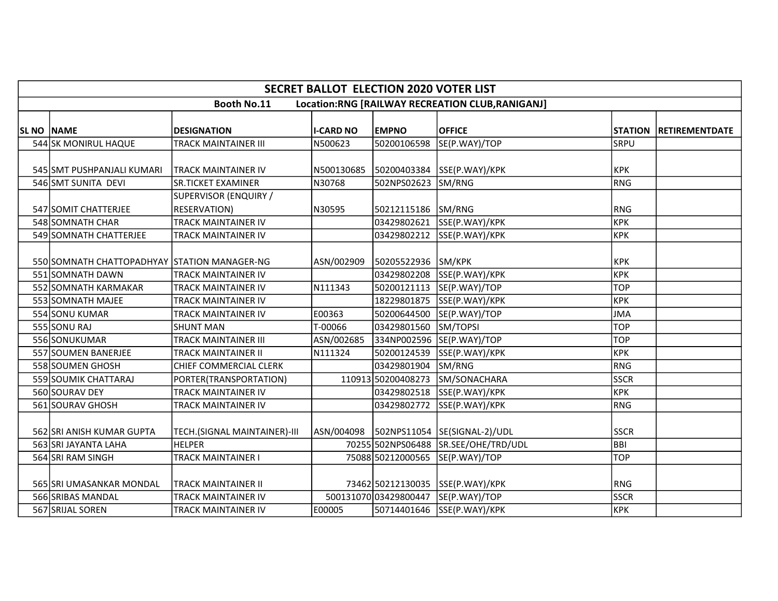|                   | <b>SECRET BALLOT ELECTION 2020 VOTER LIST</b>                         |                              |                  |                      |                                           |                |                       |  |  |  |  |  |
|-------------------|-----------------------------------------------------------------------|------------------------------|------------------|----------------------|-------------------------------------------|----------------|-----------------------|--|--|--|--|--|
|                   | <b>Booth No.11</b><br>Location:RNG [RAILWAY RECREATION CLUB,RANIGANJ] |                              |                  |                      |                                           |                |                       |  |  |  |  |  |
|                   |                                                                       |                              |                  |                      |                                           |                |                       |  |  |  |  |  |
| <b>SL NO NAME</b> |                                                                       | <b>DESIGNATION</b>           | <b>I-CARD NO</b> | <b>EMPNO</b>         | <b>OFFICE</b>                             | <b>STATION</b> | <b>RETIREMENTDATE</b> |  |  |  |  |  |
|                   | 544 SK MONIRUL HAQUE                                                  | <b>TRACK MAINTAINER III</b>  | N500623          | 50200106598          | SE(P.WAY)/TOP                             | <b>SRPU</b>    |                       |  |  |  |  |  |
|                   | 545 SMT PUSHPANJALI KUMARI                                            | ITRACK MAINTAINER IV         | N500130685       | 50200403384          | SSE(P.WAY)/KPK                            | <b>KPK</b>     |                       |  |  |  |  |  |
|                   | 546 SMT SUNITA DEVI                                                   | <b>SR.TICKET EXAMINER</b>    | N30768           | 502NPS02623          | SM/RNG                                    | RNG            |                       |  |  |  |  |  |
|                   |                                                                       | SUPERVISOR (ENQUIRY /        |                  |                      |                                           |                |                       |  |  |  |  |  |
|                   | 547 SOMIT CHATTERJEE                                                  | <b>RESERVATION)</b>          | N30595           | 50212115186          | SM/RNG                                    | <b>RNG</b>     |                       |  |  |  |  |  |
|                   | 548 SOMNATH CHAR                                                      | <b>TRACK MAINTAINER IV</b>   |                  | 03429802621          | SSE(P.WAY)/KPK                            | крк            |                       |  |  |  |  |  |
|                   | 549 SOMNATH CHATTERJEE                                                | <b>TRACK MAINTAINER IV</b>   |                  | 03429802212          | SSE(P.WAY)/KPK                            | крк            |                       |  |  |  |  |  |
|                   | 550 SOMNATH CHATTOPADHYAY STATION MANAGER-NG                          |                              | ASN/002909       | 50205522936          | SM/KPK                                    | <b>KPK</b>     |                       |  |  |  |  |  |
|                   | 551 SOMNATH DAWN                                                      | <b>TRACK MAINTAINER IV</b>   |                  | 03429802208          | SSE(P.WAY)/KPK                            | <b>KPK</b>     |                       |  |  |  |  |  |
|                   | 552 SOMNATH KARMAKAR                                                  | TRACK MAINTAINER IV          | N111343          | 50200121113          | SE(P.WAY)/TOP                             | <b>TOP</b>     |                       |  |  |  |  |  |
|                   | 553 SOMNATH MAJEE                                                     | <b>TRACK MAINTAINER IV</b>   |                  | 18229801875          | SSE(P.WAY)/KPK                            | <b>KPK</b>     |                       |  |  |  |  |  |
|                   | 554 SONU KUMAR                                                        | <b>TRACK MAINTAINER IV</b>   | E00363           | 50200644500          | SE(P.WAY)/TOP                             | <b>JMA</b>     |                       |  |  |  |  |  |
|                   | 555 SONU RAJ                                                          | <b>SHUNT MAN</b>             | T-00066          | 03429801560          | SM/TOPSI                                  | <b>TOP</b>     |                       |  |  |  |  |  |
|                   | 556 SONUKUMAR                                                         | <b>TRACK MAINTAINER III</b>  | ASN/002685       | 334NP002596          | SE(P.WAY)/TOP                             | <b>TOP</b>     |                       |  |  |  |  |  |
|                   | 557 SOUMEN BANERJEE                                                   | <b>TRACK MAINTAINER II</b>   | N111324          | 50200124539          | SSE(P.WAY)/KPK                            | KPK            |                       |  |  |  |  |  |
|                   | 558 SOUMEN GHOSH                                                      | CHIEF COMMERCIAL CLERK       |                  | 03429801904          | SM/RNG                                    | RNG            |                       |  |  |  |  |  |
|                   | 559 SOUMIK CHATTARAJ                                                  | PORTER(TRANSPORTATION)       |                  | 110913 50200408273   | SM/SONACHARA                              | <b>SSCR</b>    |                       |  |  |  |  |  |
|                   | 560 SOURAV DEY                                                        | <b>TRACK MAINTAINER IV</b>   |                  | 03429802518          | SSE(P.WAY)/KPK                            | KPK            |                       |  |  |  |  |  |
|                   | 561 SOURAV GHOSH                                                      | TRACK MAINTAINER IV          |                  | 03429802772          | SSE(P.WAY)/KPK                            | RNG            |                       |  |  |  |  |  |
|                   | 562 SRI ANISH KUMAR GUPTA                                             | TECH.(SIGNAL MAINTAINER)-III |                  |                      | ASN/004098  502NPS11054  SE(SIGNAL-2)/UDL | <b>SSCR</b>    |                       |  |  |  |  |  |
|                   | 563 SRI JAYANTA LAHA                                                  | <b>HELPER</b>                |                  | 70255 502NPS06488    | SR.SEE/OHE/TRD/UDL                        | Івві           |                       |  |  |  |  |  |
|                   | 564 SRI RAM SINGH                                                     | <b>TRACK MAINTAINER I</b>    |                  | 75088 50212000565    | SE(P.WAY)/TOP                             | <b>TOP</b>     |                       |  |  |  |  |  |
|                   | 565 SRI UMASANKAR MONDAL                                              | <b>TRACK MAINTAINER II</b>   |                  | 73462 50212130035    | SSE(P.WAY)/KPK                            | <b>RNG</b>     |                       |  |  |  |  |  |
|                   | 566 SRIBAS MANDAL                                                     | <b>TRACK MAINTAINER IV</b>   |                  | 50013107003429800447 | SE(P.WAY)/TOP                             | <b>SSCR</b>    |                       |  |  |  |  |  |
|                   | 567 SRIJAL SOREN                                                      | <b>TRACK MAINTAINER IV</b>   | E00005           | 50714401646          | SSE(P.WAY)/KPK                            | KPK            |                       |  |  |  |  |  |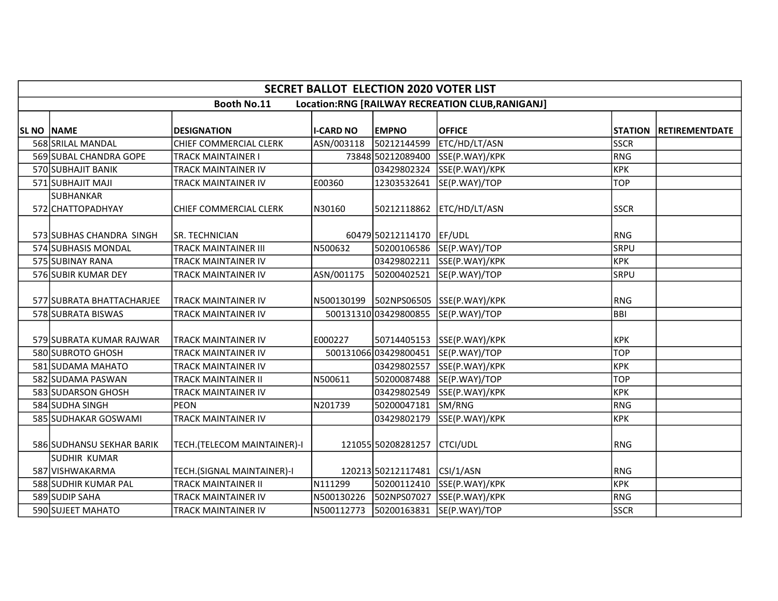|                   | <b>SECRET BALLOT ELECTION 2020 VOTER LIST</b>                  |                             |                  |                              |                                           |             |                        |  |  |  |  |  |
|-------------------|----------------------------------------------------------------|-----------------------------|------------------|------------------------------|-------------------------------------------|-------------|------------------------|--|--|--|--|--|
|                   | Booth No.11<br>Location:RNG [RAILWAY RECREATION CLUB,RANIGANJ] |                             |                  |                              |                                           |             |                        |  |  |  |  |  |
|                   |                                                                |                             |                  |                              |                                           |             |                        |  |  |  |  |  |
| <b>SL NO NAME</b> |                                                                | <b>DESIGNATION</b>          | <b>I-CARD NO</b> | <b>EMPNO</b>                 | <b>OFFICE</b>                             |             | STATION RETIREMENTDATE |  |  |  |  |  |
|                   | 568 SRILAL MANDAL                                              | CHIEF COMMERCIAL CLERK      | ASN/003118       | 50212144599                  | ETC/HD/LT/ASN                             | <b>SSCR</b> |                        |  |  |  |  |  |
|                   | 569 SUBAL CHANDRA GOPE                                         | <b>TRACK MAINTAINER I</b>   |                  | 73848 50212089400            | SSE(P.WAY)/KPK                            | RNG         |                        |  |  |  |  |  |
|                   | 570 SUBHAJIT BANIK                                             | <b>TRACK MAINTAINER IV</b>  |                  | 03429802324                  | SSE(P.WAY)/KPK                            | <b>KPK</b>  |                        |  |  |  |  |  |
|                   | 571 SUBHAJIT MAJI                                              | TRACK MAINTAINER IV         | E00360           | 12303532641                  | SE(P.WAY)/TOP                             | <b>TOP</b>  |                        |  |  |  |  |  |
|                   | SUBHANKAR                                                      |                             |                  |                              |                                           |             |                        |  |  |  |  |  |
|                   | 572 CHATTOPADHYAY                                              | CHIEF COMMERCIAL CLERK      | N30160           | 50212118862                  | ETC/HD/LT/ASN                             | <b>SSCR</b> |                        |  |  |  |  |  |
|                   |                                                                |                             |                  |                              |                                           |             |                        |  |  |  |  |  |
|                   | 573 SUBHAS CHANDRA SINGH                                       | SR. TECHNICIAN              |                  | 60479 50212114170            | EF/UDL                                    | <b>RNG</b>  |                        |  |  |  |  |  |
|                   | 574 SUBHASIS MONDAL                                            | <b>TRACK MAINTAINER III</b> | N500632          |                              | 50200106586 SE(P.WAY)/TOP                 | <b>SRPU</b> |                        |  |  |  |  |  |
|                   | 575 SUBINAY RANA                                               | TRACK MAINTAINER IV         |                  | 03429802211                  | SSE(P.WAY)/KPK                            | <b>KPK</b>  |                        |  |  |  |  |  |
|                   | 576 SUBIR KUMAR DEY                                            | <b>TRACK MAINTAINER IV</b>  | ASN/001175       | 50200402521                  | SE(P.WAY)/TOP                             | <b>SRPU</b> |                        |  |  |  |  |  |
|                   |                                                                |                             |                  |                              |                                           |             |                        |  |  |  |  |  |
|                   | 577 SUBRATA BHATTACHARJEE                                      | <b>TRACK MAINTAINER IV</b>  |                  |                              | N500130199   502NPS06505   SSE(P.WAY)/KPK | <b>RNG</b>  |                        |  |  |  |  |  |
|                   | 578 SUBRATA BISWAS                                             | TRACK MAINTAINER IV         |                  | 500131310 03429800855        | SE(P.WAY)/TOP                             | BBI         |                        |  |  |  |  |  |
|                   |                                                                |                             |                  |                              |                                           |             |                        |  |  |  |  |  |
|                   | 579 SUBRATA KUMAR RAJWAR                                       | <b>TRACK MAINTAINER IV</b>  | E000227          | 50714405153                  | SSE(P.WAY)/KPK                            | <b>KPK</b>  |                        |  |  |  |  |  |
|                   | 580 SUBROTO GHOSH                                              | <b>TRACK MAINTAINER IV</b>  |                  |                              | 500131066 03429800451 SE(P.WAY)/TOP       | <b>TOP</b>  |                        |  |  |  |  |  |
|                   | 581 SUDAMA MAHATO                                              | TRACK MAINTAINER IV         |                  |                              | 03429802557 SSE(P.WAY)/KPK                | <b>KPK</b>  |                        |  |  |  |  |  |
|                   | 582 SUDAMA PASWAN                                              | <b>TRACK MAINTAINER II</b>  | N500611          | 50200087488                  | SE(P.WAY)/TOP                             | <b>TOP</b>  |                        |  |  |  |  |  |
|                   | 583 SUDARSON GHOSH                                             | <b>TRACK MAINTAINER IV</b>  |                  | 03429802549                  | SSE(P.WAY)/KPK                            | <b>KPK</b>  |                        |  |  |  |  |  |
|                   | 584 SUDHA SINGH                                                | <b>PEON</b>                 | N201739          | 50200047181                  | SM/RNG                                    | RNG         |                        |  |  |  |  |  |
|                   | 585 SUDHAKAR GOSWAMI                                           | TRACK MAINTAINER IV         |                  | 03429802179                  | SSE(P.WAY)/KPK                            | <b>KPK</b>  |                        |  |  |  |  |  |
|                   |                                                                |                             |                  |                              |                                           |             |                        |  |  |  |  |  |
|                   | 586 SUDHANSU SEKHAR BARIK                                      | TECH.(TELECOM MAINTAINER)-I |                  | 121055 50208281257           | CTCI/UDL                                  | <b>RNG</b>  |                        |  |  |  |  |  |
|                   | SUDHIR KUMAR                                                   |                             |                  |                              |                                           |             |                        |  |  |  |  |  |
|                   | 587 VISHWAKARMA                                                | TECH.(SIGNAL MAINTAINER)-I  |                  | 120213 50212117481 CSI/1/ASN |                                           | RNG         |                        |  |  |  |  |  |
|                   | 588 SUDHIR KUMAR PAL                                           | <b>TRACK MAINTAINER II</b>  | N111299          | 50200112410                  | SSE(P.WAY)/KPK                            | <b>KPK</b>  |                        |  |  |  |  |  |
|                   | 589 SUDIP SAHA                                                 | <b>TRACK MAINTAINER IV</b>  | N500130226       | 502NPS07027                  | SSE(P.WAY)/KPK                            | RNG         |                        |  |  |  |  |  |
|                   | 590 SUJEET MAHATO                                              | <b>TRACK MAINTAINER IV</b>  | N500112773       | 50200163831                  | SE(P.WAY)/TOP                             | <b>SSCR</b> |                        |  |  |  |  |  |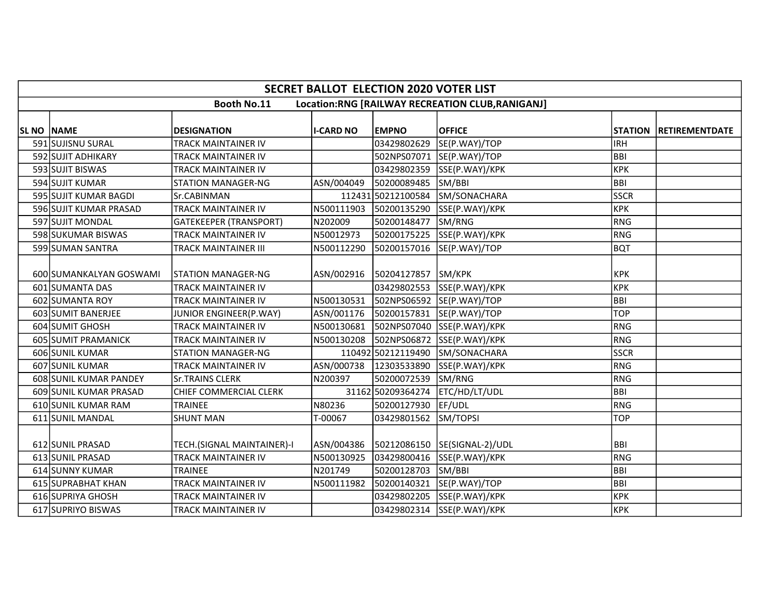|                   | <b>SECRET BALLOT ELECTION 2020 VOTER LIST</b>                         |                               |                  |                        |                              |             |                        |  |  |  |  |  |
|-------------------|-----------------------------------------------------------------------|-------------------------------|------------------|------------------------|------------------------------|-------------|------------------------|--|--|--|--|--|
|                   | <b>Booth No.11</b><br>Location:RNG [RAILWAY RECREATION CLUB,RANIGANJ] |                               |                  |                        |                              |             |                        |  |  |  |  |  |
|                   |                                                                       |                               |                  |                        |                              |             |                        |  |  |  |  |  |
| <b>SL NO NAME</b> |                                                                       | <b>DESIGNATION</b>            | <b>I-CARD NO</b> | <b>EMPNO</b>           | <b>OFFICE</b>                |             | STATION RETIREMENTDATE |  |  |  |  |  |
|                   | 591 SUJISNU SURAL                                                     | <b>TRACK MAINTAINER IV</b>    |                  | 03429802629            | SE(P.WAY)/TOP                | <b>IRH</b>  |                        |  |  |  |  |  |
|                   | 592 SUJIT ADHIKARY                                                    | <b>TRACK MAINTAINER IV</b>    |                  | 502NPS07071            | SE(P.WAY)/TOP                | BBI         |                        |  |  |  |  |  |
|                   | 593 SUJIT BISWAS                                                      | <b>TRACK MAINTAINER IV</b>    |                  | 03429802359            | SSE(P.WAY)/KPK               | <b>KPK</b>  |                        |  |  |  |  |  |
|                   | 594 SUJIT KUMAR                                                       | <b>STATION MANAGER-NG</b>     | ASN/004049       | 50200089485            | SM/BBI                       | <b>BBI</b>  |                        |  |  |  |  |  |
|                   | 595 SUJIT KUMAR BAGDI                                                 | Sr.CABINMAN                   |                  | 112431 50212100584     | SM/SONACHARA                 | <b>SSCR</b> |                        |  |  |  |  |  |
|                   | 596 SUJIT KUMAR PRASAD                                                | <b>TRACK MAINTAINER IV</b>    | N500111903       | 50200135290            | SSE(P.WAY)/KPK               | <b>KPK</b>  |                        |  |  |  |  |  |
|                   | 597 SUJIT MONDAL                                                      | <b>GATEKEEPER (TRANSPORT)</b> | N202009          | 50200148477            | SM/RNG                       | RNG         |                        |  |  |  |  |  |
|                   | 598 SUKUMAR BISWAS                                                    | <b>TRACK MAINTAINER IV</b>    | N50012973        | 50200175225            | SSE(P.WAY)/KPK               | RNG         |                        |  |  |  |  |  |
|                   | 599 SUMAN SANTRA                                                      | <b>TRACK MAINTAINER III</b>   | N500112290       | 50200157016            | SE(P.WAY)/TOP                | bQT         |                        |  |  |  |  |  |
|                   |                                                                       |                               |                  |                        |                              |             |                        |  |  |  |  |  |
|                   | 600 SUMANKALYAN GOSWAMI                                               | ISTATION MANAGER-NG           |                  | ASN/002916 50204127857 | SM/KPK                       | <b>KPK</b>  |                        |  |  |  |  |  |
|                   | 601 SUMANTA DAS                                                       | <b>TRACK MAINTAINER IV</b>    |                  | 03429802553            | SSE(P.WAY)/KPK               | <b>KPK</b>  |                        |  |  |  |  |  |
|                   | 602 SUMANTA ROY                                                       | <b>TRACK MAINTAINER IV</b>    | N500130531       |                        | 502NPS06592 SE(P.WAY)/TOP    | BBI         |                        |  |  |  |  |  |
|                   | 603 SUMIT BANERJEE                                                    | JUNIOR ENGINEER(P.WAY)        | ASN/001176       | 50200157831            | SE(P.WAY)/TOP                | <b>TOP</b>  |                        |  |  |  |  |  |
|                   | 604 SUMIT GHOSH                                                       | <b>TRACK MAINTAINER IV</b>    | N500130681       | 502NPS07040            | SSE(P.WAY)/KPK               | RNG         |                        |  |  |  |  |  |
|                   | 605 SUMIT PRAMANICK                                                   | <b>TRACK MAINTAINER IV</b>    | N500130208       | 502NPS06872            | SSE(P.WAY)/KPK               | RNG         |                        |  |  |  |  |  |
|                   | 606 SUNIL KUMAR                                                       | <b>STATION MANAGER-NG</b>     |                  | 110492 50212119490     | SM/SONACHARA                 | <b>SSCR</b> |                        |  |  |  |  |  |
|                   | 607 SUNIL KUMAR                                                       | <b>TRACK MAINTAINER IV</b>    | ASN/000738       | 12303533890            | SSE(P.WAY)/KPK               | RNG         |                        |  |  |  |  |  |
|                   | 608 SUNIL KUMAR PANDEY                                                | <b>Sr.TRAINS CLERK</b>        | N200397          | 50200072539            | SM/RNG                       | RNG         |                        |  |  |  |  |  |
|                   | 609 SUNIL KUMAR PRASAD                                                | CHIEF COMMERCIAL CLERK        |                  | 31162 50209364274      | ETC/HD/LT/UDL                | <b>BBI</b>  |                        |  |  |  |  |  |
|                   | 610 SUNIL KUMAR RAM                                                   | <b>TRAINEE</b>                | N80236           | 50200127930            | EF/UDL                       | RNG         |                        |  |  |  |  |  |
|                   | 611 SUNIL MANDAL                                                      | <b>SHUNT MAN</b>              | T-00067          | 03429801562            | SM/TOPSI                     | <b>TOP</b>  |                        |  |  |  |  |  |
|                   |                                                                       |                               |                  |                        |                              |             |                        |  |  |  |  |  |
|                   | 612 SUNIL PRASAD                                                      | TECH.(SIGNAL MAINTAINER)-I    | ASN/004386       |                        | 50212086150 SE(SIGNAL-2)/UDL | <b>BBI</b>  |                        |  |  |  |  |  |
|                   | 613 SUNIL PRASAD                                                      | <b>TRACK MAINTAINER IV</b>    | N500130925       | 03429800416            | SSE(P.WAY)/KPK               | RNG         |                        |  |  |  |  |  |
|                   | 614 SUNNY KUMAR                                                       | <b>TRAINEE</b>                | N201749          | 50200128703            | SM/BBI                       | BBI         |                        |  |  |  |  |  |
|                   | 615 SUPRABHAT KHAN                                                    | <b>TRACK MAINTAINER IV</b>    | N500111982       | 50200140321            | SE(P.WAY)/TOP                | <b>BBI</b>  |                        |  |  |  |  |  |
|                   | 616 SUPRIYA GHOSH                                                     | TRACK MAINTAINER IV           |                  | 03429802205            | SSE(P.WAY)/KPK               | <b>KPK</b>  |                        |  |  |  |  |  |
|                   | 617 SUPRIYO BISWAS                                                    | <b>TRACK MAINTAINER IV</b>    |                  | 03429802314            | SSE(P.WAY)/KPK               | <b>KPK</b>  |                        |  |  |  |  |  |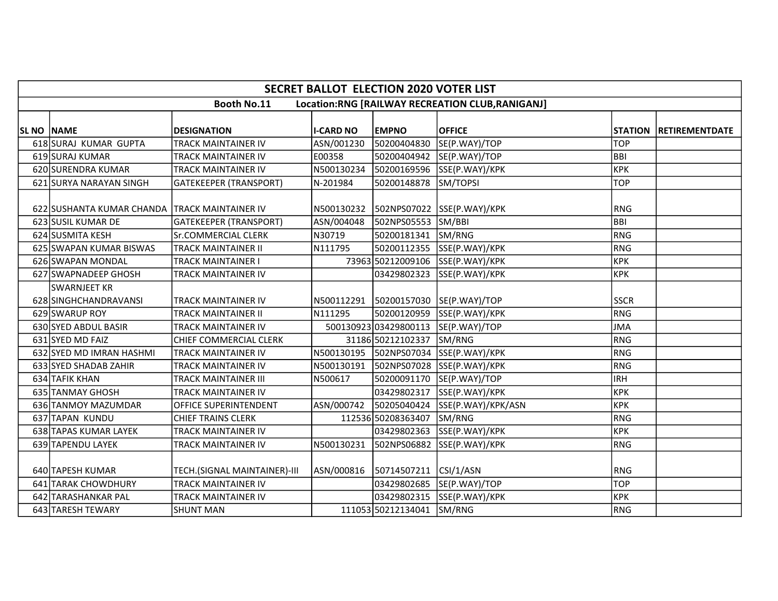| <b>SECRET BALLOT ELECTION 2020 VOTER LIST</b>                         |                                               |                               |                  |                           |                                         |             |                        |  |  |
|-----------------------------------------------------------------------|-----------------------------------------------|-------------------------------|------------------|---------------------------|-----------------------------------------|-------------|------------------------|--|--|
| <b>Booth No.11</b><br>Location:RNG [RAILWAY RECREATION CLUB,RANIGANJ] |                                               |                               |                  |                           |                                         |             |                        |  |  |
|                                                                       |                                               |                               |                  |                           |                                         |             |                        |  |  |
| SL NO NAME                                                            |                                               | <b>DESIGNATION</b>            | <b>I-CARD NO</b> | <b>EMPNO</b>              | <b>OFFICE</b>                           |             | STATION RETIREMENTDATE |  |  |
|                                                                       | 618 SURAJ KUMAR GUPTA                         | <b>TRACK MAINTAINER IV</b>    | ASN/001230       | 50200404830               | SE(P.WAY)/TOP                           | <b>TOP</b>  |                        |  |  |
|                                                                       | 619 SURAJ KUMAR                               | <b>TRACK MAINTAINER IV</b>    | E00358           | 50200404942               | SE(P.WAY)/TOP                           | <b>BBI</b>  |                        |  |  |
|                                                                       | 620 SURENDRA KUMAR                            | <b>TRACK MAINTAINER IV</b>    | N500130234       | 50200169596               | SSE(P.WAY)/KPK                          | <b>KPK</b>  |                        |  |  |
|                                                                       | 621 SURYA NARAYAN SINGH                       | <b>GATEKEEPER (TRANSPORT)</b> | N-201984         | 50200148878               | SM/TOPSI                                | <b>TOP</b>  |                        |  |  |
|                                                                       |                                               |                               |                  |                           |                                         |             |                        |  |  |
|                                                                       | 622 SUSHANTA KUMAR CHANDA TRACK MAINTAINER IV |                               | N500130232       |                           | 502NPS07022 SSE(P.WAY)/KPK              | <b>RNG</b>  |                        |  |  |
|                                                                       | 623 SUSIL KUMAR DE                            | <b>GATEKEEPER (TRANSPORT)</b> | ASN/004048       | 502NPS05553 SM/BBI        |                                         | <b>BBI</b>  |                        |  |  |
|                                                                       | 624 SUSMITA KESH                              | <b>Sr.COMMERCIAL CLERK</b>    | N30719           | 50200181341 SM/RNG        |                                         | <b>RNG</b>  |                        |  |  |
|                                                                       | 625 SWAPAN KUMAR BISWAS                       | <b>TRACK MAINTAINER II</b>    | N111795          |                           | 50200112355 SSE(P.WAY)/KPK              | <b>RNG</b>  |                        |  |  |
|                                                                       | 626 SWAPAN MONDAL                             | <b>TRACK MAINTAINER I</b>     |                  | 73963 50212009106         | SSE(P.WAY)/KPK                          | <b>KPK</b>  |                        |  |  |
|                                                                       | 627 SWAPNADEEP GHOSH                          | <b>TRACK MAINTAINER IV</b>    |                  | 03429802323               | SSE(P.WAY)/KPK                          | <b>KPK</b>  |                        |  |  |
|                                                                       | SWARNJEET KR                                  |                               |                  |                           |                                         |             |                        |  |  |
|                                                                       | 628 SINGHCHANDRAVANSI                         | <b>TRACK MAINTAINER IV</b>    |                  |                           | N500112291  50200157030  SE(P.WAY)/TOP  | <b>SSCR</b> |                        |  |  |
|                                                                       | 629 SWARUP ROY                                | TRACK MAINTAINER II           | N111295          | 50200120959               | SSE(P.WAY)/KPK                          | <b>RNG</b>  |                        |  |  |
|                                                                       | 630 SYED ABDUL BASIR                          | <b>TRACK MAINTAINER IV</b>    |                  | 50013092303429800113      | SE(P.WAY)/TOP                           | <b>JMA</b>  |                        |  |  |
|                                                                       | 631 SYED MD FAIZ                              | CHIEF COMMERCIAL CLERK        |                  | 31186 50212102337         | SM/RNG                                  | <b>RNG</b>  |                        |  |  |
|                                                                       | 632 SYED MD IMRAN HASHMI                      | <b>TRACK MAINTAINER IV</b>    |                  |                           | N500130195  502NPS07034  SSE(P.WAY)/KPK | <b>RNG</b>  |                        |  |  |
|                                                                       | 633 SYED SHADAB ZAHIR                         | <b>TRACK MAINTAINER IV</b>    | N500130191       | 502NPS07028               | SSE(P.WAY)/KPK                          | <b>RNG</b>  |                        |  |  |
|                                                                       | 634 TAFIK KHAN                                | <b>TRACK MAINTAINER III</b>   | N500617          | 50200091170               | SE(P.WAY)/TOP                           | <b>IRH</b>  |                        |  |  |
|                                                                       | 635 TANMAY GHOSH                              | <b>TRACK MAINTAINER IV</b>    |                  | 03429802317               | SSE(P.WAY)/KPK                          | <b>KPK</b>  |                        |  |  |
|                                                                       | 636 TANMOY MAZUMDAR                           | <b>OFFICE SUPERINTENDENT</b>  | ASN/000742       | 50205040424               | SSE(P.WAY)/KPK/ASN                      | <b>KPK</b>  |                        |  |  |
|                                                                       | 637 TAPAN KUNDU                               | <b>CHIEF TRAINS CLERK</b>     |                  | 112536 50208363407        | SM/RNG                                  | <b>RNG</b>  |                        |  |  |
|                                                                       | 638 TAPAS KUMAR LAYEK                         | TRACK MAINTAINER IV           |                  | 03429802363               | SSE(P.WAY)/KPK                          | <b>KPK</b>  |                        |  |  |
|                                                                       | 639 TAPENDU LAYEK                             | <b>TRACK MAINTAINER IV</b>    | N500130231       | 502NPS06882               | SSE(P.WAY)/KPK                          | <b>RNG</b>  |                        |  |  |
|                                                                       |                                               |                               |                  |                           |                                         |             |                        |  |  |
|                                                                       | 640 TAPESH KUMAR                              | TECH.(SIGNAL MAINTAINER)-III  | ASN/000816       | 50714507211               | CSI/1/ASN                               | <b>RNG</b>  |                        |  |  |
|                                                                       | 641 TARAK CHOWDHURY                           | TRACK MAINTAINER IV           |                  | 03429802685               | SE(P.WAY)/TOP                           | <b>TOP</b>  |                        |  |  |
|                                                                       | 642 TARASHANKAR PAL                           | TRACK MAINTAINER IV           |                  |                           | 03429802315 SSE(P.WAY)/KPK              | <b>KPK</b>  |                        |  |  |
|                                                                       | 643 TARESH TEWARY                             | <b>SHUNT MAN</b>              |                  | 111053 50212134041 SM/RNG |                                         | <b>RNG</b>  |                        |  |  |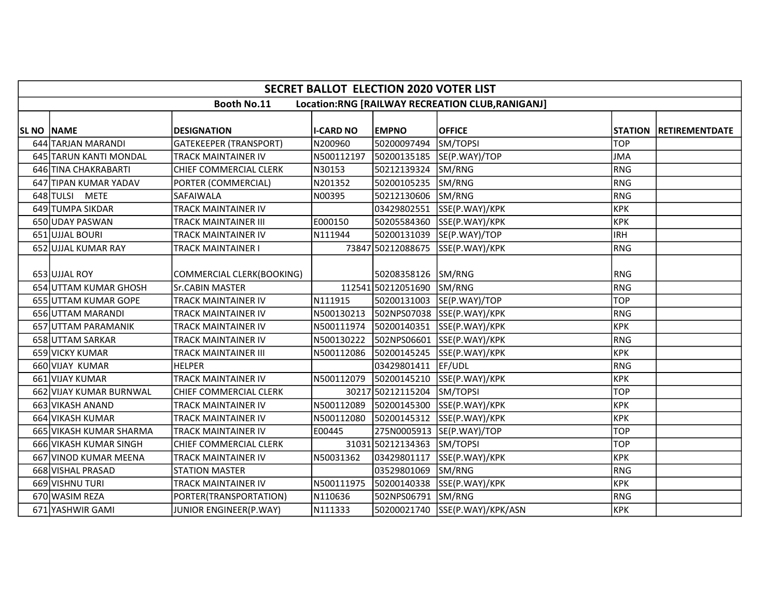| <b>SECRET BALLOT ELECTION 2020 VOTER LIST</b>                          |                         |                             |                  |                    |                            |            |                        |  |  |
|------------------------------------------------------------------------|-------------------------|-----------------------------|------------------|--------------------|----------------------------|------------|------------------------|--|--|
| <b>Booth No.11</b><br>Location:RNG [RAILWAY RECREATION CLUB, RANIGANJ] |                         |                             |                  |                    |                            |            |                        |  |  |
|                                                                        |                         |                             |                  |                    |                            |            |                        |  |  |
| SL NO NAME                                                             |                         | <b>DESIGNATION</b>          | <b>I-CARD NO</b> | <b>EMPNO</b>       | <b>OFFICE</b>              |            | STATION RETIREMENTDATE |  |  |
|                                                                        | 644 TARJAN MARANDI      | GATEKEEPER (TRANSPORT)      | N200960          | 50200097494        | SM/TOPSI                   | <b>TOP</b> |                        |  |  |
|                                                                        | 645 TARUN KANTI MONDAL  | TRACK MAINTAINER IV         | N500112197       | 50200135185        | SE(P.WAY)/TOP              | JMA        |                        |  |  |
|                                                                        | 646 TINA CHAKRABARTI    | CHIEF COMMERCIAL CLERK      | N30153           | 50212139324        | SM/RNG                     | RNG        |                        |  |  |
|                                                                        | 647 TIPAN KUMAR YADAV   | PORTER (COMMERCIAL)         | N201352          | 50200105235        | SM/RNG                     | RNG        |                        |  |  |
|                                                                        | 648 TULSI METE          | <b>SAFAIWALA</b>            | N00395           | 50212130606        | SM/RNG                     | RNG        |                        |  |  |
|                                                                        | 649 TUMPA SIKDAR        | TRACK MAINTAINER IV         |                  | 03429802551        | SSE(P.WAY)/KPK             | крк        |                        |  |  |
|                                                                        | 650 UDAY PASWAN         | <b>TRACK MAINTAINER III</b> | E000150          | 50205584360        | SSE(P.WAY)/KPK             | <b>KPK</b> |                        |  |  |
|                                                                        | 651 UJJAL BOURI         | <b>TRACK MAINTAINER IV</b>  | N111944          | 50200131039        | SE(P.WAY)/TOP              | IRH        |                        |  |  |
|                                                                        | 652 UJJAL KUMAR RAY     | TRACK MAINTAINER I          |                  | 73847 50212088675  | SSE(P.WAY)/KPK             | RNG        |                        |  |  |
|                                                                        |                         |                             |                  |                    |                            |            |                        |  |  |
|                                                                        | 653 UJJAL ROY           | COMMERCIAL CLERK(BOOKING)   |                  | 50208358126 SM/RNG |                            | <b>RNG</b> |                        |  |  |
|                                                                        | 654 UTTAM KUMAR GHOSH   | <b>Sr.CABIN MASTER</b>      |                  | 112541 50212051690 | SM/RNG                     | RNG        |                        |  |  |
|                                                                        | 655 UTTAM KUMAR GOPE    | TRACK MAINTAINER IV         | N111915          | 50200131003        | SE(P.WAY)/TOP              | <b>TOP</b> |                        |  |  |
|                                                                        | 656 UTTAM MARANDI       | TRACK MAINTAINER IV         | N500130213       |                    | 502NPS07038 SSE(P.WAY)/KPK | RNG        |                        |  |  |
|                                                                        | 657 UTTAM PARAMANIK     | TRACK MAINTAINER IV         | N500111974       | 50200140351        | SSE(P.WAY)/KPK             | <b>KPK</b> |                        |  |  |
|                                                                        | 658 UTTAM SARKAR        | TRACK MAINTAINER IV         | N500130222       |                    | 502NPS06601 SSE(P.WAY)/KPK | RNG        |                        |  |  |
|                                                                        | 659 VICKY KUMAR         | <b>TRACK MAINTAINER III</b> | N500112086       | 50200145245        | SSE(P.WAY)/KPK             | <b>KPK</b> |                        |  |  |
|                                                                        | 660 VIJAY KUMAR         | <b>HELPER</b>               |                  | 03429801411        | EF/UDL                     | RNG        |                        |  |  |
|                                                                        | 661 VIJAY KUMAR         | TRACK MAINTAINER IV         | N500112079       | 50200145210        | SSE(P.WAY)/KPK             | <b>KPK</b> |                        |  |  |
|                                                                        | 662 VIJAY KUMAR BURNWAL | CHIEF COMMERCIAL CLERK      |                  | 30217 50212115204  | SM/TOPSI                   | <b>TOP</b> |                        |  |  |
|                                                                        | 663 VIKASH ANAND        | TRACK MAINTAINER IV         | N500112089       | 50200145300        | SSE(P.WAY)/KPK             | крк        |                        |  |  |
|                                                                        | 664 VIKASH KUMAR        | <b>TRACK MAINTAINER IV</b>  | N500112080       |                    | 50200145312 SSE(P.WAY)/KPK | KPK        |                        |  |  |
|                                                                        | 665 VIKASH KUMAR SHARMA | TRACK MAINTAINER IV         | E00445           | 275N0005913        | SE(P.WAY)/TOP              | <b>TOP</b> |                        |  |  |
|                                                                        | 666 VIKASH KUMAR SINGH  | CHIEF COMMERCIAL CLERK      |                  | 31031 50212134363  | SM/TOPSI                   | <b>TOP</b> |                        |  |  |
|                                                                        | 667 VINOD KUMAR MEENA   | <b>TRACK MAINTAINER IV</b>  | N50031362        | 03429801117        | SSE(P.WAY)/KPK             | <b>KPK</b> |                        |  |  |
|                                                                        | 668 VISHAL PRASAD       | <b>STATION MASTER</b>       |                  | 03529801069        | SM/RNG                     | RNG        |                        |  |  |
|                                                                        | 669 VISHNU TURI         | TRACK MAINTAINER IV         | N500111975       | 50200140338        | SSE(P.WAY)/KPK             | крк        |                        |  |  |
|                                                                        | 670 WASIM REZA          | PORTER(TRANSPORTATION)      | N110636          | 502NPS06791        | SM/RNG                     | RNG        |                        |  |  |
|                                                                        | 671 YASHWIR GAMI        | JUNIOR ENGINEER(P.WAY)      | N111333          | 50200021740        | SSE(P.WAY)/KPK/ASN         | <b>KPK</b> |                        |  |  |